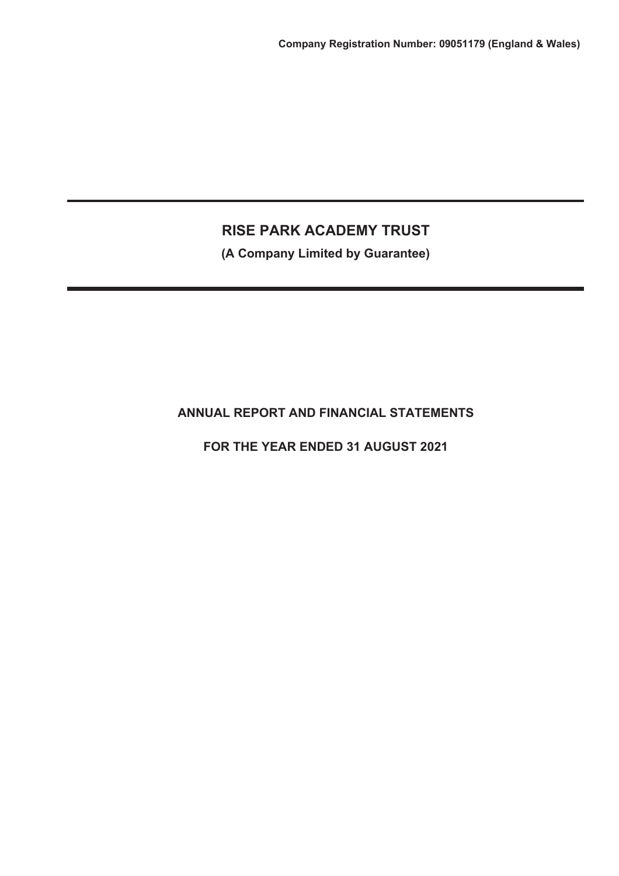**(A Company Limited by Guarantee)**

# **ANNUAL REPORT AND FINANCIAL STATEMENTS**

**FOR THE YEAR ENDED 31 AUGUST 2021**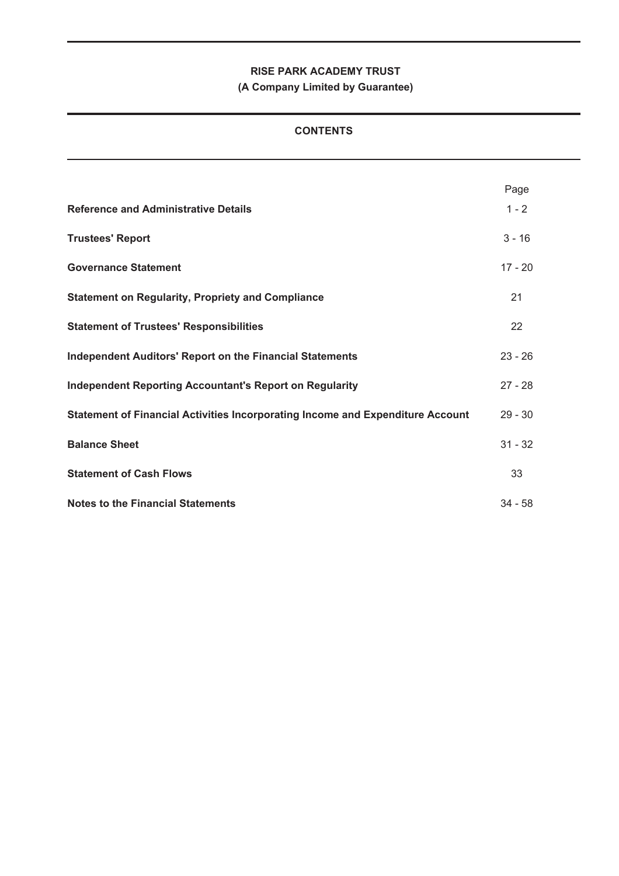**(A Company Limited by Guarantee)**

## **CONTENTS**

|                                                                                | Page      |
|--------------------------------------------------------------------------------|-----------|
| <b>Reference and Administrative Details</b>                                    | $1 - 2$   |
| <b>Trustees' Report</b>                                                        | $3 - 16$  |
| <b>Governance Statement</b>                                                    | $17 - 20$ |
| <b>Statement on Regularity, Propriety and Compliance</b>                       | 21        |
| <b>Statement of Trustees' Responsibilities</b>                                 | 22        |
| <b>Independent Auditors' Report on the Financial Statements</b>                | $23 - 26$ |
| <b>Independent Reporting Accountant's Report on Regularity</b>                 | $27 - 28$ |
| Statement of Financial Activities Incorporating Income and Expenditure Account | $29 - 30$ |
| <b>Balance Sheet</b>                                                           | $31 - 32$ |
| <b>Statement of Cash Flows</b>                                                 | 33        |
| <b>Notes to the Financial Statements</b>                                       | $34 - 58$ |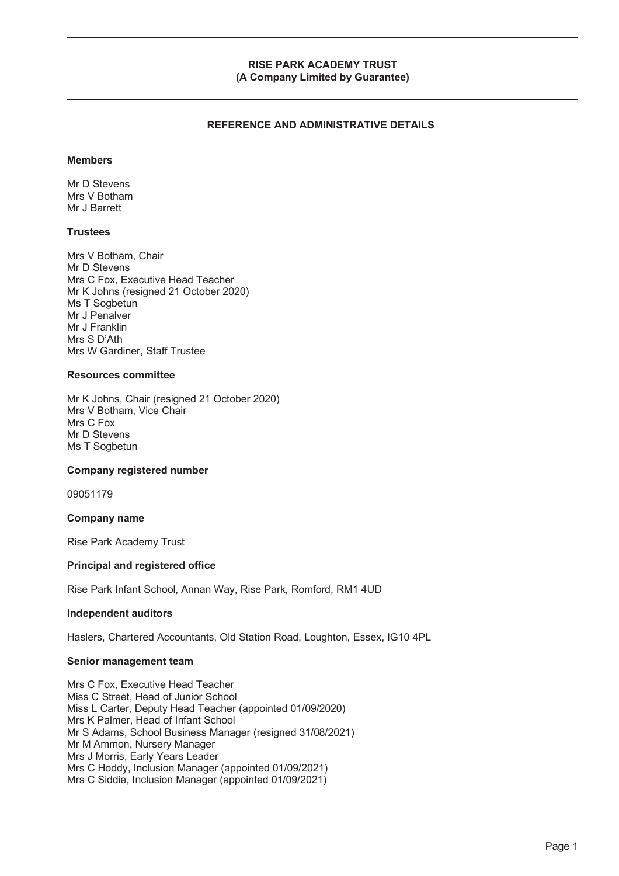#### **RISE PARK ACADEMY TRUST (A Company Limited by Guarantee)**

## **REFERENCE AND ADMINISTRATIVE DETAILS**

#### **Members**

Mr D Stevens Mrs V Botham Mr J Barrett

#### **Trustees**

Mrs V Botham, Chair Mr D Stevens Mrs C Fox, Executive Head Teacher Mr K Johns (resigned 21 October 2020) Ms T Sogbetun Mr J Penalver Mr J Franklin Mrs S D'Ath Mrs W Gardiner, Staff Trustee

#### **Resources committee**

Mr K Johns, Chair (resigned 21 October 2020) Mrs V Botham, Vice Chair Mrs C Fox Mr D Stevens Ms T Sogbetun

#### **Company registered number**

09051179

#### **Company name**

Rise Park Academy Trust

#### **Principal and registered office**

Rise Park Infant School, Annan Way, Rise Park, Romford, RM1 4UD

#### **Independent auditors**

Haslers, Chartered Accountants, Old Station Road, Loughton, Essex, IG10 4PL

#### **Senior management team**

Mrs C Fox, Executive Head Teacher Miss C Street, Head of Junior School Miss L Carter, Deputy Head Teacher (appointed 01/09/2020) Mrs K Palmer, Head of Infant School Mr S Adams, School Business Manager (resigned 31/08/2021) Mr M Ammon, Nursery Manager Mrs J Morris, Early Years Leader Mrs C Hoddy, Inclusion Manager (appointed 01/09/2021) Mrs C Siddie, Inclusion Manager (appointed 01/09/2021)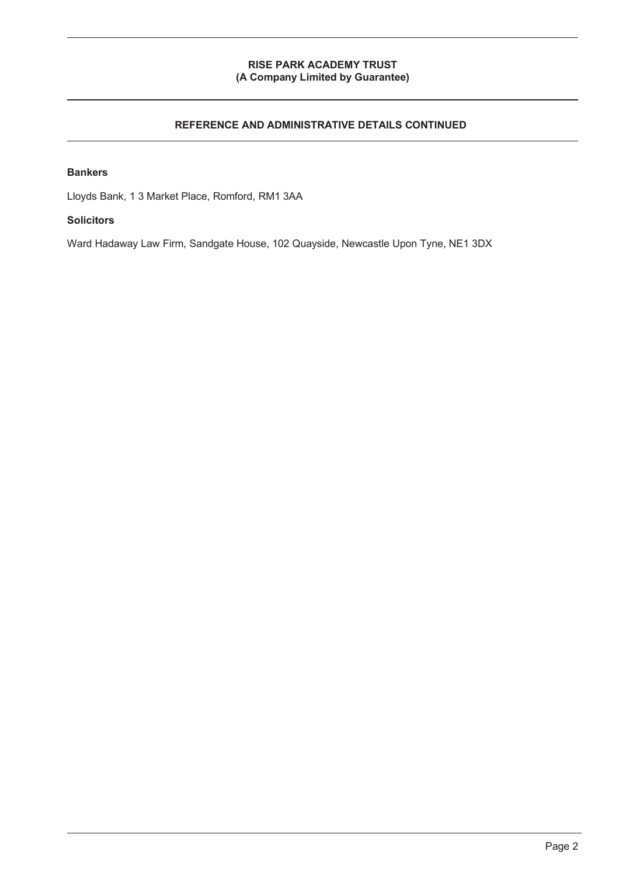## **RISE PARK ACADEMY TRUST (A Company Limited by Guarantee)**

## **REFERENCE AND ADMINISTRATIVE DETAILS CONTINUED**

#### **Bankers**

Lloyds Bank, 1 3 Market Place, Romford, RM1 3AA

## **Solicitors**

Ward Hadaway Law Firm, Sandgate House, 102 Quayside, Newcastle Upon Tyne, NE1 3DX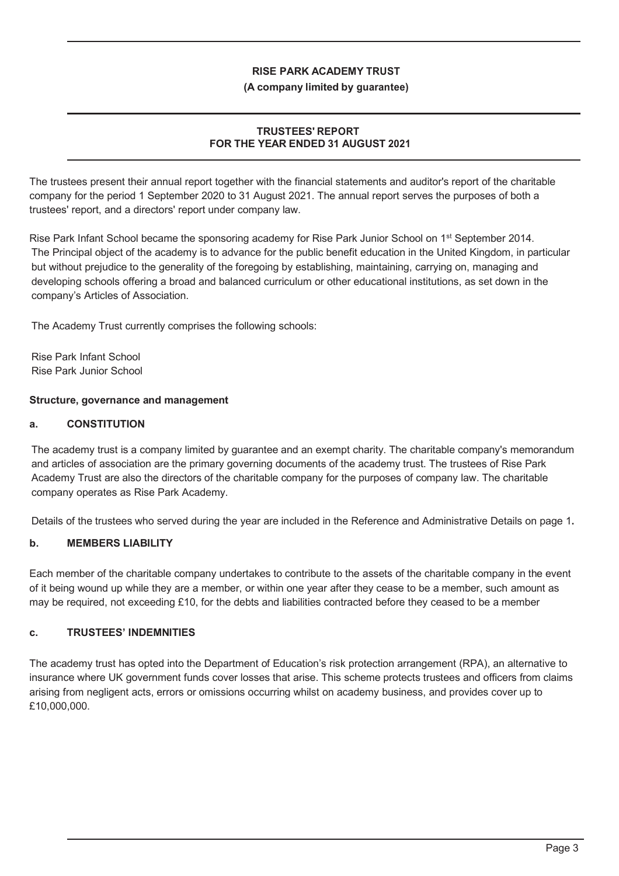## **(A company limited by guarantee)**

## **TRUSTEES' REPORT FOR THE YEAR ENDED 31 AUGUST 2021**

The trustees present their annual report together with the financial statements and auditor's report of the charitable company for the period 1 September 2020 to 31 August 2021. The annual report serves the purposes of both a trustees' report, and a directors' report under company law.

Rise Park Infant School became the sponsoring academy for Rise Park Junior School on 1<sup>st</sup> September 2014. The Principal object of the academy is to advance for the public benefit education in the United Kingdom, in particular but without prejudice to the generality of the foregoing by establishing, maintaining, carrying on, managing and developing schools offering a broad and balanced curriculum or other educational institutions, as set down in the company's Articles of Association.

The Academy Trust currently comprises the following schools:

Rise Park Infant School Rise Park Junior School

#### **Structure, governance and management**

## **a. CONSTITUTION**

The academy trust is a company limited by guarantee and an exempt charity. The charitable company's memorandum and articles of association are the primary governing documents of the academy trust. The trustees of Rise Park Academy Trust are also the directors of the charitable company for the purposes of company law. The charitable company operates as Rise Park Academy.

Details of the trustees who served during the year are included in the Reference and Administrative Details on page 1**.** 

## **b. MEMBERS LIABILITY**

Each member of the charitable company undertakes to contribute to the assets of the charitable company in the event of it being wound up while they are a member, or within one year after they cease to be a member, such amount as may be required, not exceeding £10, for the debts and liabilities contracted before they ceased to be a member

## **c. TRUSTEES' INDEMNITIES**

The academy trust has opted into the Department of Education's risk protection arrangement (RPA), an alternative to insurance where UK government funds cover losses that arise. This scheme protects trustees and officers from claims arising from negligent acts, errors or omissions occurring whilst on academy business, and provides cover up to £10,000,000.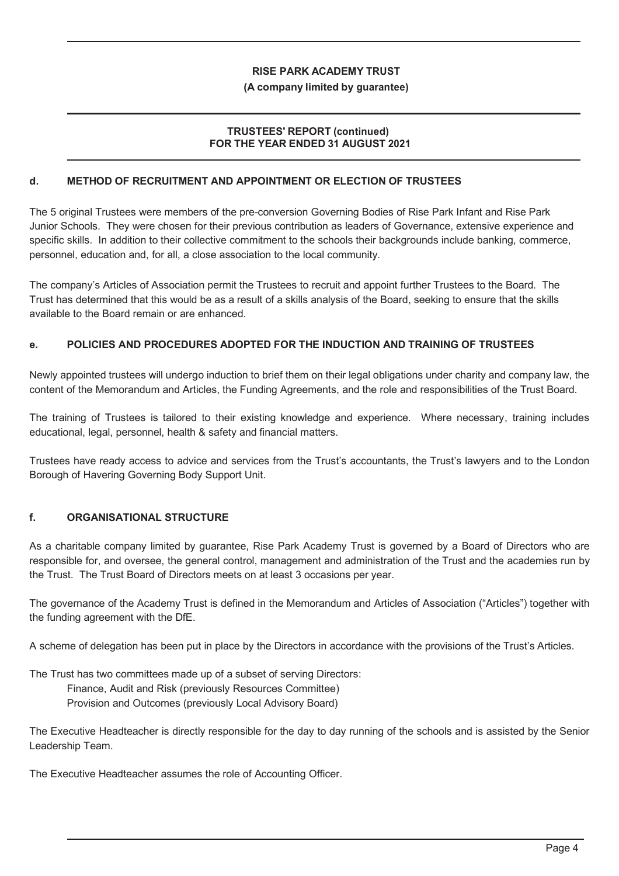#### **(A company limited by guarantee)**

## **TRUSTEES' REPORT (continued) FOR THE YEAR ENDED 31 AUGUST 2021**

## **d. METHOD OF RECRUITMENT AND APPOINTMENT OR ELECTION OF TRUSTEES**

The 5 original Trustees were members of the pre-conversion Governing Bodies of Rise Park Infant and Rise Park Junior Schools. They were chosen for their previous contribution as leaders of Governance, extensive experience and specific skills. In addition to their collective commitment to the schools their backgrounds include banking, commerce, personnel, education and, for all, a close association to the local community.

The company's Articles of Association permit the Trustees to recruit and appoint further Trustees to the Board. The Trust has determined that this would be as a result of a skills analysis of the Board, seeking to ensure that the skills available to the Board remain or are enhanced.

## **e. POLICIES AND PROCEDURES ADOPTED FOR THE INDUCTION AND TRAINING OF TRUSTEES**

Newly appointed trustees will undergo induction to brief them on their legal obligations under charity and company law, the content of the Memorandum and Articles, the Funding Agreements, and the role and responsibilities of the Trust Board.

The training of Trustees is tailored to their existing knowledge and experience. Where necessary, training includes educational, legal, personnel, health & safety and financial matters.

Trustees have ready access to advice and services from the Trust's accountants, the Trust's lawyers and to the London Borough of Havering Governing Body Support Unit.

#### **f. ORGANISATIONAL STRUCTURE**

As a charitable company limited by guarantee, Rise Park Academy Trust is governed by a Board of Directors who are responsible for, and oversee, the general control, management and administration of the Trust and the academies run by the Trust. The Trust Board of Directors meets on at least 3 occasions per year.

The governance of the Academy Trust is defined in the Memorandum and Articles of Association ("Articles") together with the funding agreement with the DfE.

A scheme of delegation has been put in place by the Directors in accordance with the provisions of the Trust's Articles.

The Trust has two committees made up of a subset of serving Directors: Finance, Audit and Risk (previously Resources Committee) Provision and Outcomes (previously Local Advisory Board)

The Executive Headteacher is directly responsible for the day to day running of the schools and is assisted by the Senior Leadership Team.

The Executive Headteacher assumes the role of Accounting Officer.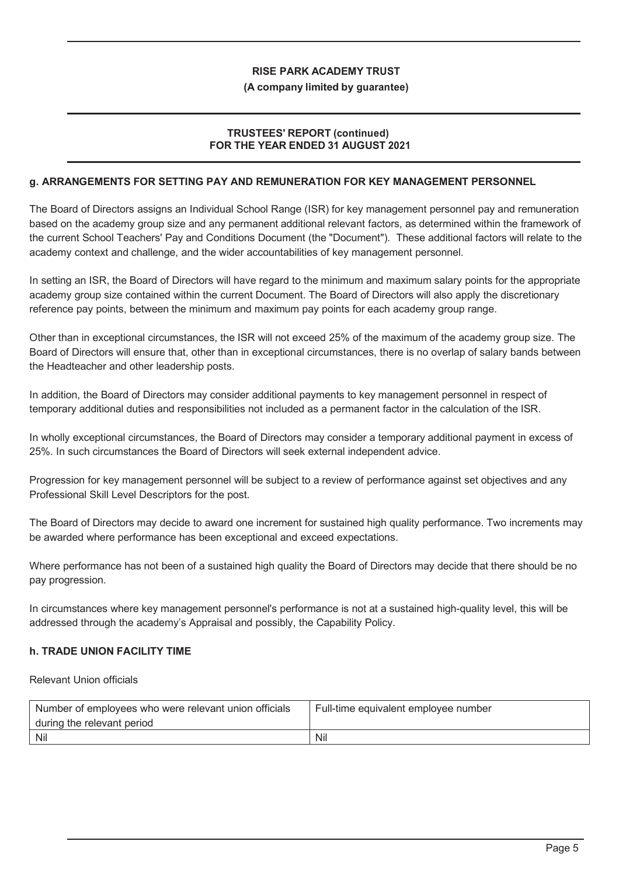#### **(A company limited by guarantee)**

## **TRUSTEES' REPORT (continued) FOR THE YEAR ENDED 31 AUGUST 2021**

## **g. ARRANGEMENTS FOR SETTING PAY AND REMUNERATION FOR KEY MANAGEMENT PERSONNEL**

The Board of Directors assigns an Individual School Range (ISR) for key management personnel pay and remuneration based on the academy group size and any permanent additional relevant factors, as determined within the framework of the current School Teachers' Pay and Conditions Document (the "Document"). These additional factors will relate to the academy context and challenge, and the wider accountabilities of key management personnel.

In setting an ISR, the Board of Directors will have regard to the minimum and maximum salary points for the appropriate academy group size contained within the current Document. The Board of Directors will also apply the discretionary reference pay points, between the minimum and maximum pay points for each academy group range.

Other than in exceptional circumstances, the ISR will not exceed 25% of the maximum of the academy group size. The Board of Directors will ensure that, other than in exceptional circumstances, there is no overlap of salary bands between the Headteacher and other leadership posts.

In addition, the Board of Directors may consider additional payments to key management personnel in respect of temporary additional duties and responsibilities not included as a permanent factor in the calculation of the ISR.

In wholly exceptional circumstances, the Board of Directors may consider a temporary additional payment in excess of 25%. In such circumstances the Board of Directors will seek external independent advice.

Progression for key management personnel will be subject to a review of performance against set objectives and any Professional Skill Level Descriptors for the post.

The Board of Directors may decide to award one increment for sustained high quality performance. Two increments may be awarded where performance has been exceptional and exceed expectations.

Where performance has not been of a sustained high quality the Board of Directors may decide that there should be no pay progression.

In circumstances where key management personnel's performance is not at a sustained high-quality level, this will be addressed through the academy's Appraisal and possibly, the Capability Policy.

#### **h. TRADE UNION FACILITY TIME**

Relevant Union officials

| Number of employees who were relevant union officials<br>during the relevant period | Full-time equivalent employee number |
|-------------------------------------------------------------------------------------|--------------------------------------|
| Nil                                                                                 | Nil                                  |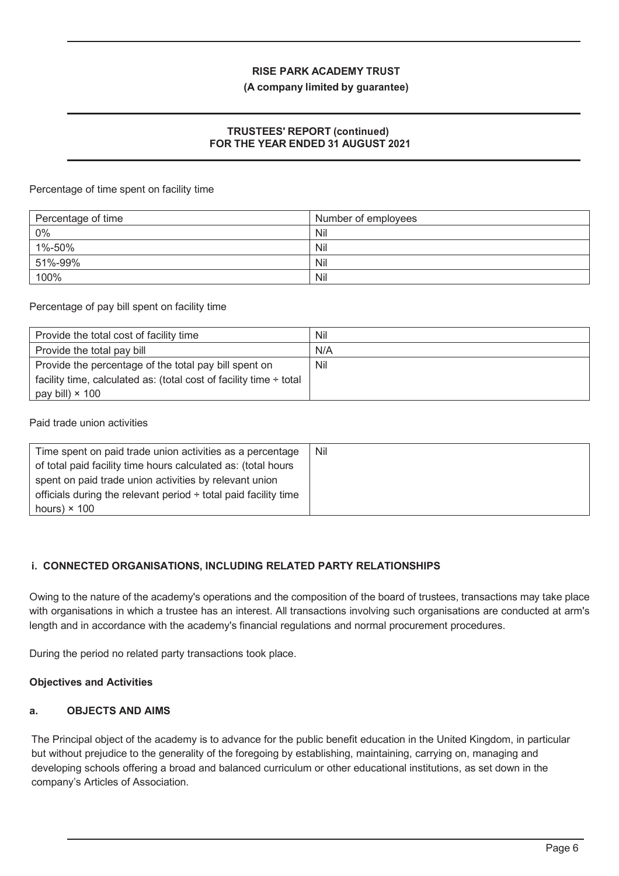#### **(A company limited by guarantee)**

## **TRUSTEES' REPORT (continued) FOR THE YEAR ENDED 31 AUGUST 2021**

Percentage of time spent on facility time

| Percentage of time | Number of employees |
|--------------------|---------------------|
| 0%                 | Nil                 |
| 1%-50%             | Nil                 |
| 51%-99%            | Nil                 |
| 100%               | Nil                 |

Percentage of pay bill spent on facility time

| Provide the total cost of facility time                                 | Nil |
|-------------------------------------------------------------------------|-----|
| Provide the total pay bill                                              | N/A |
| Provide the percentage of the total pay bill spent on                   | Nil |
| facility time, calculated as: (total cost of facility time $\div$ total |     |
| pay bill) $\times$ 100                                                  |     |

Paid trade union activities

| Time spent on paid trade union activities as a percentage            | Nil |
|----------------------------------------------------------------------|-----|
| of total paid facility time hours calculated as: (total hours        |     |
| spent on paid trade union activities by relevant union               |     |
| officials during the relevant period $\div$ total paid facility time |     |
| hours) $\times$ 100                                                  |     |

## **i. CONNECTED ORGANISATIONS, INCLUDING RELATED PARTY RELATIONSHIPS**

Owing to the nature of the academy's operations and the composition of the board of trustees, transactions may take place with organisations in which a trustee has an interest. All transactions involving such organisations are conducted at arm's length and in accordance with the academy's financial regulations and normal procurement procedures.

During the period no related party transactions took place.

## **Objectives and Activities**

## **a. OBJECTS AND AIMS**

The Principal object of the academy is to advance for the public benefit education in the United Kingdom, in particular but without prejudice to the generality of the foregoing by establishing, maintaining, carrying on, managing and developing schools offering a broad and balanced curriculum or other educational institutions, as set down in the company's Articles of Association.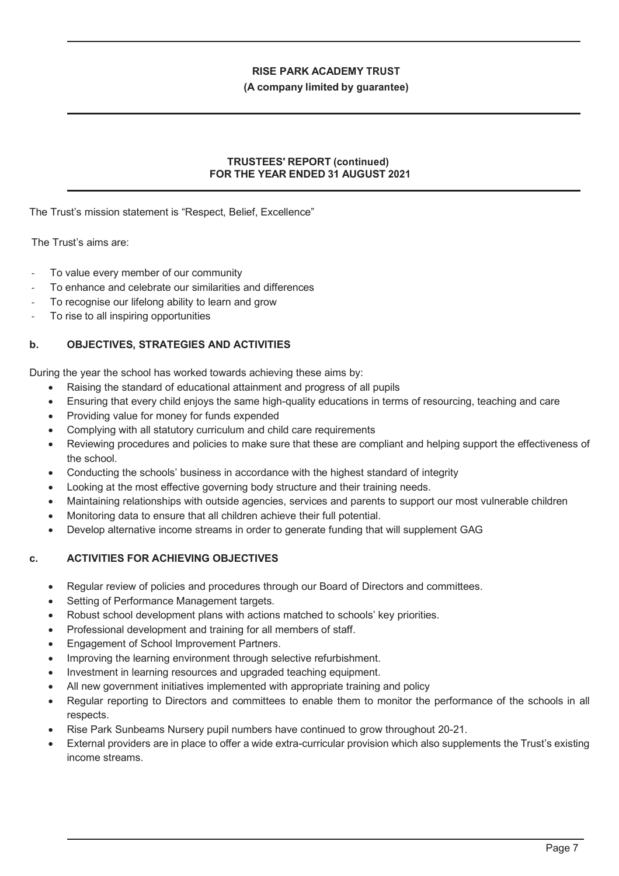#### **(A company limited by guarantee)**

## **TRUSTEES' REPORT (continued) FOR THE YEAR ENDED 31 AUGUST 2021**

#### The Trust's mission statement is "Respect, Belief, Excellence"

The Trust's aims are:

- To value every member of our community
- To enhance and celebrate our similarities and differences
- To recognise our lifelong ability to learn and grow
- To rise to all inspiring opportunities

## **b. OBJECTIVES, STRATEGIES AND ACTIVITIES**

During the year the school has worked towards achieving these aims by:

- Raising the standard of educational attainment and progress of all pupils
- Ensuring that every child enjoys the same high-quality educations in terms of resourcing, teaching and care
- Providing value for money for funds expended
- Complying with all statutory curriculum and child care requirements
- Reviewing procedures and policies to make sure that these are compliant and helping support the effectiveness of the school.
- Conducting the schools' business in accordance with the highest standard of integrity
- Looking at the most effective governing body structure and their training needs.
- Maintaining relationships with outside agencies, services and parents to support our most vulnerable children
- Monitoring data to ensure that all children achieve their full potential.
- Develop alternative income streams in order to generate funding that will supplement GAG

## **c. ACTIVITIES FOR ACHIEVING OBJECTIVES**

- Regular review of policies and procedures through our Board of Directors and committees.
- Setting of Performance Management targets.
- Robust school development plans with actions matched to schools' key priorities.
- Professional development and training for all members of staff.
- Engagement of School Improvement Partners.
- Improving the learning environment through selective refurbishment.
- Investment in learning resources and upgraded teaching equipment.
- All new government initiatives implemented with appropriate training and policy
- Regular reporting to Directors and committees to enable them to monitor the performance of the schools in all respects.
- Rise Park Sunbeams Nursery pupil numbers have continued to grow throughout 20-21.
- x External providers are in place to offer a wide extra-curricular provision which also supplements the Trust's existing income streams.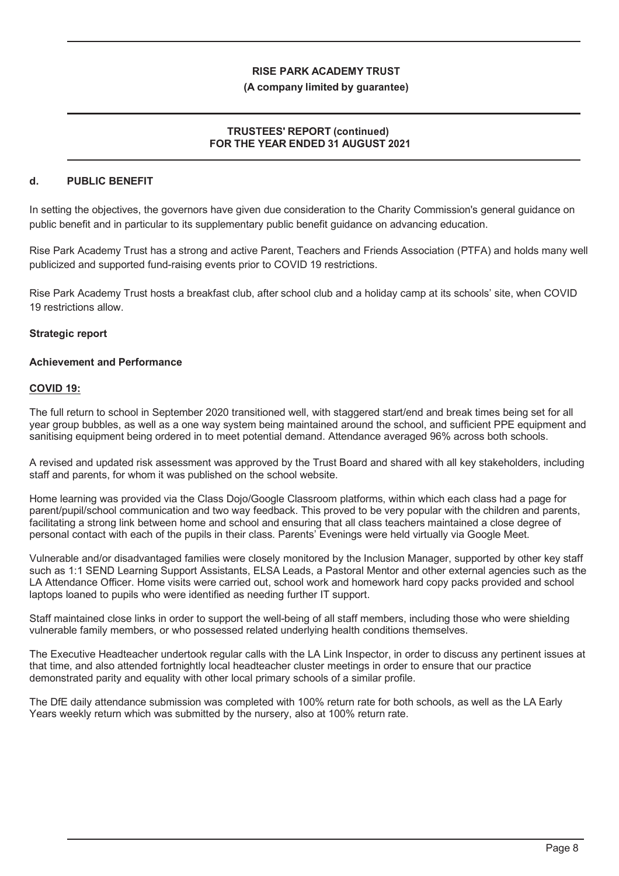#### **(A company limited by guarantee)**

#### **TRUSTEES' REPORT (continued) FOR THE YEAR ENDED 31 AUGUST 2021**

#### **d. PUBLIC BENEFIT**

In setting the objectives, the governors have given due consideration to the Charity Commission's general guidance on public benefit and in particular to its supplementary public benefit guidance on advancing education.

Rise Park Academy Trust has a strong and active Parent, Teachers and Friends Association (PTFA) and holds many well publicized and supported fund-raising events prior to COVID 19 restrictions.

Rise Park Academy Trust hosts a breakfast club, after school club and a holiday camp at its schools' site, when COVID 19 restrictions allow.

#### **Strategic report**

#### **Achievement and Performance**

#### **COVID 19:**

The full return to school in September 2020 transitioned well, with staggered start/end and break times being set for all year group bubbles, as well as a one way system being maintained around the school, and sufficient PPE equipment and sanitising equipment being ordered in to meet potential demand. Attendance averaged 96% across both schools.

A revised and updated risk assessment was approved by the Trust Board and shared with all key stakeholders, including staff and parents, for whom it was published on the school website.

Home learning was provided via the Class Dojo/Google Classroom platforms, within which each class had a page for parent/pupil/school communication and two way feedback. This proved to be very popular with the children and parents, facilitating a strong link between home and school and ensuring that all class teachers maintained a close degree of personal contact with each of the pupils in their class. Parents' Evenings were held virtually via Google Meet.

Vulnerable and/or disadvantaged families were closely monitored by the Inclusion Manager, supported by other key staff such as 1:1 SEND Learning Support Assistants, ELSA Leads, a Pastoral Mentor and other external agencies such as the LA Attendance Officer. Home visits were carried out, school work and homework hard copy packs provided and school laptops loaned to pupils who were identified as needing further IT support.

Staff maintained close links in order to support the well-being of all staff members, including those who were shielding vulnerable family members, or who possessed related underlying health conditions themselves.

The Executive Headteacher undertook regular calls with the LA Link Inspector, in order to discuss any pertinent issues at that time, and also attended fortnightly local headteacher cluster meetings in order to ensure that our practice demonstrated parity and equality with other local primary schools of a similar profile.

The DfE daily attendance submission was completed with 100% return rate for both schools, as well as the LA Early Years weekly return which was submitted by the nursery, also at 100% return rate.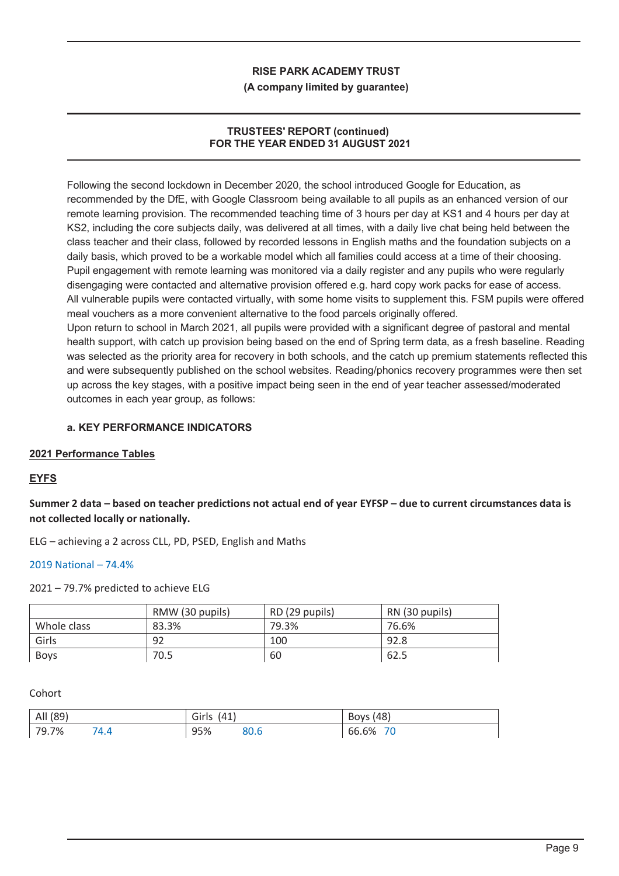#### **(A company limited by guarantee)**

## **TRUSTEES' REPORT (continued) FOR THE YEAR ENDED 31 AUGUST 2021**

Following the second lockdown in December 2020, the school introduced Google for Education, as recommended by the DfE, with Google Classroom being available to all pupils as an enhanced version of our remote learning provision. The recommended teaching time of 3 hours per day at KS1 and 4 hours per day at KS2, including the core subjects daily, was delivered at all times, with a daily live chat being held between the class teacher and their class, followed by recorded lessons in English maths and the foundation subjects on a daily basis, which proved to be a workable model which all families could access at a time of their choosing. Pupil engagement with remote learning was monitored via a daily register and any pupils who were regularly disengaging were contacted and alternative provision offered e.g. hard copy work packs for ease of access. All vulnerable pupils were contacted virtually, with some home visits to supplement this. FSM pupils were offered meal vouchers as a more convenient alternative to the food parcels originally offered.

Upon return to school in March 2021, all pupils were provided with a significant degree of pastoral and mental health support, with catch up provision being based on the end of Spring term data, as a fresh baseline. Reading was selected as the priority area for recovery in both schools, and the catch up premium statements reflected this and were subsequently published on the school websites. Reading/phonics recovery programmes were then set up across the key stages, with a positive impact being seen in the end of year teacher assessed/moderated outcomes in each year group, as follows:

## **a. KEY PERFORMANCE INDICATORS**

#### **2021 Performance Tables**

## **EYFS**

**Summer 2 data – based on teacher predictions not actual end of year EYFSP – due to current circumstances data is not collected locally or nationally.** 

ELG – achieving a 2 across CLL, PD, PSED, English and Maths

2019 National – 74.4%

2021 – 79.7% predicted to achieve ELG

|             | RMW (30 pupils) | RD (29 pupils) | RN (30 pupils) |
|-------------|-----------------|----------------|----------------|
| Whole class | 83.3%           | 79.3%          | 76.6%          |
| Girls       | 92              | 100            | 92.8           |
| <b>Boys</b> | 70.5            | 60             | 62.5           |

Cohort

| All (89) | Girls<br>(41) | <b>Boys</b> (48) |
|----------|---------------|------------------|
| 79.7%    | 95%           | 66.6%            |
| '4.4     | 80.b          | 70               |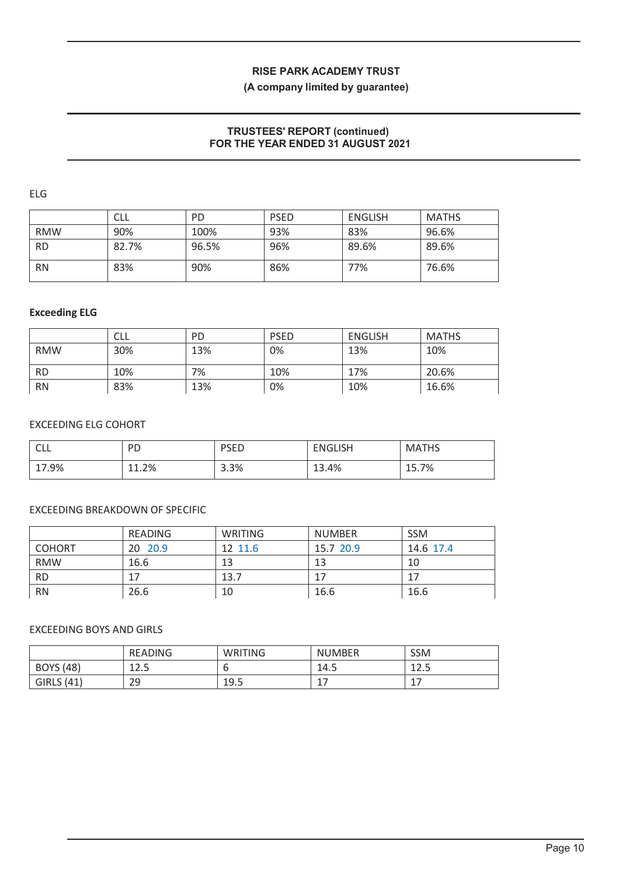## **(A company limited by guarantee)**

## **TRUSTEES' REPORT (continued) FOR THE YEAR ENDED 31 AUGUST 2021**

ELG

|            | CLL   | <b>PD</b> | <b>PSED</b> | <b>ENGLISH</b> | <b>MATHS</b> |
|------------|-------|-----------|-------------|----------------|--------------|
| <b>RMW</b> | 90%   | 100%      | 93%         | 83%            | 96.6%        |
| <b>RD</b>  | 82.7% | 96.5%     | 96%         | 89.6%          | 89.6%        |
| <b>RN</b>  | 83%   | 90%       | 86%         | 77%            | 76.6%        |

#### **Exceeding ELG**

|            | CLL | <b>PD</b> | <b>PSED</b> | <b>ENGLISH</b> | <b>MATHS</b> |
|------------|-----|-----------|-------------|----------------|--------------|
| <b>RMW</b> | 30% | 13%       | 0%          | 13%            | 10%          |
| <b>RD</b>  | 10% | 7%        | 10%         | 17%            | 20.6%        |
| <b>RN</b>  | 83% | 13%       | 0%          | 10%            | 16.6%        |

## EXCEEDING ELG COHORT

| $\sim$ $\sim$<br>◡└└ | <b>PD</b> | <b>PSED</b> | <b>ENGLISH</b> | <b>MATHS</b> |
|----------------------|-----------|-------------|----------------|--------------|
| 17.9%                | 11.2%     | 3.3%        | 13.4%          | 15.7%        |

## EXCEEDING BREAKDOWN OF SPECIFIC

|               | <b>READING</b> | WRITING | <b>NUMBER</b> | <b>SSM</b> |
|---------------|----------------|---------|---------------|------------|
| <b>COHORT</b> | 20 20.9        | 12 11.6 | 15.7 20.9     | 14.6 17.4  |
| <b>RMW</b>    | 16.6           | 13      | 13            | 10         |
| <b>RD</b>     |                | 13.7    | 17            | 17         |
| <b>RN</b>     | 26.6           | 10      | 16.6          | 16.6       |

## EXCEEDING BOYS AND GIRLS

|                   | <b>READING</b> | WRITING | UMBER<br>Νl           | <b>SSM</b>   |
|-------------------|----------------|---------|-----------------------|--------------|
| <b>BOYS (48)</b>  | 1つ ロ<br>د. ۲ ـ |         | 14.5                  | . 12.<br>ᆂᄼᇰ |
| <b>GIRLS (41)</b> | 29             | 19.5    | $\overline{ }$<br>a 1 | -<br>--      |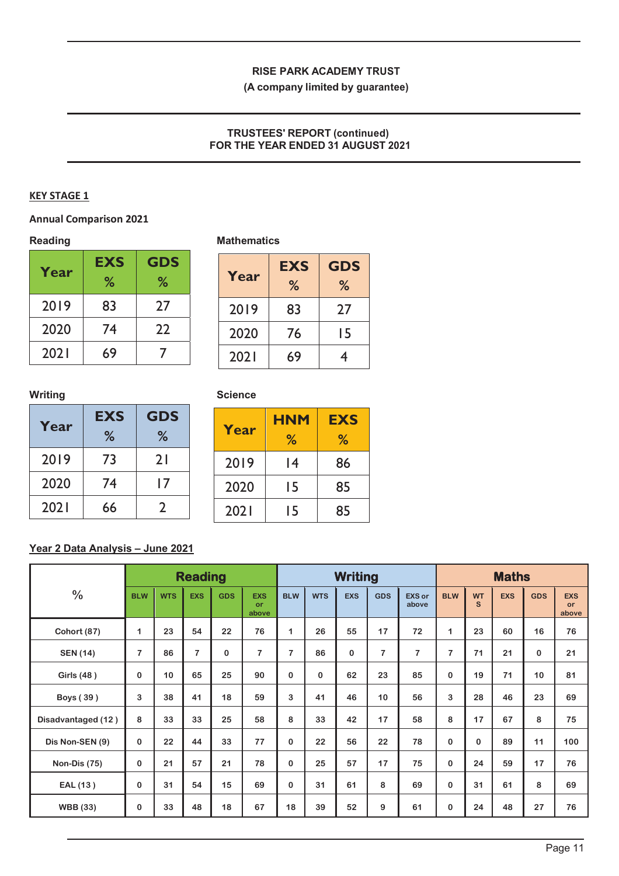**(A company limited by guarantee)**

## **TRUSTEES' REPORT (continued) FOR THE YEAR ENDED 31 AUGUST 2021**

## **KEY STAGE 1**

## **Annual Comparison 2021**

|      | <b>EXS</b> | <b>GDS</b> |  |  |
|------|------------|------------|--|--|
| Year | %          | %          |  |  |
| 2019 | 83         | 27         |  |  |
| 2020 | 74         | 22         |  |  |
| 2021 | 69         |            |  |  |

## Reading **Mathematics Mathematics**

| Year | <b>EXS</b><br>% | <b>GDS</b><br>% |
|------|-----------------|-----------------|
| 2019 | 83              | 27              |
| 2020 | 76              | 15              |
| 2021 | 69              | 4               |

## **Writing**

| Year | <b>EXS</b> | <b>GDS</b> |  |  |  |  |  |  |
|------|------------|------------|--|--|--|--|--|--|
|      | %          | %          |  |  |  |  |  |  |
| 2019 | 73         | 21         |  |  |  |  |  |  |
| 2020 | 74         | 17         |  |  |  |  |  |  |
| 2021 | 66         | 7          |  |  |  |  |  |  |

| <b>Science</b> |  |
|----------------|--|
|----------------|--|

| Year | <b>HNM</b><br>℅ | <b>EXS</b><br>℅ |
|------|-----------------|-----------------|
| 2019 | 14              | 86              |
| 2020 | 15              | 85              |
| 2021 | 15              | 85              |

# **Year 2 Data Analysis – June 2021**

|                     |             |            | <b>Reading</b> |            |                           |                |            | <b>Writing</b> |                |                        | <b>Maths</b> |                |            |            |                                  |
|---------------------|-------------|------------|----------------|------------|---------------------------|----------------|------------|----------------|----------------|------------------------|--------------|----------------|------------|------------|----------------------------------|
| $\frac{0}{0}$       | <b>BLW</b>  | <b>WTS</b> | <b>EXS</b>     | <b>GDS</b> | <b>EXS</b><br>or<br>above | <b>BLW</b>     | <b>WTS</b> | <b>EXS</b>     | <b>GDS</b>     | <b>EXS or</b><br>above | <b>BLW</b>   | <b>WT</b><br>S | <b>EXS</b> | <b>GDS</b> | <b>EXS</b><br><b>or</b><br>above |
| <b>Cohort (87)</b>  | 1           | 23         | 54             | 22         | 76                        | 1              | 26         | 55             | 17             | 72                     | $\mathbf 1$  | 23             | 60         | 16         | 76                               |
| <b>SEN (14)</b>     | 7           | 86         | 7              | 0          | $\overline{7}$            | $\overline{7}$ | 86         | 0              | $\overline{7}$ | 7                      | 7            | 71             | 21         | 0          | 21                               |
| Girls (48)          | $\bf{0}$    | 10         | 65             | 25         | 90                        | $\Omega$       | $\Omega$   | 62             | 23             | 85                     | $\bf{0}$     | 19             | 71         | 10         | 81                               |
| Boys (39)           | 3           | 38         | 41             | 18         | 59                        | 3              | 41         | 46             | 10             | 56                     | 3            | 28             | 46         | 23         | 69                               |
| Disadvantaged (12)  | 8           | 33         | 33             | 25         | 58                        | 8              | 33         | 42             | 17             | 58                     | 8            | 17             | 67         | 8          | 75                               |
| Dis Non-SEN (9)     | $\mathbf 0$ | 22         | 44             | 33         | 77                        | 0              | 22         | 56             | 22             | 78                     | $\mathbf 0$  | $\bf{0}$       | 89         | 11         | 100                              |
| <b>Non-Dis (75)</b> | $\bf{0}$    | 21         | 57             | 21         | 78                        | $\Omega$       | 25         | 57             | 17             | 75                     | $\bf{0}$     | 24             | 59         | 17         | 76                               |
| EAL (13)            | $\bf{0}$    | 31         | 54             | 15         | 69                        | 0              | 31         | 61             | 8              | 69                     | $\bf{0}$     | 31             | 61         | 8          | 69                               |
| <b>WBB</b> (33)     | 0           | 33         | 48             | 18         | 67                        | 18             | 39         | 52             | 9              | 61                     | $\bf{0}$     | 24             | 48         | 27         | 76                               |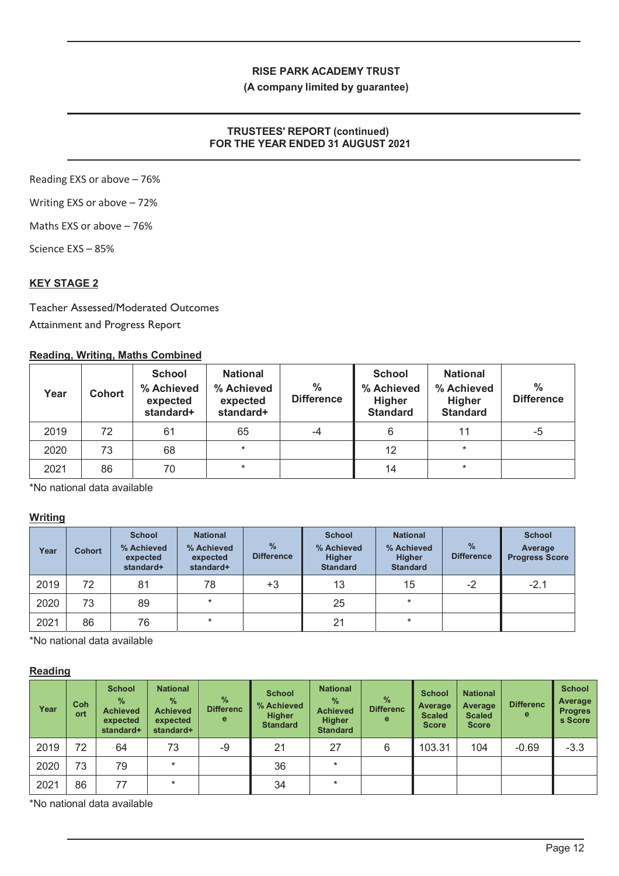#### **(A company limited by guarantee)**

## **TRUSTEES' REPORT (continued) FOR THE YEAR ENDED 31 AUGUST 2021**

Reading EXS or above – 76%

Writing EXS or above – 72%

Maths EXS or above – 76%

Science EXS – 85%

## **KEY STAGE 2**

Teacher Assessed/Moderated Outcomes Attainment and Progress Report

## **Reading, Writing, Maths Combined**

| Year | <b>Cohort</b> | <b>School</b><br>% Achieved<br>expected<br>standard+ | <b>National</b><br>% Achieved<br>expected<br>standard+ | $\frac{0}{0}$<br><b>Difference</b> | <b>School</b><br>% Achieved<br><b>Higher</b><br><b>Standard</b> | <b>National</b><br>% Achieved<br>Higher<br><b>Standard</b> | $\frac{0}{0}$<br><b>Difference</b> |
|------|---------------|------------------------------------------------------|--------------------------------------------------------|------------------------------------|-----------------------------------------------------------------|------------------------------------------------------------|------------------------------------|
| 2019 | 72            | 61                                                   | 65                                                     | -4                                 | 6                                                               | 11                                                         | -5                                 |
| 2020 | 73            | 68                                                   | $\star$                                                |                                    | 12                                                              | $\star$                                                    |                                    |
| 2021 | 86            | 70                                                   | $\ast$                                                 |                                    | 14                                                              | $\star$                                                    |                                    |

\*No national data available

## **Writing**

| Year | <b>Cohort</b> | <b>School</b><br>% Achieved<br>expected<br>standard+ | <b>National</b><br>% Achieved<br>expected<br>standard+ | $\frac{0}{0}$<br><b>Difference</b> | <b>School</b><br>% Achieved<br><b>Higher</b><br><b>Standard</b> | <b>National</b><br>% Achieved<br><b>Higher</b><br><b>Standard</b> | $\frac{9}{6}$<br><b>Difference</b> | <b>School</b><br>Average<br><b>Progress Score</b> |
|------|---------------|------------------------------------------------------|--------------------------------------------------------|------------------------------------|-----------------------------------------------------------------|-------------------------------------------------------------------|------------------------------------|---------------------------------------------------|
| 2019 | 72            | 81                                                   | 78                                                     | +3                                 | 13                                                              | 15                                                                | $-2$                               | $-2.1$                                            |
| 2020 | 73            | 89                                                   | $\star$                                                |                                    | 25                                                              | ¥                                                                 |                                    |                                                   |
| 2021 | 86            | 76                                                   | $\star$                                                |                                    | 21                                                              | $\star$                                                           |                                    |                                                   |

\*No national data available

## **Reading**

| Year | <b>Coh</b><br>ort | <b>School</b><br>$\frac{9}{6}$<br><b>Achieved</b><br>expected<br>standard+ | <b>National</b><br>$\frac{9}{6}$<br><b>Achieved</b><br>expected<br>standard+ | $\%$<br><b>Differenc</b><br>e | <b>School</b><br>% Achieved<br><b>Higher</b><br><b>Standard</b> | <b>National</b><br>$\frac{9}{6}$<br><b>Achieved</b><br><b>Higher</b><br><b>Standard</b> | $\%$<br><b>Differenc</b><br>е | <b>School</b><br>Average<br><b>Scaled</b><br><b>Score</b> | <b>National</b><br>Average<br><b>Scaled</b><br><b>Score</b> | <b>Differenc</b><br>е | <b>School</b><br>Average<br><b>Progres</b><br>s Score |
|------|-------------------|----------------------------------------------------------------------------|------------------------------------------------------------------------------|-------------------------------|-----------------------------------------------------------------|-----------------------------------------------------------------------------------------|-------------------------------|-----------------------------------------------------------|-------------------------------------------------------------|-----------------------|-------------------------------------------------------|
| 2019 | 72                | 64                                                                         | 73                                                                           | $-9$                          | 21                                                              | 27                                                                                      | 6                             | 103.31                                                    | 104                                                         | $-0.69$               | $-3.3$                                                |
| 2020 | 73                | 79                                                                         | $\star$                                                                      |                               | 36                                                              | $\ast$                                                                                  |                               |                                                           |                                                             |                       |                                                       |
| 2021 | 86                | 77                                                                         | ÷                                                                            |                               | 34                                                              | $\star$                                                                                 |                               |                                                           |                                                             |                       |                                                       |

\*No national data available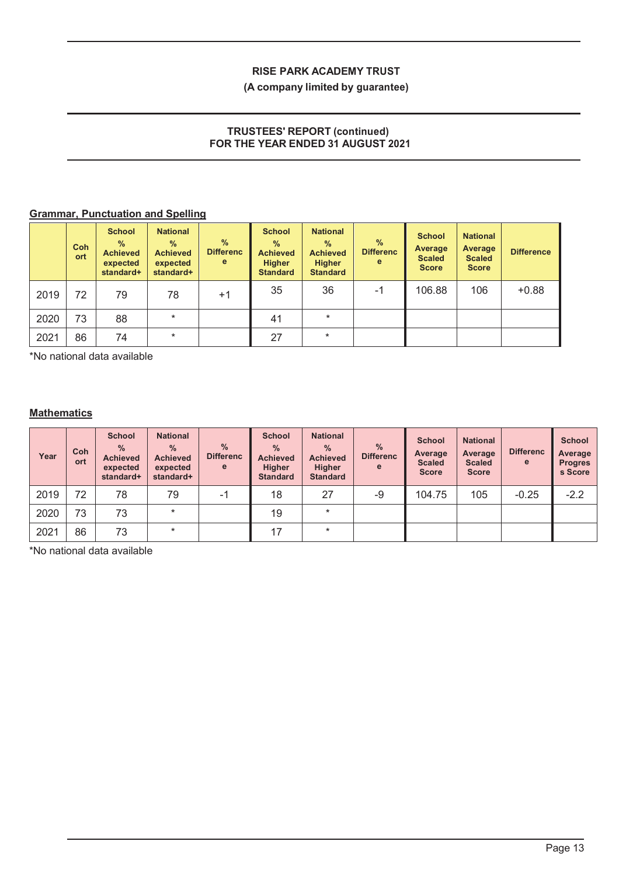## **(A company limited by guarantee)**

## **TRUSTEES' REPORT (continued) FOR THE YEAR ENDED 31 AUGUST 2021**

# **Grammar, Punctuation and Spelling**

|      | <b>Coh</b><br>ort | <b>School</b><br>$\%$<br><b>Achieved</b><br>expected<br>standard+ | <b>National</b><br>$\frac{9}{6}$<br><b>Achieved</b><br>expected<br>standard+ | %<br><b>Differenc</b><br>e | <b>School</b><br>$\%$<br><b>Achieved</b><br><b>Higher</b><br><b>Standard</b> | <b>National</b><br>$\%$<br><b>Achieved</b><br><b>Higher</b><br><b>Standard</b> | $\frac{9}{6}$<br><b>Differenc</b><br>e | <b>School</b><br>Average<br><b>Scaled</b><br><b>Score</b> | <b>National</b><br>Average<br><b>Scaled</b><br><b>Score</b> | <b>Difference</b> |
|------|-------------------|-------------------------------------------------------------------|------------------------------------------------------------------------------|----------------------------|------------------------------------------------------------------------------|--------------------------------------------------------------------------------|----------------------------------------|-----------------------------------------------------------|-------------------------------------------------------------|-------------------|
| 2019 | 72                | 79                                                                | 78                                                                           | $+1$                       | 35                                                                           | 36                                                                             | -1                                     | 106.88                                                    | 106                                                         | $+0.88$           |
| 2020 | 73                | 88                                                                | $\star$                                                                      |                            | 41                                                                           | $\ast$                                                                         |                                        |                                                           |                                                             |                   |
| 2021 | 86                | 74                                                                | $\ast$                                                                       |                            | 27                                                                           | $\ast$                                                                         |                                        |                                                           |                                                             |                   |

\*No national data available

## **Mathematics**

| Year | Coh<br>ort | <b>School</b><br>$\frac{9}{6}$<br><b>Achieved</b><br>expected<br>standard+ | <b>National</b><br>$\frac{9}{6}$<br><b>Achieved</b><br>expected<br>standard+ | $\%$<br><b>Differenc</b><br>e | <b>School</b><br>$\frac{9}{6}$<br><b>Achieved</b><br><b>Higher</b><br><b>Standard</b> | <b>National</b><br>$\frac{0}{0}$<br><b>Achieved</b><br><b>Higher</b><br><b>Standard</b> | $\frac{9}{6}$<br><b>Differenc</b><br>e | <b>School</b><br>Average<br><b>Scaled</b><br><b>Score</b> | <b>National</b><br>Average<br><b>Scaled</b><br><b>Score</b> | <b>Differenc</b><br>e | <b>School</b><br>Average<br><b>Progres</b><br>s Score |
|------|------------|----------------------------------------------------------------------------|------------------------------------------------------------------------------|-------------------------------|---------------------------------------------------------------------------------------|-----------------------------------------------------------------------------------------|----------------------------------------|-----------------------------------------------------------|-------------------------------------------------------------|-----------------------|-------------------------------------------------------|
| 2019 | 72         | 78                                                                         | 79                                                                           | -1                            | 18                                                                                    | 27                                                                                      | -9                                     | 104.75                                                    | 105                                                         | $-0.25$               | $-2.2$                                                |
| 2020 | 73         | 73                                                                         | $\star$                                                                      |                               | 19                                                                                    | $\star$                                                                                 |                                        |                                                           |                                                             |                       |                                                       |
| 2021 | 86         | 73                                                                         | $\ast$                                                                       |                               | 17                                                                                    | $\star$                                                                                 |                                        |                                                           |                                                             |                       |                                                       |

\*No national data available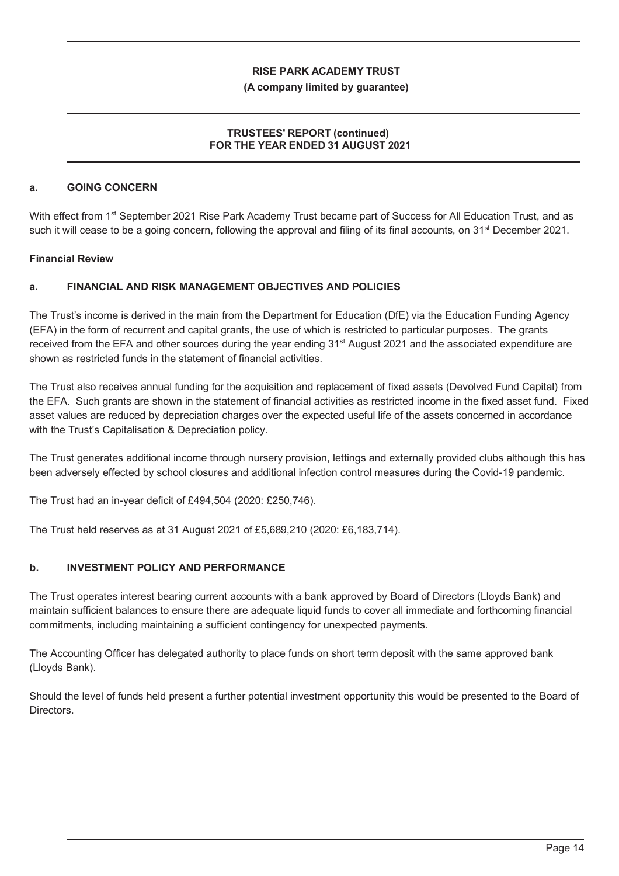#### **(A company limited by guarantee)**

## **TRUSTEES' REPORT (continued) FOR THE YEAR ENDED 31 AUGUST 2021**

## **a. GOING CONCERN**

With effect from 1<sup>st</sup> September 2021 Rise Park Academy Trust became part of Success for All Education Trust, and as such it will cease to be a going concern, following the approval and filing of its final accounts, on 31<sup>st</sup> December 2021.

## **Financial Review**

## **a. FINANCIAL AND RISK MANAGEMENT OBJECTIVES AND POLICIES**

The Trust's income is derived in the main from the Department for Education (DfE) via the Education Funding Agency (EFA) in the form of recurrent and capital grants, the use of which is restricted to particular purposes. The grants received from the EFA and other sources during the year ending 31<sup>st</sup> August 2021 and the associated expenditure are shown as restricted funds in the statement of financial activities.

The Trust also receives annual funding for the acquisition and replacement of fixed assets (Devolved Fund Capital) from the EFA. Such grants are shown in the statement of financial activities as restricted income in the fixed asset fund. Fixed asset values are reduced by depreciation charges over the expected useful life of the assets concerned in accordance with the Trust's Capitalisation & Depreciation policy.

The Trust generates additional income through nursery provision, lettings and externally provided clubs although this has been adversely effected by school closures and additional infection control measures during the Covid-19 pandemic.

The Trust had an in-year deficit of £494,504 (2020: £250,746).

The Trust held reserves as at 31 August 2021 of £5,689,210 (2020: £6,183,714).

#### **b. INVESTMENT POLICY AND PERFORMANCE**

The Trust operates interest bearing current accounts with a bank approved by Board of Directors (Lloyds Bank) and maintain sufficient balances to ensure there are adequate liquid funds to cover all immediate and forthcoming financial commitments, including maintaining a sufficient contingency for unexpected payments.

The Accounting Officer has delegated authority to place funds on short term deposit with the same approved bank (Lloyds Bank).

Should the level of funds held present a further potential investment opportunity this would be presented to the Board of Directors.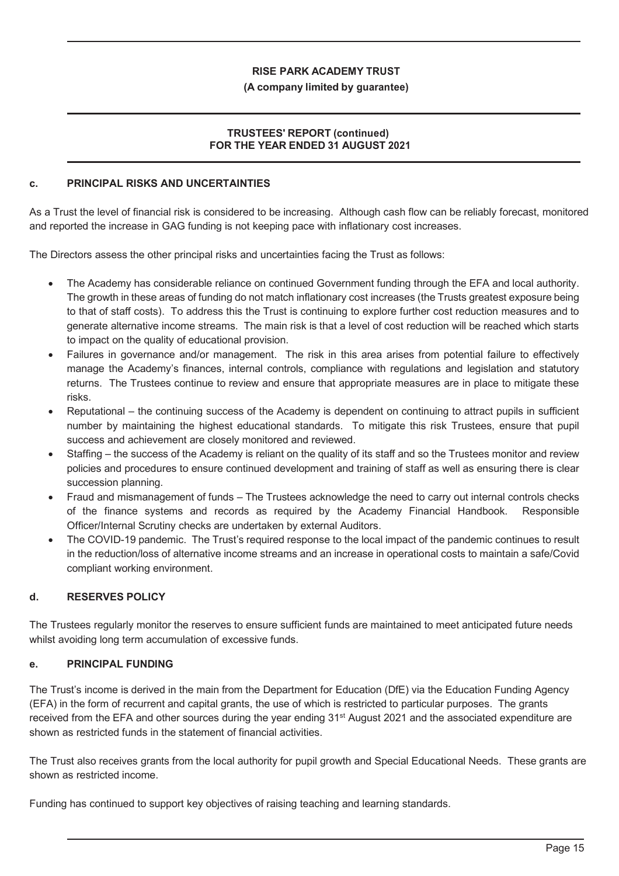#### **(A company limited by guarantee)**

## **TRUSTEES' REPORT (continued) FOR THE YEAR ENDED 31 AUGUST 2021**

#### **c. PRINCIPAL RISKS AND UNCERTAINTIES**

As a Trust the level of financial risk is considered to be increasing. Although cash flow can be reliably forecast, monitored and reported the increase in GAG funding is not keeping pace with inflationary cost increases.

The Directors assess the other principal risks and uncertainties facing the Trust as follows:

- The Academy has considerable reliance on continued Government funding through the EFA and local authority. The growth in these areas of funding do not match inflationary cost increases (the Trusts greatest exposure being to that of staff costs). To address this the Trust is continuing to explore further cost reduction measures and to generate alternative income streams. The main risk is that a level of cost reduction will be reached which starts to impact on the quality of educational provision.
- Failures in governance and/or management. The risk in this area arises from potential failure to effectively manage the Academy's finances, internal controls, compliance with regulations and legislation and statutory returns. The Trustees continue to review and ensure that appropriate measures are in place to mitigate these risks.
- x Reputational the continuing success of the Academy is dependent on continuing to attract pupils in sufficient number by maintaining the highest educational standards. To mitigate this risk Trustees, ensure that pupil success and achievement are closely monitored and reviewed.
- Staffing the success of the Academy is reliant on the quality of its staff and so the Trustees monitor and review policies and procedures to ensure continued development and training of staff as well as ensuring there is clear succession planning.
- Fraud and mismanagement of funds The Trustees acknowledge the need to carry out internal controls checks of the finance systems and records as required by the Academy Financial Handbook. Responsible Officer/Internal Scrutiny checks are undertaken by external Auditors.
- The COVID-19 pandemic. The Trust's required response to the local impact of the pandemic continues to result in the reduction/loss of alternative income streams and an increase in operational costs to maintain a safe/Covid compliant working environment.

#### **d. RESERVES POLICY**

The Trustees regularly monitor the reserves to ensure sufficient funds are maintained to meet anticipated future needs whilst avoiding long term accumulation of excessive funds.

#### **e. PRINCIPAL FUNDING**

The Trust's income is derived in the main from the Department for Education (DfE) via the Education Funding Agency (EFA) in the form of recurrent and capital grants, the use of which is restricted to particular purposes. The grants received from the EFA and other sources during the year ending 31<sup>st</sup> August 2021 and the associated expenditure are shown as restricted funds in the statement of financial activities.

The Trust also receives grants from the local authority for pupil growth and Special Educational Needs. These grants are shown as restricted income.

Funding has continued to support key objectives of raising teaching and learning standards.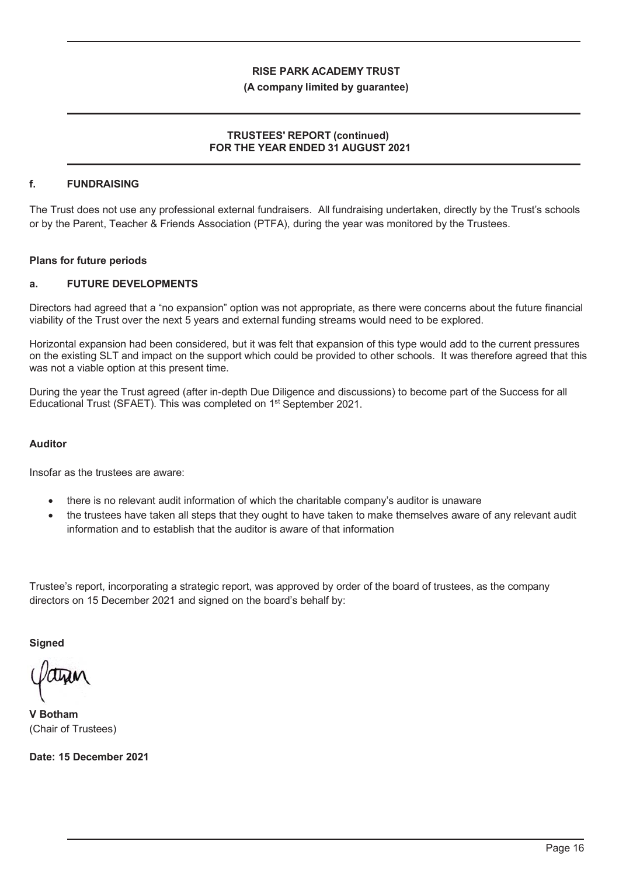#### **(A company limited by guarantee)**

#### **TRUSTEES' REPORT (continued) FOR THE YEAR ENDED 31 AUGUST 2021**

## **f. FUNDRAISING**

The Trust does not use any professional external fundraisers. All fundraising undertaken, directly by the Trust's schools or by the Parent, Teacher & Friends Association (PTFA), during the year was monitored by the Trustees.

#### **Plans for future periods**

#### **a. FUTURE DEVELOPMENTS**

Directors had agreed that a "no expansion" option was not appropriate, as there were concerns about the future financial viability of the Trust over the next 5 years and external funding streams would need to be explored.

Horizontal expansion had been considered, but it was felt that expansion of this type would add to the current pressures on the existing SLT and impact on the support which could be provided to other schools. It was therefore agreed that this was not a viable option at this present time.

During the year the Trust agreed (after in-depth Due Diligence and discussions) to become part of the Success for all Educational Trust (SFAET). This was completed on 1st September 2021.

#### **Auditor**

Insofar as the trustees are aware:

- there is no relevant audit information of which the charitable company's auditor is unaware
- the trustees have taken all steps that they ought to have taken to make themselves aware of any relevant audit information and to establish that the auditor is aware of that information

Trustee's report, incorporating a strategic report, was approved by order of the board of trustees, as the company directors on 15 December 2021 and signed on the board's behalf by:

**Signed**

**V Botham** (Chair of Trustees)

**Date: 15 December 2021**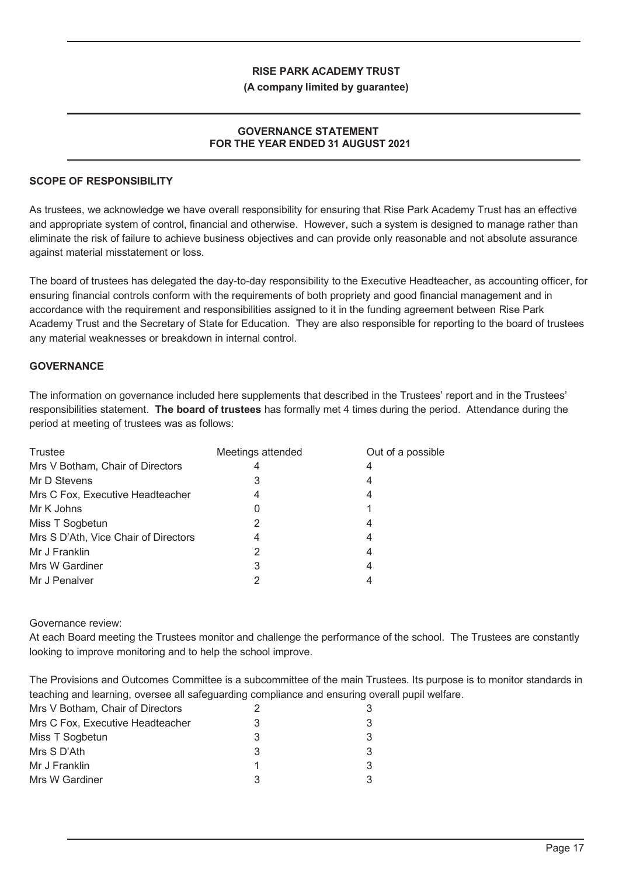#### **(A company limited by guarantee)**

#### **GOVERNANCE STATEMENT FOR THE YEAR ENDED 31 AUGUST 2021**

#### **SCOPE OF RESPONSIBILITY**

As trustees, we acknowledge we have overall responsibility for ensuring that Rise Park Academy Trust has an effective and appropriate system of control, financial and otherwise. However, such a system is designed to manage rather than eliminate the risk of failure to achieve business objectives and can provide only reasonable and not absolute assurance against material misstatement or loss.

The board of trustees has delegated the day-to-day responsibility to the Executive Headteacher, as accounting officer, for ensuring financial controls conform with the requirements of both propriety and good financial management and in accordance with the requirement and responsibilities assigned to it in the funding agreement between Rise Park Academy Trust and the Secretary of State for Education. They are also responsible for reporting to the board of trustees any material weaknesses or breakdown in internal control.

## **GOVERNANCE**

The information on governance included here supplements that described in the Trustees' report and in the Trustees' responsibilities statement. **The board of trustees** has formally met 4 times during the period. Attendance during the period at meeting of trustees was as follows:

| Trustee                              | Meetings attended | Out of a possible |
|--------------------------------------|-------------------|-------------------|
| Mrs V Botham, Chair of Directors     | 4                 | 4                 |
| Mr D Stevens                         | 3                 | 4                 |
| Mrs C Fox, Executive Headteacher     | 4                 | 4                 |
| Mr K Johns                           | 0                 |                   |
| Miss T Sogbetun                      | 2                 | 4                 |
| Mrs S D'Ath, Vice Chair of Directors | 4                 | 4                 |
| Mr J Franklin                        |                   | 4                 |
| Mrs W Gardiner                       | 3                 | 4                 |
| Mr J Penalver                        |                   | 4                 |

#### Governance review:

At each Board meeting the Trustees monitor and challenge the performance of the school. The Trustees are constantly looking to improve monitoring and to help the school improve.

The Provisions and Outcomes Committee is a subcommittee of the main Trustees. Its purpose is to monitor standards in teaching and learning, oversee all safeguarding compliance and ensuring overall pupil welfare.

| Mrs V Botham, Chair of Directors | 3 |
|----------------------------------|---|
| Mrs C Fox, Executive Headteacher | 3 |
| Miss T Sogbetun                  | 3 |
| Mrs S D'Ath                      | 3 |
| Mr J Franklin                    | 3 |
| Mrs W Gardiner                   |   |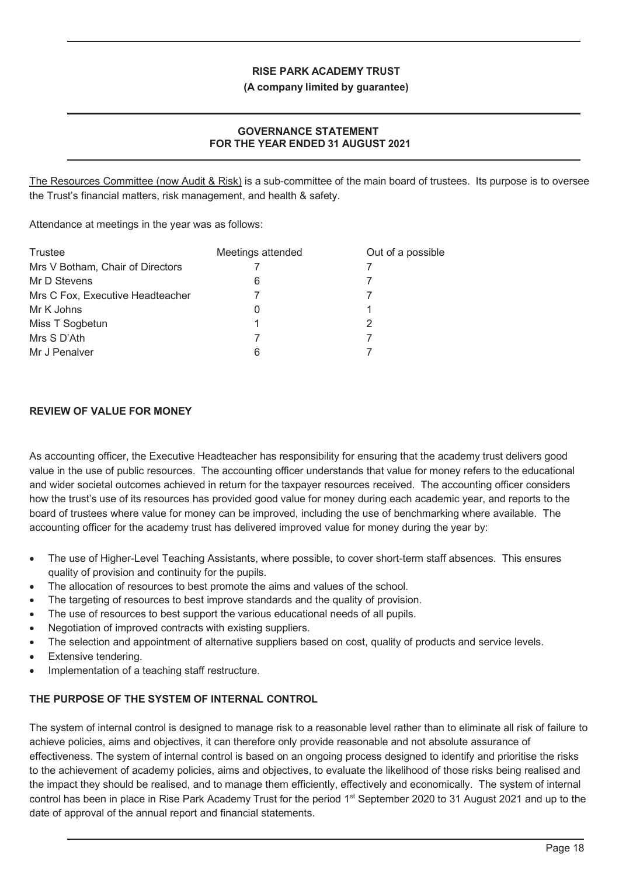**(A company limited by guarantee)**

## **GOVERNANCE STATEMENT FOR THE YEAR ENDED 31 AUGUST 2021**

The Resources Committee (now Audit & Risk) is a sub-committee of the main board of trustees. Its purpose is to oversee the Trust's financial matters, risk management, and health & safety.

Attendance at meetings in the year was as follows:

| Trustee                          | Meetings attended | Out of a possible |
|----------------------------------|-------------------|-------------------|
| Mrs V Botham, Chair of Directors |                   |                   |
| Mr D Stevens                     | 6                 |                   |
| Mrs C Fox, Executive Headteacher |                   |                   |
| Mr K Johns                       |                   |                   |
| Miss T Sogbetun                  |                   |                   |
| Mrs S D'Ath                      |                   |                   |
| Mr J Penalver                    | 6                 |                   |

## **REVIEW OF VALUE FOR MONEY**

As accounting officer, the Executive Headteacher has responsibility for ensuring that the academy trust delivers good value in the use of public resources. The accounting officer understands that value for money refers to the educational and wider societal outcomes achieved in return for the taxpayer resources received. The accounting officer considers how the trust's use of its resources has provided good value for money during each academic year, and reports to the board of trustees where value for money can be improved, including the use of benchmarking where available. The accounting officer for the academy trust has delivered improved value for money during the year by:

- The use of Higher-Level Teaching Assistants, where possible, to cover short-term staff absences. This ensures quality of provision and continuity for the pupils.
- The allocation of resources to best promote the aims and values of the school.
- The targeting of resources to best improve standards and the quality of provision.
- The use of resources to best support the various educational needs of all pupils.
- Negotiation of improved contracts with existing suppliers.
- The selection and appointment of alternative suppliers based on cost, quality of products and service levels.
- Extensive tendering.
- Implementation of a teaching staff restructure.

## **THE PURPOSE OF THE SYSTEM OF INTERNAL CONTROL**

The system of internal control is designed to manage risk to a reasonable level rather than to eliminate all risk of failure to achieve policies, aims and objectives, it can therefore only provide reasonable and not absolute assurance of effectiveness. The system of internal control is based on an ongoing process designed to identify and prioritise the risks to the achievement of academy policies, aims and objectives, to evaluate the likelihood of those risks being realised and the impact they should be realised, and to manage them efficiently, effectively and economically. The system of internal control has been in place in Rise Park Academy Trust for the period 1<sup>st</sup> September 2020 to 31 August 2021 and up to the date of approval of the annual report and financial statements.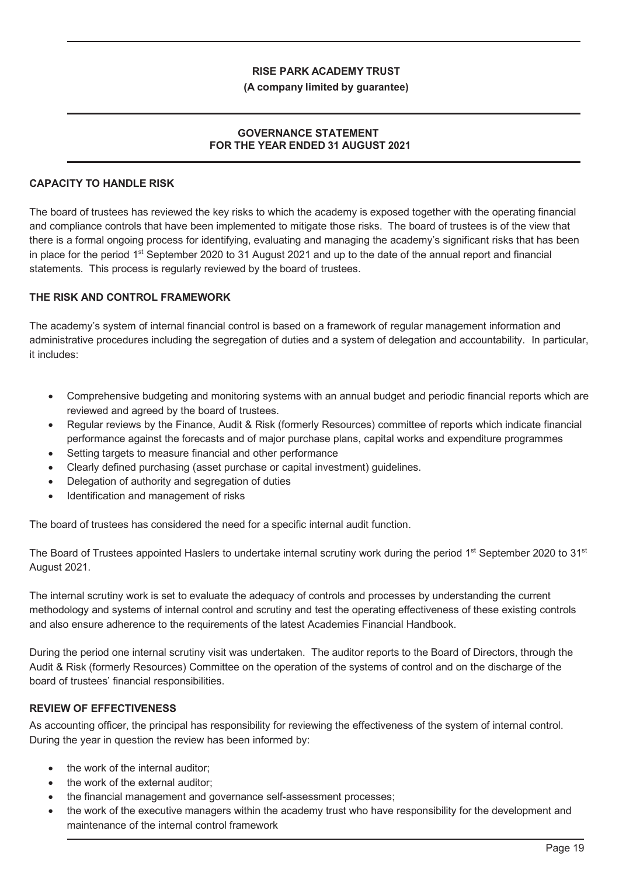#### **(A company limited by guarantee)**

#### **GOVERNANCE STATEMENT FOR THE YEAR ENDED 31 AUGUST 2021**

## **CAPACITY TO HANDLE RISK**

The board of trustees has reviewed the key risks to which the academy is exposed together with the operating financial and compliance controls that have been implemented to mitigate those risks. The board of trustees is of the view that there is a formal ongoing process for identifying, evaluating and managing the academy's significant risks that has been in place for the period 1st September 2020 to 31 August 2021 and up to the date of the annual report and financial statements. This process is regularly reviewed by the board of trustees.

#### **THE RISK AND CONTROL FRAMEWORK**

The academy's system of internal financial control is based on a framework of regular management information and administrative procedures including the segregation of duties and a system of delegation and accountability. In particular, it includes:

- Comprehensive budgeting and monitoring systems with an annual budget and periodic financial reports which are reviewed and agreed by the board of trustees.
- Regular reviews by the Finance, Audit & Risk (formerly Resources) committee of reports which indicate financial performance against the forecasts and of major purchase plans, capital works and expenditure programmes
- Setting targets to measure financial and other performance
- x Clearly defined purchasing (asset purchase or capital investment) guidelines.
- Delegation of authority and segregation of duties
- Identification and management of risks

The board of trustees has considered the need for a specific internal audit function.

The Board of Trustees appointed Haslers to undertake internal scrutiny work during the period  $1<sup>st</sup>$  September 2020 to  $31<sup>st</sup>$ August 2021.

The internal scrutiny work is set to evaluate the adequacy of controls and processes by understanding the current methodology and systems of internal control and scrutiny and test the operating effectiveness of these existing controls and also ensure adherence to the requirements of the latest Academies Financial Handbook.

During the period one internal scrutiny visit was undertaken. The auditor reports to the Board of Directors, through the Audit & Risk (formerly Resources) Committee on the operation of the systems of control and on the discharge of the board of trustees' financial responsibilities.

#### **REVIEW OF EFFECTIVENESS**

As accounting officer, the principal has responsibility for reviewing the effectiveness of the system of internal control. During the year in question the review has been informed by:

- the work of the internal auditor:
- the work of the external auditor:
- the financial management and governance self-assessment processes;
- the work of the executive managers within the academy trust who have responsibility for the development and maintenance of the internal control framework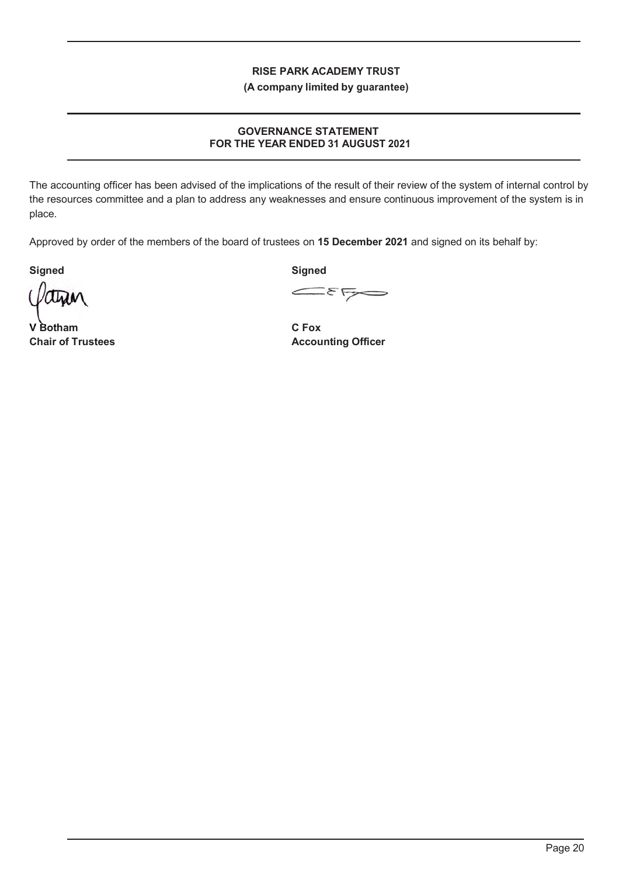**(A company limited by guarantee)**

## **GOVERNANCE STATEMENT FOR THE YEAR ENDED 31 AUGUST 2021**

The accounting officer has been advised of the implications of the result of their review of the system of internal control by the resources committee and a plan to address any weaknesses and ensure continuous improvement of the system is in place.

Approved by order of the members of the board of trustees on **15 December 2021** and signed on its behalf by:

**Signed** Signed Signed

ாவ

**V Botham C Fox V Botham**

 $E_{\text{F}}$ 

**Chair of Trustees Accounting Officer**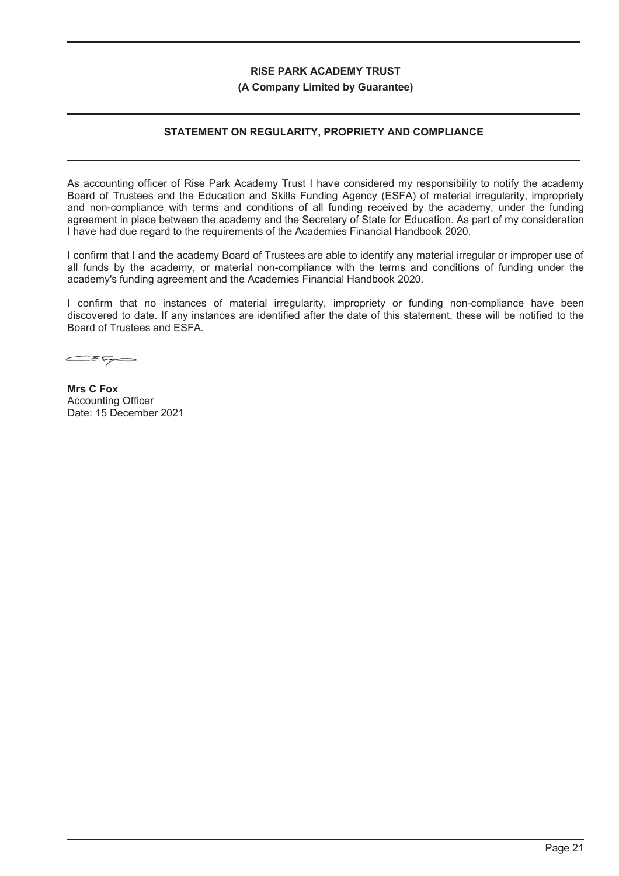#### **(A Company Limited by Guarantee)**

## **STATEMENT ON REGULARITY, PROPRIETY AND COMPLIANCE**

As accounting officer of Rise Park Academy Trust I have considered my responsibility to notify the academy Board of Trustees and the Education and Skills Funding Agency (ESFA) of material irregularity, impropriety and non-compliance with terms and conditions of all funding received by the academy, under the funding agreement in place between the academy and the Secretary of State for Education. As part of my consideration I have had due regard to the requirements of the Academies Financial Handbook 2020.

I confirm that I and the academy Board of Trustees are able to identify any material irregular or improper use of all funds by the academy, or material non-compliance with the terms and conditions of funding under the academy's funding agreement and the Academies Financial Handbook 2020.

I confirm that no instances of material irregularity, impropriety or funding non-compliance have been discovered to date. If any instances are identified after the date of this statement, these will be notified to the Board of Trustees and ESFA.

 $E_{F}$ 

**Mrs C Fox** Accounting Officer Date: 15 December 2021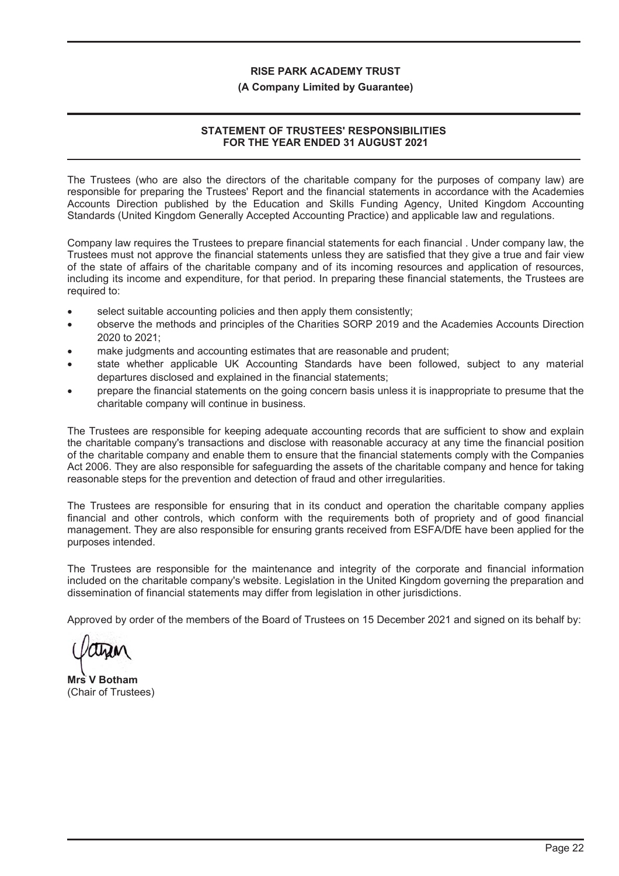#### **(A Company Limited by Guarantee)**

## **STATEMENT OF TRUSTEES' RESPONSIBILITIES FOR THE YEAR ENDED 31 AUGUST 2021**

The Trustees (who are also the directors of the charitable company for the purposes of company law) are responsible for preparing the Trustees' Report and the financial statements in accordance with the Academies Accounts Direction published by the Education and Skills Funding Agency, United Kingdom Accounting Standards (United Kingdom Generally Accepted Accounting Practice) and applicable law and regulations.

Company law requires the Trustees to prepare financial statements for each financial . Under company law, the Trustees must not approve the financial statements unless they are satisfied that they give a true and fair view of the state of affairs of the charitable company and of its incoming resources and application of resources, including its income and expenditure, for that period. In preparing these financial statements, the Trustees are required to:

- select suitable accounting policies and then apply them consistently;
- ! observe the methods and principles of the Charities SORP 2019 and the Academies Accounts Direction 2020 to 2021;
- make judgments and accounting estimates that are reasonable and prudent;
- state whether applicable UK Accounting Standards have been followed, subject to any material departures disclosed and explained in the financial statements;
- ! prepare the financial statements on the going concern basis unless it is inappropriate to presume that the charitable company will continue in business.

The Trustees are responsible for keeping adequate accounting records that are sufficient to show and explain the charitable company's transactions and disclose with reasonable accuracy at any time the financial position of the charitable company and enable them to ensure that the financial statements comply with the Companies Act 2006. They are also responsible for safeguarding the assets of the charitable company and hence for taking reasonable steps for the prevention and detection of fraud and other irregularities.

The Trustees are responsible for ensuring that in its conduct and operation the charitable company applies financial and other controls, which conform with the requirements both of propriety and of good financial management. They are also responsible for ensuring grants received from ESFA/DfE have been applied for the purposes intended.

The Trustees are responsible for the maintenance and integrity of the corporate and financial information included on the charitable company's website. Legislation in the United Kingdom governing the preparation and dissemination of financial statements may differ from legislation in other jurisdictions.

Approved by order of the members of the Board of Trustees on 15 December 2021 and signed on its behalf by:

**Mrs V Botham** (Chair of Trustees)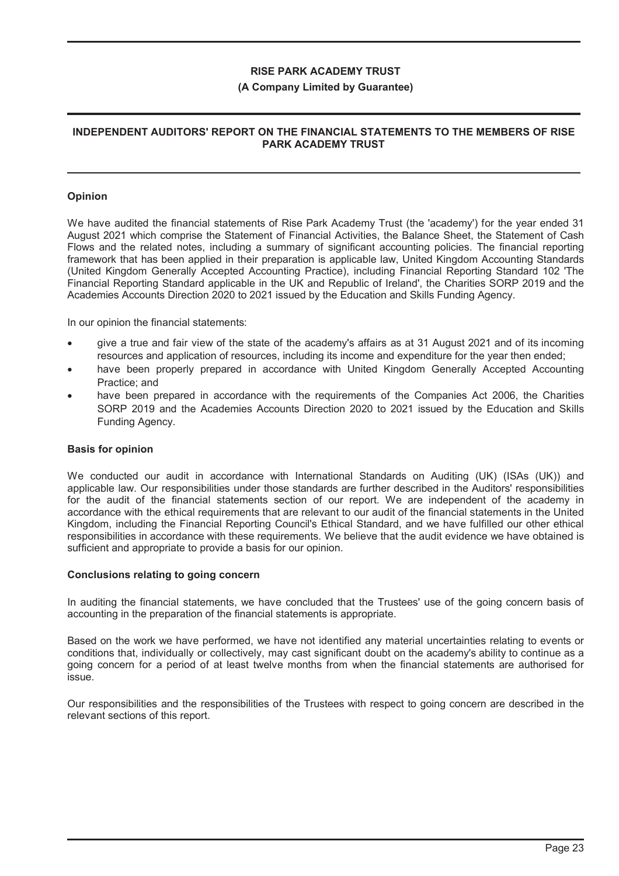#### **(A Company Limited by Guarantee)**

## **INDEPENDENT AUDITORS' REPORT ON THE FINANCIAL STATEMENTS TO THE MEMBERS OF RISE PARK ACADEMY TRUST**

#### **Opinion**

We have audited the financial statements of Rise Park Academy Trust (the 'academy') for the year ended 31 August 2021 which comprise the Statement of Financial Activities, the Balance Sheet, the Statement of Cash Flows and the related notes, including a summary of significant accounting policies. The financial reporting framework that has been applied in their preparation is applicable law, United Kingdom Accounting Standards (United Kingdom Generally Accepted Accounting Practice), including Financial Reporting Standard 102 'The Financial Reporting Standard applicable in the UK and Republic of Ireland', the Charities SORP 2019 and the Academies Accounts Direction 2020 to 2021 issued by the Education and Skills Funding Agency.

In our opinion the financial statements:

- give a true and fair view of the state of the academy's affairs as at 31 August 2021 and of its incoming resources and application of resources, including its income and expenditure for the year then ended;
- have been properly prepared in accordance with United Kingdom Generally Accepted Accounting Practice; and
- have been prepared in accordance with the requirements of the Companies Act 2006, the Charities SORP 2019 and the Academies Accounts Direction 2020 to 2021 issued by the Education and Skills Funding Agency.

#### **Basis for opinion**

We conducted our audit in accordance with International Standards on Auditing (UK) (ISAs (UK)) and applicable law. Our responsibilities under those standards are further described in the Auditors' responsibilities for the audit of the financial statements section of our report. We are independent of the academy in accordance with the ethical requirements that are relevant to our audit of the financial statements in the United Kingdom, including the Financial Reporting Council's Ethical Standard, and we have fulfilled our other ethical responsibilities in accordance with these requirements. We believe that the audit evidence we have obtained is sufficient and appropriate to provide a basis for our opinion.

#### **Conclusions relating to going concern**

In auditing the financial statements, we have concluded that the Trustees' use of the going concern basis of accounting in the preparation of the financial statements is appropriate.

Based on the work we have performed, we have not identified any material uncertainties relating to events or conditions that, individually or collectively, may cast significant doubt on the academy's ability to continue as a going concern for a period of at least twelve months from when the financial statements are authorised for issue.

Our responsibilities and the responsibilities of the Trustees with respect to going concern are described in the relevant sections of this report.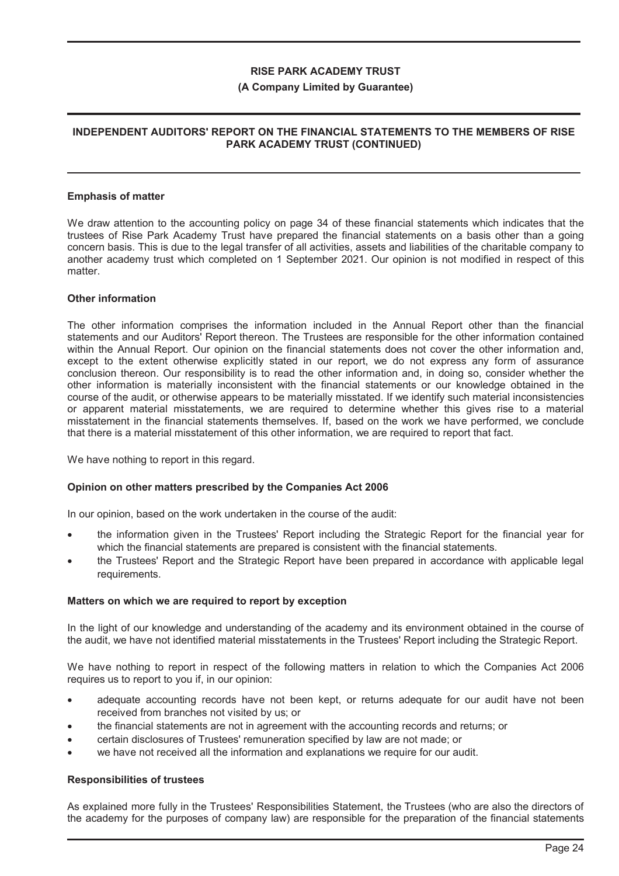#### **(A Company Limited by Guarantee)**

## **INDEPENDENT AUDITORS' REPORT ON THE FINANCIAL STATEMENTS TO THE MEMBERS OF RISE PARK ACADEMY TRUST (CONTINUED)**

#### **Emphasis of matter**

We draw attention to the accounting policy on page 34 of these financial statements which indicates that the trustees of Rise Park Academy Trust have prepared the financial statements on a basis other than a going concern basis. This is due to the legal transfer of all activities, assets and liabilities of the charitable company to another academy trust which completed on 1 September 2021. Our opinion is not modified in respect of this matter.

#### **Other information**

The other information comprises the information included in the Annual Report other than the financial statements and our Auditors' Report thereon. The Trustees are responsible for the other information contained within the Annual Report. Our opinion on the financial statements does not cover the other information and, except to the extent otherwise explicitly stated in our report, we do not express any form of assurance conclusion thereon. Our responsibility is to read the other information and, in doing so, consider whether the other information is materially inconsistent with the financial statements or our knowledge obtained in the course of the audit, or otherwise appears to be materially misstated. If we identify such material inconsistencies or apparent material misstatements, we are required to determine whether this gives rise to a material misstatement in the financial statements themselves. If, based on the work we have performed, we conclude that there is a material misstatement of this other information, we are required to report that fact.

We have nothing to report in this regard.

#### **Opinion on other matters prescribed by the Companies Act 2006**

In our opinion, based on the work undertaken in the course of the audit:

- the information given in the Trustees' Report including the Strategic Report for the financial year for which the financial statements are prepared is consistent with the financial statements.
- ! the Trustees' Report and the Strategic Report have been prepared in accordance with applicable legal requirements.

#### **Matters on which we are required to report by exception**

In the light of our knowledge and understanding of the academy and its environment obtained in the course of the audit, we have not identified material misstatements in the Trustees' Report including the Strategic Report.

We have nothing to report in respect of the following matters in relation to which the Companies Act 2006 requires us to report to you if, in our opinion:

- adequate accounting records have not been kept, or returns adequate for our audit have not been received from branches not visited by us; or
- ! the financial statements are not in agreement with the accounting records and returns; or
- ! certain disclosures of Trustees' remuneration specified by law are not made; or
- we have not received all the information and explanations we require for our audit.

#### **Responsibilities of trustees**

As explained more fully in the Trustees' Responsibilities Statement, the Trustees (who are also the directors of the academy for the purposes of company law) are responsible for the preparation of the financial statements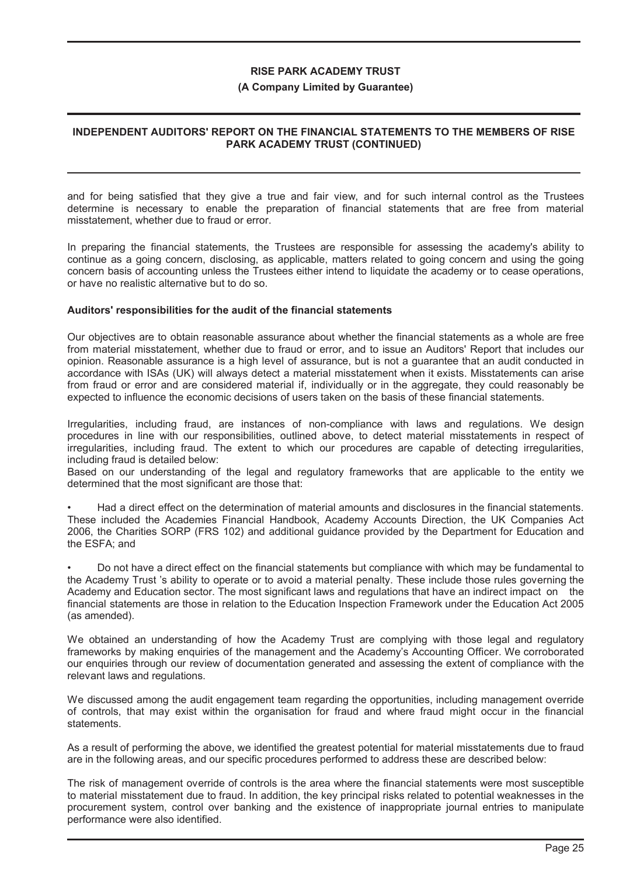#### **(A Company Limited by Guarantee)**

## **INDEPENDENT AUDITORS' REPORT ON THE FINANCIAL STATEMENTS TO THE MEMBERS OF RISE PARK ACADEMY TRUST (CONTINUED)**

and for being satisfied that they give a true and fair view, and for such internal control as the Trustees determine is necessary to enable the preparation of financial statements that are free from material misstatement, whether due to fraud or error.

In preparing the financial statements, the Trustees are responsible for assessing the academy's ability to continue as a going concern, disclosing, as applicable, matters related to going concern and using the going concern basis of accounting unless the Trustees either intend to liquidate the academy or to cease operations, or have no realistic alternative but to do so.

#### **Auditors' responsibilities for the audit of the financial statements**

Our objectives are to obtain reasonable assurance about whether the financial statements as a whole are free from material misstatement, whether due to fraud or error, and to issue an Auditors' Report that includes our opinion. Reasonable assurance is a high level of assurance, but is not a guarantee that an audit conducted in accordance with ISAs (UK) will always detect a material misstatement when it exists. Misstatements can arise from fraud or error and are considered material if, individually or in the aggregate, they could reasonably be expected to influence the economic decisions of users taken on the basis of these financial statements.

Irregularities, including fraud, are instances of non-compliance with laws and regulations. We design procedures in line with our responsibilities, outlined above, to detect material misstatements in respect of irregularities, including fraud. The extent to which our procedures are capable of detecting irregularities, including fraud is detailed below:

Based on our understanding of the legal and regulatory frameworks that are applicable to the entity we determined that the most significant are those that:

• Had a direct effect on the determination of material amounts and disclosures in the financial statements. These included the Academies Financial Handbook, Academy Accounts Direction, the UK Companies Act 2006, the Charities SORP (FRS 102) and additional guidance provided by the Department for Education and the ESFA; and

• Do not have a direct effect on the financial statements but compliance with which may be fundamental to the Academy Trust 's ability to operate or to avoid a material penalty. These include those rules governing the Academy and Education sector. The most significant laws and regulations that have an indirect impact on the financial statements are those in relation to the Education Inspection Framework under the Education Act 2005 (as amended).

We obtained an understanding of how the Academy Trust are complying with those legal and regulatory frameworks by making enquiries of the management and the Academy's Accounting Officer. We corroborated our enquiries through our review of documentation generated and assessing the extent of compliance with the relevant laws and regulations.

We discussed among the audit engagement team regarding the opportunities, including management override of controls, that may exist within the organisation for fraud and where fraud might occur in the financial statements.

As a result of performing the above, we identified the greatest potential for material misstatements due to fraud are in the following areas, and our specific procedures performed to address these are described below:

The risk of management override of controls is the area where the financial statements were most susceptible to material misstatement due to fraud. In addition, the key principal risks related to potential weaknesses in the procurement system, control over banking and the existence of inappropriate journal entries to manipulate performance were also identified.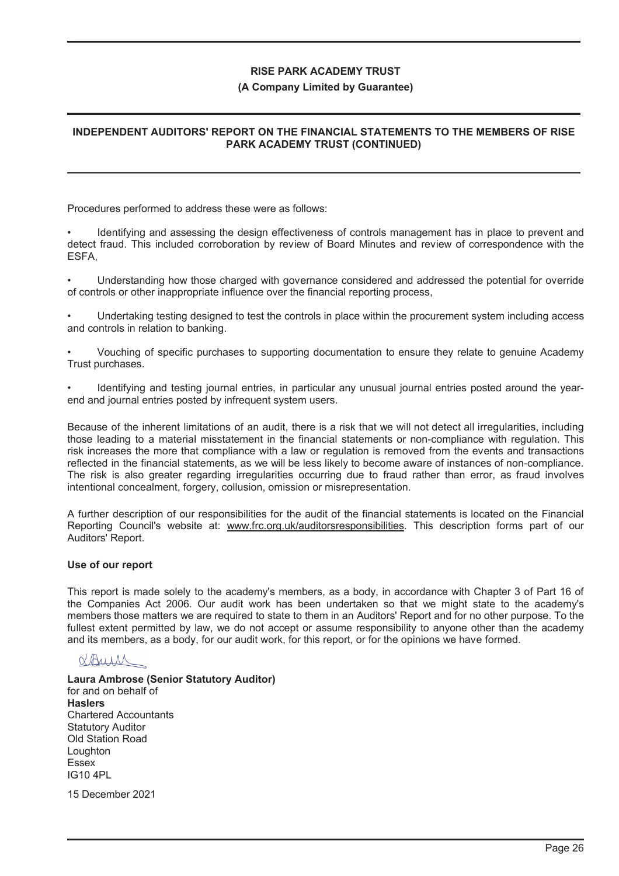#### **(A Company Limited by Guarantee)**

## **INDEPENDENT AUDITORS' REPORT ON THE FINANCIAL STATEMENTS TO THE MEMBERS OF RISE PARK ACADEMY TRUST (CONTINUED)**

Procedures performed to address these were as follows:

• Identifying and assessing the design effectiveness of controls management has in place to prevent and detect fraud. This included corroboration by review of Board Minutes and review of correspondence with the ESFA,

• Understanding how those charged with governance considered and addressed the potential for override of controls or other inappropriate influence over the financial reporting process,

• Undertaking testing designed to test the controls in place within the procurement system including access and controls in relation to banking.

• Vouching of specific purchases to supporting documentation to ensure they relate to genuine Academy Trust purchases.

• Identifying and testing journal entries, in particular any unusual journal entries posted around the yearend and journal entries posted by infrequent system users.

Because of the inherent limitations of an audit, there is a risk that we will not detect all irregularities, including those leading to a material misstatement in the financial statements or non-compliance with regulation. This risk increases the more that compliance with a law or regulation is removed from the events and transactions reflected in the financial statements, as we will be less likely to become aware of instances of non-compliance. The risk is also greater regarding irregularities occurring due to fraud rather than error, as fraud involves intentional concealment, forgery, collusion, omission or misrepresentation.

A further description of our responsibilities for the audit of the financial statements is located on the Financial Reporting Council's website at: www.frc.org.uk/auditorsresponsibilities. This description forms part of our Auditors' Report.

#### **Use of our report**

This report is made solely to the academy's members, as a body, in accordance with Chapter 3 of Part 16 of the Companies Act 2006. Our audit work has been undertaken so that we might state to the academy's members those matters we are required to state to them in an Auditors' Report and for no other purpose. To the fullest extent permitted by law, we do not accept or assume responsibility to anyone other than the academy and its members, as a body, for our audit work, for this report, or for the opinions we have formed.

# NAUIA

**Laura Ambrose (Senior Statutory Auditor)** for and on behalf of **Haslers** Chartered Accountants Statutory Auditor Old Station Road Loughton Essex IG10 4PL

15 December 2021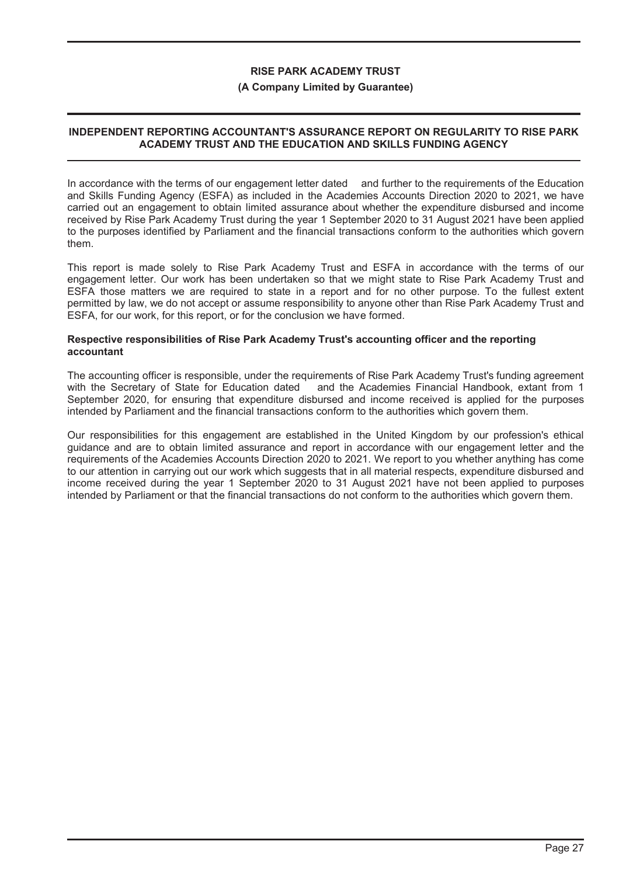#### **(A Company Limited by Guarantee)**

## **INDEPENDENT REPORTING ACCOUNTANT'S ASSURANCE REPORT ON REGULARITY TO RISE PARK ACADEMY TRUST AND THE EDUCATION AND SKILLS FUNDING AGENCY**

In accordance with the terms of our engagement letter dated and further to the requirements of the Education and Skills Funding Agency (ESFA) as included in the Academies Accounts Direction 2020 to 2021, we have carried out an engagement to obtain limited assurance about whether the expenditure disbursed and income received by Rise Park Academy Trust during the year 1 September 2020 to 31 August 2021 have been applied to the purposes identified by Parliament and the financial transactions conform to the authorities which govern them.

This report is made solely to Rise Park Academy Trust and ESFA in accordance with the terms of our engagement letter. Our work has been undertaken so that we might state to Rise Park Academy Trust and ESFA those matters we are required to state in a report and for no other purpose. To the fullest extent permitted by law, we do not accept or assume responsibility to anyone other than Rise Park Academy Trust and ESFA, for our work, for this report, or for the conclusion we have formed.

#### **Respective responsibilities of Rise Park Academy Trust's accounting officer and the reporting accountant**

The accounting officer is responsible, under the requirements of Rise Park Academy Trust's funding agreement with the Secretary of State for Education dated and the Academies Financial Handbook, extant from 1 September 2020, for ensuring that expenditure disbursed and income received is applied for the purposes intended by Parliament and the financial transactions conform to the authorities which govern them.

Our responsibilities for this engagement are established in the United Kingdom by our profession's ethical guidance and are to obtain limited assurance and report in accordance with our engagement letter and the requirements of the Academies Accounts Direction 2020 to 2021. We report to you whether anything has come to our attention in carrying out our work which suggests that in all material respects, expenditure disbursed and income received during the year 1 September 2020 to 31 August 2021 have not been applied to purposes intended by Parliament or that the financial transactions do not conform to the authorities which govern them.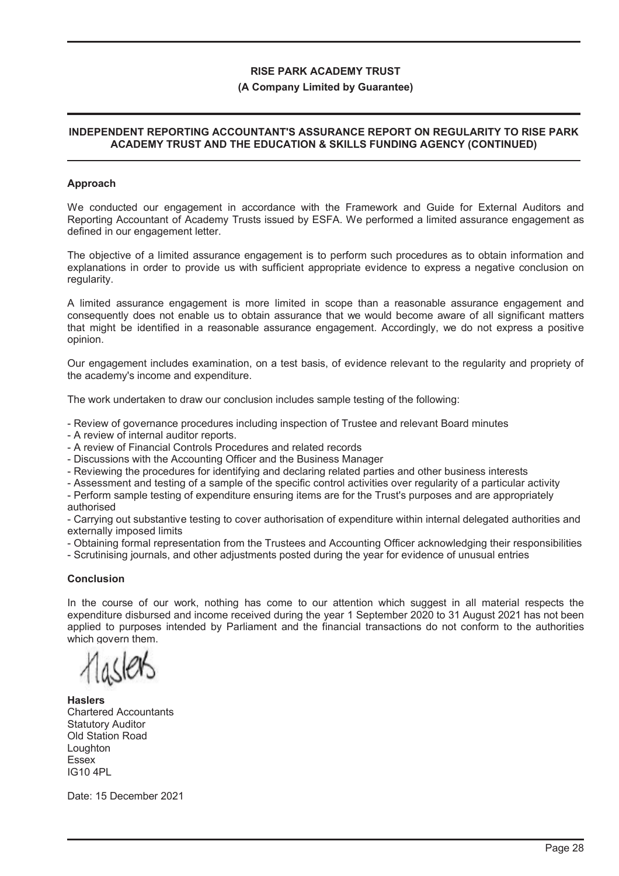#### **(A Company Limited by Guarantee)**

## **INDEPENDENT REPORTING ACCOUNTANT'S ASSURANCE REPORT ON REGULARITY TO RISE PARK ACADEMY TRUST AND THE EDUCATION & SKILLS FUNDING AGENCY (CONTINUED)**

#### **Approach**

We conducted our engagement in accordance with the Framework and Guide for External Auditors and Reporting Accountant of Academy Trusts issued by ESFA. We performed a limited assurance engagement as defined in our engagement letter.

The objective of a limited assurance engagement is to perform such procedures as to obtain information and explanations in order to provide us with sufficient appropriate evidence to express a negative conclusion on regularity.

A limited assurance engagement is more limited in scope than a reasonable assurance engagement and consequently does not enable us to obtain assurance that we would become aware of all significant matters that might be identified in a reasonable assurance engagement. Accordingly, we do not express a positive opinion.

Our engagement includes examination, on a test basis, of evidence relevant to the regularity and propriety of the academy's income and expenditure.

The work undertaken to draw our conclusion includes sample testing of the following:

- Review of governance procedures including inspection of Trustee and relevant Board minutes

- A review of internal auditor reports.
- A review of Financial Controls Procedures and related records
- Discussions with the Accounting Officer and the Business Manager
- Reviewing the procedures for identifying and declaring related parties and other business interests

- Assessment and testing of a sample of the specific control activities over regularity of a particular activity

- Perform sample testing of expenditure ensuring items are for the Trust's purposes and are appropriately authorised

- Carrying out substantive testing to cover authorisation of expenditure within internal delegated authorities and externally imposed limits

- Obtaining formal representation from the Trustees and Accounting Officer acknowledging their responsibilities

- Scrutinising journals, and other adjustments posted during the year for evidence of unusual entries

#### **Conclusion**

In the course of our work, nothing has come to our attention which suggest in all material respects the expenditure disbursed and income received during the year 1 September 2020 to 31 August 2021 has not been applied to purposes intended by Parliament and the financial transactions do not conform to the authorities which govern them.

**Haslers** Chartered Accountants Statutory Auditor Old Station Road Loughton Essex IG10 4PL

Date: 15 December 2021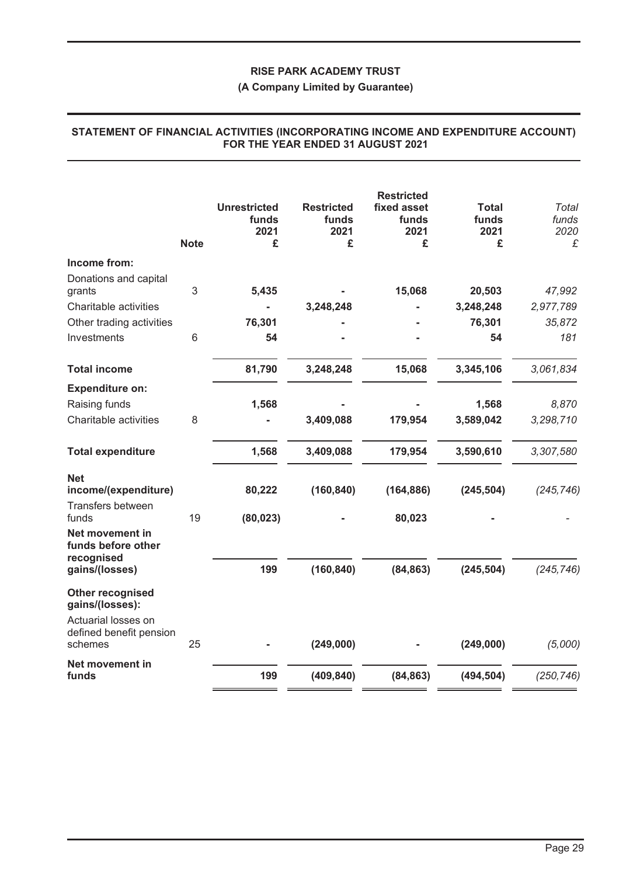## **(A Company Limited by Guarantee)**

|                                                                       | <b>Note</b> | <b>Unrestricted</b><br>funds<br>2021<br>£ | <b>Restricted</b><br>funds<br>2021<br>£ | <b>Restricted</b><br>fixed asset<br>funds<br>2021<br>£ | <b>Total</b><br>funds<br>2021<br>£ | Total<br>funds<br>2020<br>£ |
|-----------------------------------------------------------------------|-------------|-------------------------------------------|-----------------------------------------|--------------------------------------------------------|------------------------------------|-----------------------------|
| Income from:                                                          |             |                                           |                                         |                                                        |                                    |                             |
| Donations and capital<br>grants                                       | 3           | 5,435                                     |                                         | 15,068                                                 | 20,503                             | 47,992                      |
| Charitable activities                                                 |             |                                           | 3,248,248                               |                                                        | 3,248,248                          | 2,977,789                   |
| Other trading activities                                              |             | 76,301                                    |                                         |                                                        | 76,301                             | 35,872                      |
| Investments                                                           | 6           | 54                                        |                                         |                                                        | 54                                 | 181                         |
| <b>Total income</b>                                                   |             | 81,790                                    | 3,248,248                               | 15,068                                                 | 3,345,106                          | 3,061,834                   |
| <b>Expenditure on:</b>                                                |             |                                           |                                         |                                                        |                                    |                             |
| Raising funds                                                         |             | 1,568                                     |                                         |                                                        | 1,568                              | 8,870                       |
| Charitable activities                                                 | 8           |                                           | 3,409,088                               | 179,954                                                | 3,589,042                          | 3,298,710                   |
| <b>Total expenditure</b>                                              |             | 1,568                                     | 3,409,088                               | 179,954                                                | 3,590,610                          | 3,307,580                   |
| <b>Net</b><br>income/(expenditure)                                    |             | 80,222                                    | (160, 840)                              | (164, 886)                                             | (245, 504)                         | (245, 746)                  |
| Transfers between<br>funds                                            | 19          | (80, 023)                                 |                                         | 80,023                                                 |                                    |                             |
| Net movement in<br>funds before other<br>recognised<br>gains/(losses) |             | 199                                       | (160, 840)                              | (84, 863)                                              | (245, 504)                         | (245, 746)                  |
| Other recognised<br>gains/(losses):<br>Actuarial losses on            |             |                                           |                                         |                                                        |                                    |                             |
| defined benefit pension<br>schemes                                    | 25          |                                           | (249,000)                               |                                                        | (249,000)                          | (5,000)                     |
| Net movement in<br>funds                                              |             | 199                                       | (409, 840)                              | (84, 863)                                              | (494, 504)                         | (250, 746)                  |
|                                                                       |             |                                           |                                         |                                                        |                                    |                             |

## **STATEMENT OF FINANCIAL ACTIVITIES (INCORPORATING INCOME AND EXPENDITURE ACCOUNT) FOR THE YEAR ENDED 31 AUGUST 2021**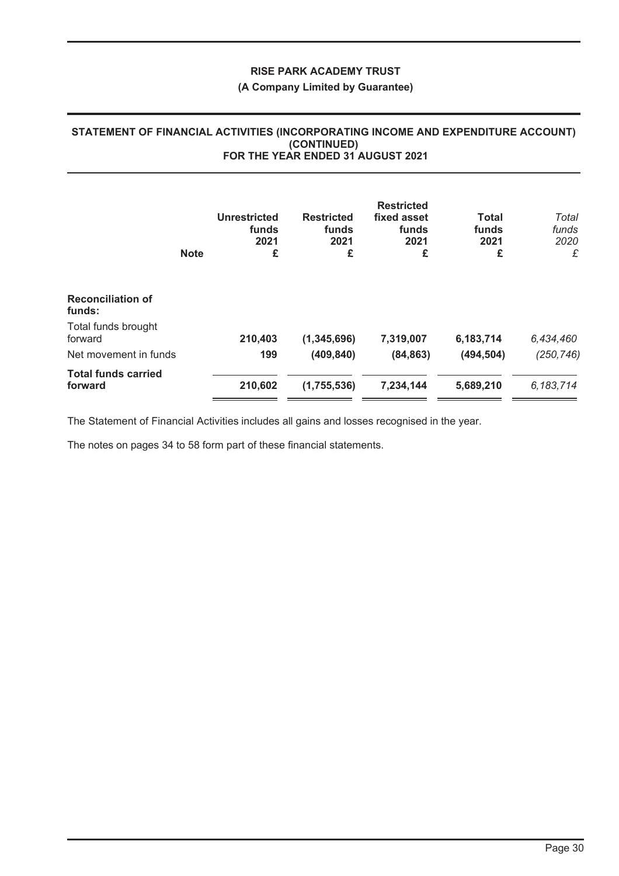#### **(A Company Limited by Guarantee)**

#### **STATEMENT OF FINANCIAL ACTIVITIES (INCORPORATING INCOME AND EXPENDITURE ACCOUNT) (CONTINUED) FOR THE YEAR ENDED 31 AUGUST 2021**

|                                       | <b>Note</b> | <b>Unrestricted</b><br>funds<br>2021<br>£ | <b>Restricted</b><br>funds<br>2021<br>£ | <b>Restricted</b><br>fixed asset<br>funds<br>2021<br>£ | <b>Total</b><br>funds<br>2021<br>£ | Total<br>funds<br>2020<br>£ |
|---------------------------------------|-------------|-------------------------------------------|-----------------------------------------|--------------------------------------------------------|------------------------------------|-----------------------------|
| <b>Reconciliation of</b><br>funds:    |             |                                           |                                         |                                                        |                                    |                             |
| Total funds brought<br>forward        |             | 210,403                                   | (1, 345, 696)                           | 7,319,007                                              | 6,183,714                          | 6,434,460                   |
| Net movement in funds                 |             | 199                                       | (409, 840)                              | (84, 863)                                              | (494, 504)                         | (250, 746)                  |
| <b>Total funds carried</b><br>forward |             | 210,602                                   | (1,755,536)                             | 7,234,144                                              | 5,689,210                          | 6,183,714                   |

The Statement of Financial Activities includes all gains and losses recognised in the year.

The notes on pages 34 to 58 form part of these financial statements.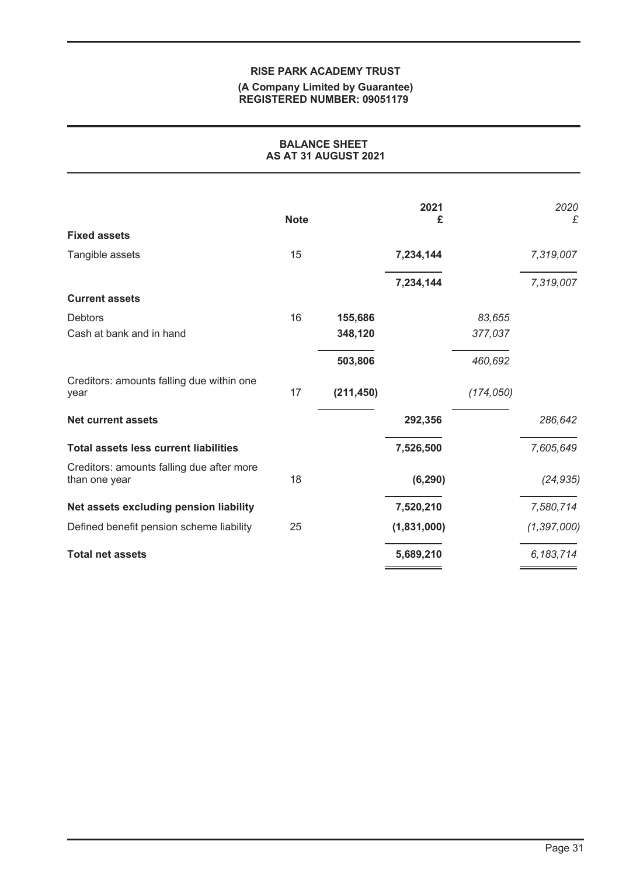#### **(A Company Limited by Guarantee) REGISTERED NUMBER: 09051179**

| <b>BALANCE SHEET</b><br>AS AT 31 AUGUST 2021               |             |            |             |            |               |
|------------------------------------------------------------|-------------|------------|-------------|------------|---------------|
|                                                            | <b>Note</b> |            | 2021<br>£   |            | 2020<br>£     |
| <b>Fixed assets</b>                                        |             |            |             |            |               |
| Tangible assets                                            | 15          |            | 7,234,144   |            | 7,319,007     |
|                                                            |             |            | 7,234,144   |            | 7,319,007     |
| <b>Current assets</b>                                      |             |            |             |            |               |
| <b>Debtors</b>                                             | 16          | 155,686    |             | 83,655     |               |
| Cash at bank and in hand                                   |             | 348,120    |             | 377,037    |               |
|                                                            |             | 503,806    |             | 460,692    |               |
| Creditors: amounts falling due within one<br>year          | 17          | (211, 450) |             | (174, 050) |               |
| <b>Net current assets</b>                                  |             |            | 292,356     |            | 286,642       |
| <b>Total assets less current liabilities</b>               |             |            | 7,526,500   |            | 7,605,649     |
| Creditors: amounts falling due after more<br>than one year | 18          |            | (6, 290)    |            | (24, 935)     |
| Net assets excluding pension liability                     |             |            | 7,520,210   |            | 7,580,714     |
| Defined benefit pension scheme liability                   | 25          |            | (1,831,000) |            | (1, 397, 000) |
| <b>Total net assets</b>                                    |             |            | 5,689,210   |            | 6, 183, 714   |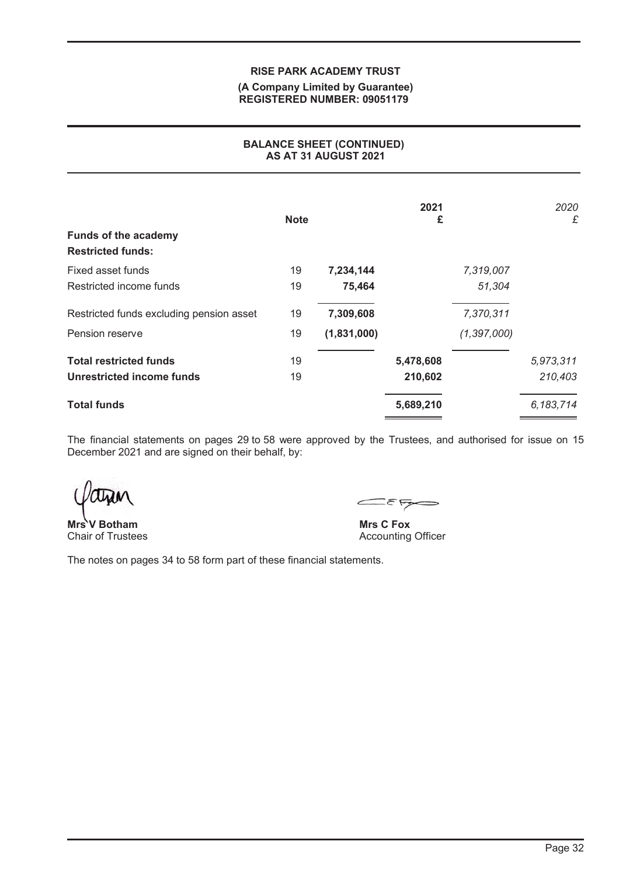#### **(A Company Limited by Guarantee) REGISTERED NUMBER: 09051179**

## **BALANCE SHEET (CONTINUED) AS AT 31 AUGUST 2021**

| <b>Funds of the academy</b><br><b>Restricted funds:</b> | <b>Note</b> |             | 2021<br>£ |               | 2020<br>£ |
|---------------------------------------------------------|-------------|-------------|-----------|---------------|-----------|
| Fixed asset funds                                       | 19          | 7,234,144   |           | 7,319,007     |           |
| Restricted income funds                                 | 19          | 75,464      |           | 51,304        |           |
| Restricted funds excluding pension asset                | 19          | 7,309,608   |           | 7,370,311     |           |
| Pension reserve                                         | 19          | (1,831,000) |           | (1, 397, 000) |           |
| <b>Total restricted funds</b>                           | 19          |             | 5,478,608 |               | 5,973,311 |
| Unrestricted income funds                               | 19          |             | 210,602   |               | 210,403   |
| <b>Total funds</b>                                      |             |             | 5,689,210 |               | 6,183,714 |

The financial statements on pages 29 to 58 were approved by the Trustees, and authorised for issue on 15 December 2021 and are signed on their behalf, by:

**V** Botham Chair of Trustees **Mrs** 

 $E_{\xi}$ 

**Mrs C Fox** Accounting Officer

The notes on pages 34 to 58 form part of these financial statements.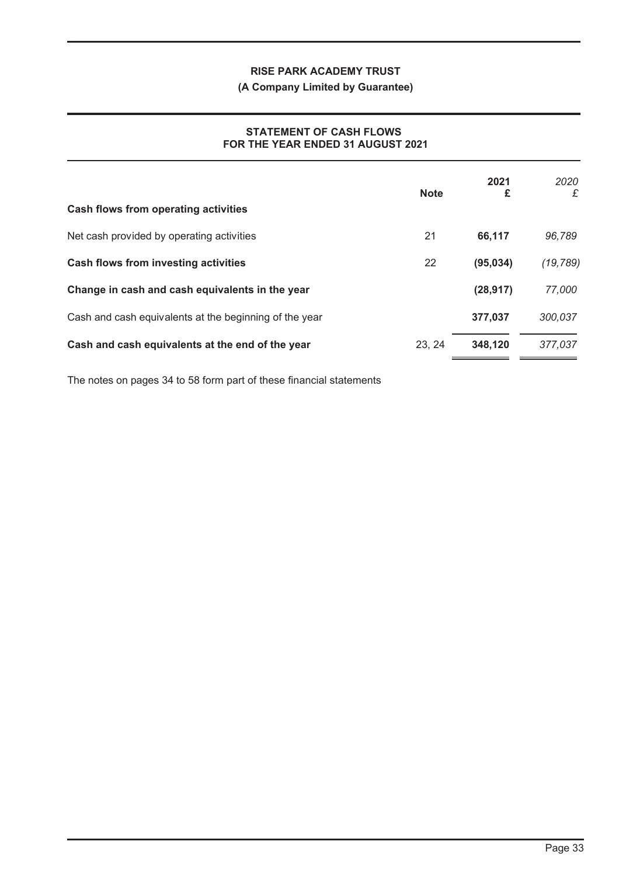## **(A Company Limited by Guarantee)**

## **STATEMENT OF CASH FLOWS FOR THE YEAR ENDED 31 AUGUST 2021**

|                                                        | <b>Note</b> | 2021<br>£ | 2020<br>£ |
|--------------------------------------------------------|-------------|-----------|-----------|
| Cash flows from operating activities                   |             |           |           |
| Net cash provided by operating activities              | 21          | 66,117    | 96,789    |
| <b>Cash flows from investing activities</b>            | 22          | (95, 034) | (19, 789) |
| Change in cash and cash equivalents in the year        |             | (28, 917) | 77,000    |
| Cash and cash equivalents at the beginning of the year |             | 377,037   | 300,037   |
| Cash and cash equivalents at the end of the year       | 23, 24      | 348,120   | 377,037   |

The notes on pages 34 to 58 form part of these financial statements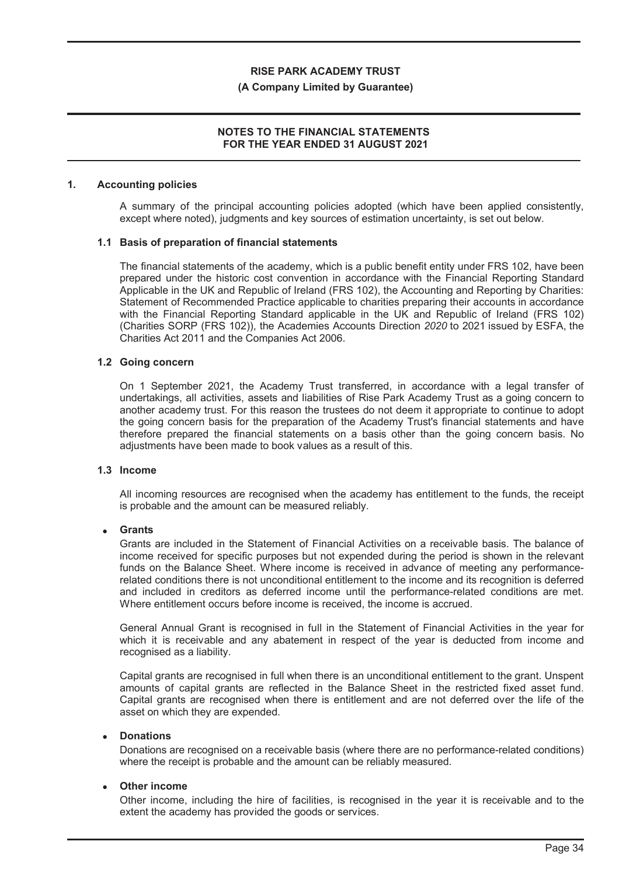#### **(A Company Limited by Guarantee)**

## **NOTES TO THE FINANCIAL STATEMENTS FOR THE YEAR ENDED 31 AUGUST 2021**

#### **1. Accounting policies**

A summary of the principal accounting policies adopted (which have been applied consistently, except where noted), judgments and key sources of estimation uncertainty, is set out below.

#### **1.1 Basis of preparation of financial statements**

The financial statements of the academy, which is a public benefit entity under FRS 102, have been prepared under the historic cost convention in accordance with the Financial Reporting Standard Applicable in the UK and Republic of Ireland (FRS 102), the Accounting and Reporting by Charities: Statement of Recommended Practice applicable to charities preparing their accounts in accordance with the Financial Reporting Standard applicable in the UK and Republic of Ireland (FRS 102) (Charities SORP (FRS 102)), the Academies Accounts Direction *2020* to 2021 issued by ESFA, the Charities Act 2011 and the Companies Act 2006.

#### **1.2 Going concern**

On 1 September 2021, the Academy Trust transferred, in accordance with a legal transfer of undertakings, all activities, assets and liabilities of Rise Park Academy Trust as a going concern to another academy trust. For this reason the trustees do not deem it appropriate to continue to adopt the going concern basis for the preparation of the Academy Trust's financial statements and have therefore prepared the financial statements on a basis other than the going concern basis. No adjustments have been made to book values as a result of this.

#### **1.3 Income**

All incoming resources are recognised when the academy has entitlement to the funds, the receipt is probable and the amount can be measured reliably.

#### ! **Grants**

Grants are included in the Statement of Financial Activities on a receivable basis. The balance of income received for specific purposes but not expended during the period is shown in the relevant funds on the Balance Sheet. Where income is received in advance of meeting any performancerelated conditions there is not unconditional entitlement to the income and its recognition is deferred and included in creditors as deferred income until the performance-related conditions are met. Where entitlement occurs before income is received, the income is accrued.

General Annual Grant is recognised in full in the Statement of Financial Activities in the year for which it is receivable and any abatement in respect of the year is deducted from income and recognised as a liability.

Capital grants are recognised in full when there is an unconditional entitlement to the grant. Unspent amounts of capital grants are reflected in the Balance Sheet in the restricted fixed asset fund. Capital grants are recognised when there is entitlement and are not deferred over the life of the asset on which they are expended.

#### ! **Donations**

Donations are recognised on a receivable basis (where there are no performance-related conditions) where the receipt is probable and the amount can be reliably measured.

#### ! **Other income**

Other income, including the hire of facilities, is recognised in the year it is receivable and to the extent the academy has provided the goods or services.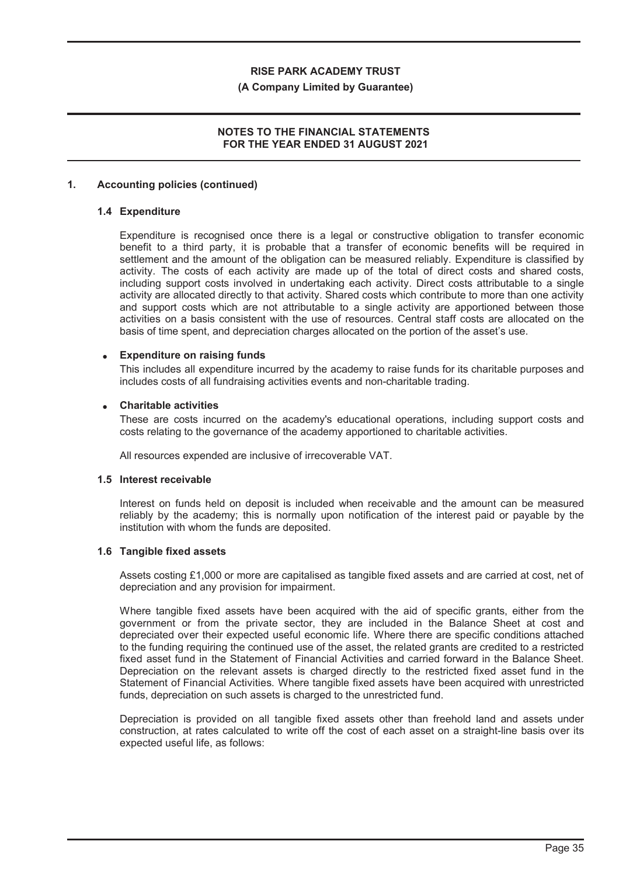#### **(A Company Limited by Guarantee)**

## **NOTES TO THE FINANCIAL STATEMENTS FOR THE YEAR ENDED 31 AUGUST 2021**

#### **1. Accounting policies (continued)**

#### **1.4 Expenditure**

Expenditure is recognised once there is a legal or constructive obligation to transfer economic benefit to a third party, it is probable that a transfer of economic benefits will be required in settlement and the amount of the obligation can be measured reliably. Expenditure is classified by activity. The costs of each activity are made up of the total of direct costs and shared costs, including support costs involved in undertaking each activity. Direct costs attributable to a single activity are allocated directly to that activity. Shared costs which contribute to more than one activity and support costs which are not attributable to a single activity are apportioned between those activities on a basis consistent with the use of resources. Central staff costs are allocated on the basis of time spent, and depreciation charges allocated on the portion of the asset's use.

#### ! **Expenditure on raising funds**

This includes all expenditure incurred by the academy to raise funds for its charitable purposes and includes costs of all fundraising activities events and non-charitable trading.

#### ! **Charitable activities**

These are costs incurred on the academy's educational operations, including support costs and costs relating to the governance of the academy apportioned to charitable activities.

All resources expended are inclusive of irrecoverable VAT.

#### **1.5 Interest receivable**

Interest on funds held on deposit is included when receivable and the amount can be measured reliably by the academy; this is normally upon notification of the interest paid or payable by the institution with whom the funds are deposited.

#### **1.6 Tangible fixed assets**

Assets costing £1,000 or more are capitalised as tangible fixed assets and are carried at cost, net of depreciation and any provision for impairment.

Where tangible fixed assets have been acquired with the aid of specific grants, either from the government or from the private sector, they are included in the Balance Sheet at cost and depreciated over their expected useful economic life. Where there are specific conditions attached to the funding requiring the continued use of the asset, the related grants are credited to a restricted fixed asset fund in the Statement of Financial Activities and carried forward in the Balance Sheet. Depreciation on the relevant assets is charged directly to the restricted fixed asset fund in the Statement of Financial Activities. Where tangible fixed assets have been acquired with unrestricted funds, depreciation on such assets is charged to the unrestricted fund.

Depreciation is provided on all tangible fixed assets other than freehold land and assets under construction, at rates calculated to write off the cost of each asset on a straight-line basis over its expected useful life, as follows: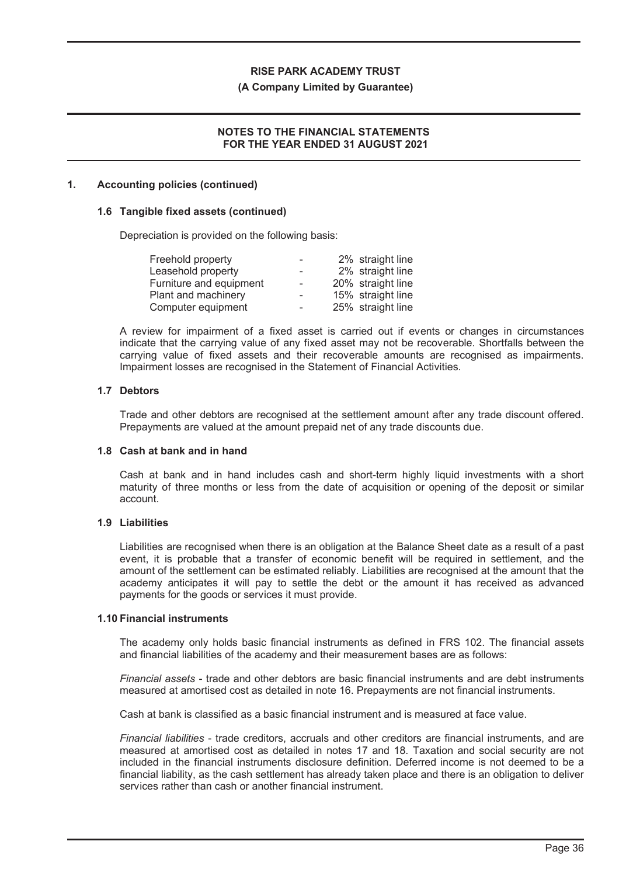#### **(A Company Limited by Guarantee)**

## **NOTES TO THE FINANCIAL STATEMENTS FOR THE YEAR ENDED 31 AUGUST 2021**

#### **1. Accounting policies (continued)**

#### **1.6 Tangible fixed assets (continued)**

Depreciation is provided on the following basis:

| Freehold property       |                          | 2% straight line  |
|-------------------------|--------------------------|-------------------|
| Leasehold property      | $\overline{\phantom{0}}$ | 2% straight line  |
| Furniture and equipment | $\sim$                   | 20% straight line |
| Plant and machinery     | $\overline{\phantom{0}}$ | 15% straight line |
| Computer equipment      | $\overline{\phantom{a}}$ | 25% straight line |

A review for impairment of a fixed asset is carried out if events or changes in circumstances indicate that the carrying value of any fixed asset may not be recoverable. Shortfalls between the carrying value of fixed assets and their recoverable amounts are recognised as impairments. Impairment losses are recognised in the Statement of Financial Activities.

#### **1.7 Debtors**

Trade and other debtors are recognised at the settlement amount after any trade discount offered. Prepayments are valued at the amount prepaid net of any trade discounts due.

#### **1.8 Cash at bank and in hand**

Cash at bank and in hand includes cash and short-term highly liquid investments with a short maturity of three months or less from the date of acquisition or opening of the deposit or similar account.

#### **1.9 Liabilities**

Liabilities are recognised when there is an obligation at the Balance Sheet date as a result of a past event, it is probable that a transfer of economic benefit will be required in settlement, and the amount of the settlement can be estimated reliably. Liabilities are recognised at the amount that the academy anticipates it will pay to settle the debt or the amount it has received as advanced payments for the goods or services it must provide.

#### **1.10 Financial instruments**

The academy only holds basic financial instruments as defined in FRS 102. The financial assets and financial liabilities of the academy and their measurement bases are as follows:

*Financial assets* - trade and other debtors are basic financial instruments and are debt instruments measured at amortised cost as detailed in note 16. Prepayments are not financial instruments.

Cash at bank is classified as a basic financial instrument and is measured at face value.

*Financial liabilities* - trade creditors, accruals and other creditors are financial instruments, and are measured at amortised cost as detailed in notes 17 and 18. Taxation and social security are not included in the financial instruments disclosure definition. Deferred income is not deemed to be a financial liability, as the cash settlement has already taken place and there is an obligation to deliver services rather than cash or another financial instrument.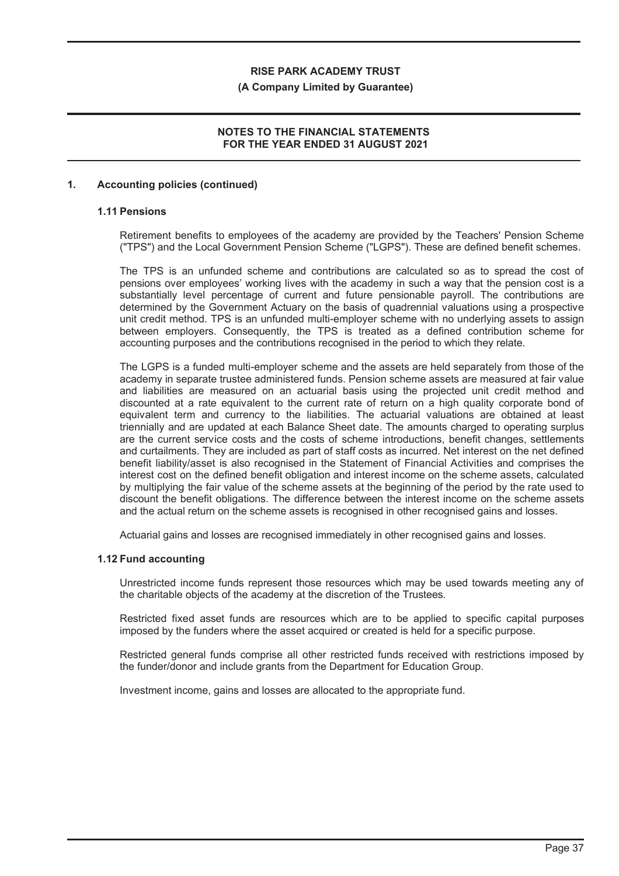#### **(A Company Limited by Guarantee)**

## **NOTES TO THE FINANCIAL STATEMENTS FOR THE YEAR ENDED 31 AUGUST 2021**

#### **1. Accounting policies (continued)**

## **1.11 Pensions**

Retirement benefits to employees of the academy are provided by the Teachers' Pension Scheme ("TPS") and the Local Government Pension Scheme ("LGPS"). These are defined benefit schemes.

The TPS is an unfunded scheme and contributions are calculated so as to spread the cost of pensions over employees' working lives with the academy in such a way that the pension cost is a substantially level percentage of current and future pensionable payroll. The contributions are determined by the Government Actuary on the basis of quadrennial valuations using a prospective unit credit method. TPS is an unfunded multi-employer scheme with no underlying assets to assign between employers. Consequently, the TPS is treated as a defined contribution scheme for accounting purposes and the contributions recognised in the period to which they relate.

The LGPS is a funded multi-employer scheme and the assets are held separately from those of the academy in separate trustee administered funds. Pension scheme assets are measured at fair value and liabilities are measured on an actuarial basis using the projected unit credit method and discounted at a rate equivalent to the current rate of return on a high quality corporate bond of equivalent term and currency to the liabilities. The actuarial valuations are obtained at least triennially and are updated at each Balance Sheet date. The amounts charged to operating surplus are the current service costs and the costs of scheme introductions, benefit changes, settlements and curtailments. They are included as part of staff costs as incurred. Net interest on the net defined benefit liability/asset is also recognised in the Statement of Financial Activities and comprises the interest cost on the defined benefit obligation and interest income on the scheme assets, calculated by multiplying the fair value of the scheme assets at the beginning of the period by the rate used to discount the benefit obligations. The difference between the interest income on the scheme assets and the actual return on the scheme assets is recognised in other recognised gains and losses.

Actuarial gains and losses are recognised immediately in other recognised gains and losses.

#### **1.12 Fund accounting**

Unrestricted income funds represent those resources which may be used towards meeting any of the charitable objects of the academy at the discretion of the Trustees.

Restricted fixed asset funds are resources which are to be applied to specific capital purposes imposed by the funders where the asset acquired or created is held for a specific purpose.

Restricted general funds comprise all other restricted funds received with restrictions imposed by the funder/donor and include grants from the Department for Education Group.

Investment income, gains and losses are allocated to the appropriate fund.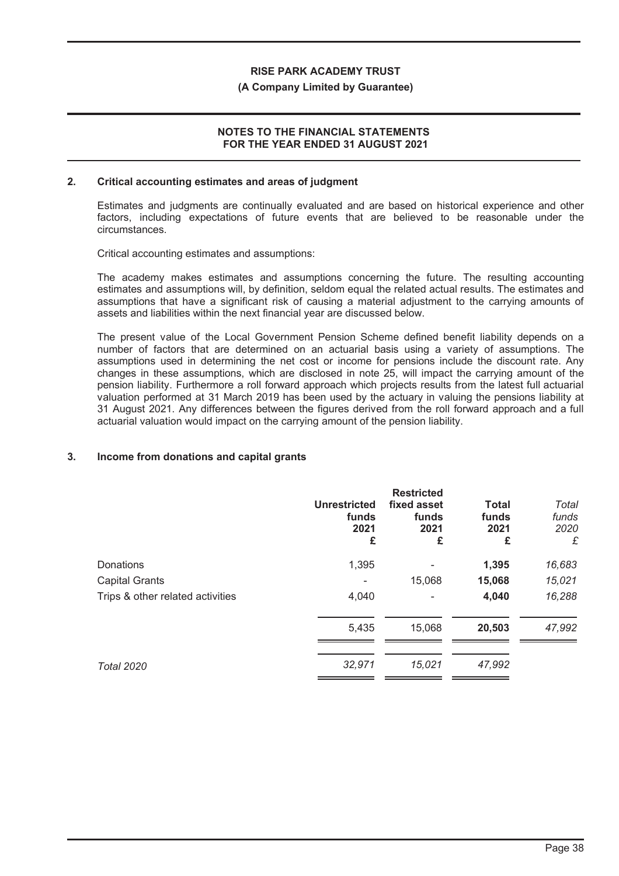#### **(A Company Limited by Guarantee)**

## **NOTES TO THE FINANCIAL STATEMENTS FOR THE YEAR ENDED 31 AUGUST 2021**

#### **2. Critical accounting estimates and areas of judgment**

Estimates and judgments are continually evaluated and are based on historical experience and other factors, including expectations of future events that are believed to be reasonable under the circumstances.

Critical accounting estimates and assumptions:

The academy makes estimates and assumptions concerning the future. The resulting accounting estimates and assumptions will, by definition, seldom equal the related actual results. The estimates and assumptions that have a significant risk of causing a material adjustment to the carrying amounts of assets and liabilities within the next financial year are discussed below.

The present value of the Local Government Pension Scheme defined benefit liability depends on a number of factors that are determined on an actuarial basis using a variety of assumptions. The assumptions used in determining the net cost or income for pensions include the discount rate. Any changes in these assumptions, which are disclosed in note 25, will impact the carrying amount of the pension liability. Furthermore a roll forward approach which projects results from the latest full actuarial valuation performed at 31 March 2019 has been used by the actuary in valuing the pensions liability at 31 August 2021. Any differences between the figures derived from the roll forward approach and a full actuarial valuation would impact on the carrying amount of the pension liability.

#### **3. Income from donations and capital grants**

|                                  | <b>Unrestricted</b><br>funds<br>2021<br>£ | <b>Restricted</b><br>fixed asset<br>funds<br>2021<br>£ | <b>Total</b><br>funds<br>2021<br>£ | Total<br>funds<br>2020<br>£ |
|----------------------------------|-------------------------------------------|--------------------------------------------------------|------------------------------------|-----------------------------|
| Donations                        | 1,395                                     |                                                        | 1,395                              | 16,683                      |
| <b>Capital Grants</b>            |                                           | 15,068                                                 | 15,068                             | 15,021                      |
| Trips & other related activities | 4,040                                     |                                                        | 4,040                              | 16,288                      |
|                                  | 5,435                                     | 15,068                                                 | 20,503                             | 47,992                      |
| <b>Total 2020</b>                | 32,971                                    | 15,021                                                 | 47,992                             |                             |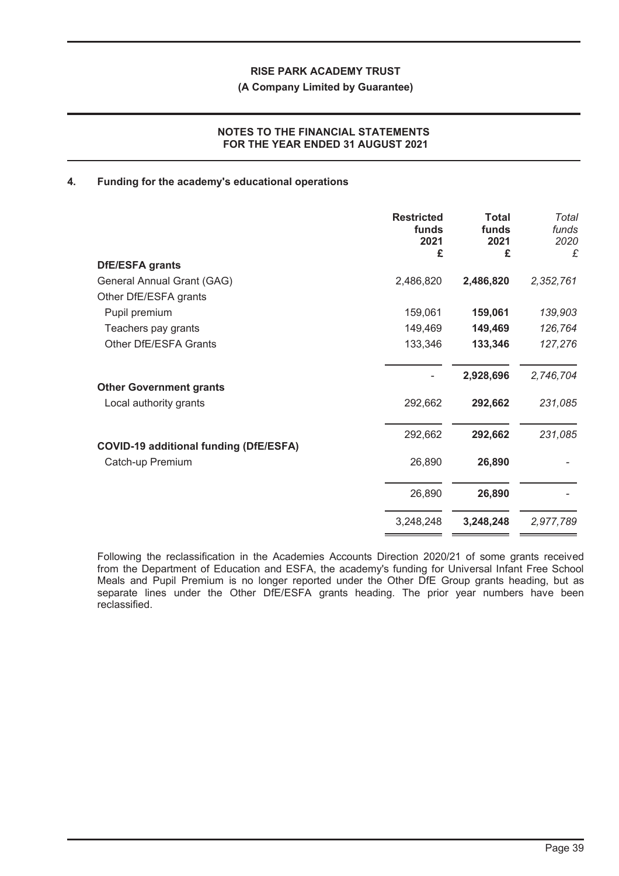#### **(A Company Limited by Guarantee)**

## **NOTES TO THE FINANCIAL STATEMENTS FOR THE YEAR ENDED 31 AUGUST 2021**

#### **4. Funding for the academy's educational operations**

|                                               | <b>Restricted</b><br>funds<br>2021<br>£ | <b>Total</b><br>funds<br>2021<br>£ | Total<br>funds<br>2020<br>£ |
|-----------------------------------------------|-----------------------------------------|------------------------------------|-----------------------------|
| <b>DfE/ESFA grants</b>                        |                                         |                                    |                             |
| General Annual Grant (GAG)                    | 2,486,820                               | 2,486,820                          | 2,352,761                   |
| Other DfE/ESFA grants                         |                                         |                                    |                             |
| Pupil premium                                 | 159,061                                 | 159,061                            | 139,903                     |
| Teachers pay grants                           | 149,469                                 | 149,469                            | 126,764                     |
| Other DfE/ESFA Grants                         | 133,346                                 | 133,346                            | 127,276                     |
| <b>Other Government grants</b>                |                                         | 2,928,696                          | 2,746,704                   |
| Local authority grants                        | 292,662                                 | 292,662                            | 231,085                     |
| <b>COVID-19 additional funding (DfE/ESFA)</b> | 292,662                                 | 292,662                            | 231,085                     |
| Catch-up Premium                              | 26,890                                  | 26,890                             |                             |
|                                               | 26,890                                  | 26,890                             |                             |
|                                               | 3,248,248                               | 3,248,248                          | 2,977,789                   |

Following the reclassification in the Academies Accounts Direction 2020/21 of some grants received from the Department of Education and ESFA, the academy's funding for Universal Infant Free School Meals and Pupil Premium is no longer reported under the Other DfE Group grants heading, but as separate lines under the Other DfE/ESFA grants heading. The prior year numbers have been reclassified.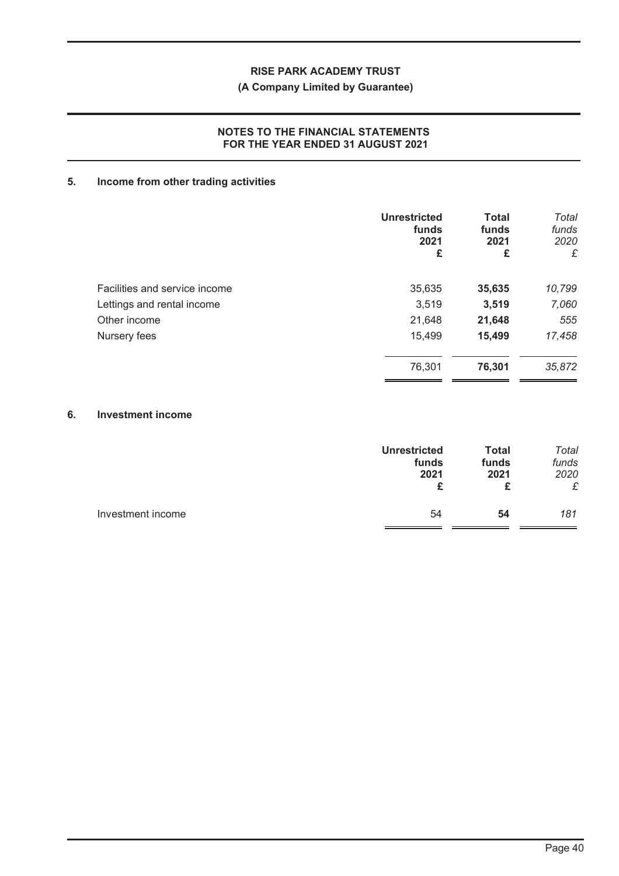## **(A Company Limited by Guarantee)**

## **NOTES TO THE FINANCIAL STATEMENTS FOR THE YEAR ENDED 31 AUGUST 2021**

# **5. Income from other trading activities**

|                               | <b>Unrestricted</b><br>funds<br>2021<br>£ | <b>Total</b><br>funds<br>2021<br>£ | Total<br>funds<br>2020<br>£ |
|-------------------------------|-------------------------------------------|------------------------------------|-----------------------------|
| Facilities and service income | 35,635                                    | 35,635                             | 10,799                      |
| Lettings and rental income    | 3,519                                     | 3,519                              | 7,060                       |
| Other income                  | 21,648                                    | 21,648                             | 555                         |
| Nursery fees                  | 15,499                                    | 15,499                             | 17,458                      |
|                               | 76,301                                    | 76,301                             | 35,872                      |

#### **6. Investment income**

|                   | <b>Unrestricted</b><br>funds<br>2021 | <b>Total</b><br>funds<br>2021<br>£ | Total<br>funds<br>2020<br>£ |
|-------------------|--------------------------------------|------------------------------------|-----------------------------|
| Investment income | 54                                   | 54                                 | 181                         |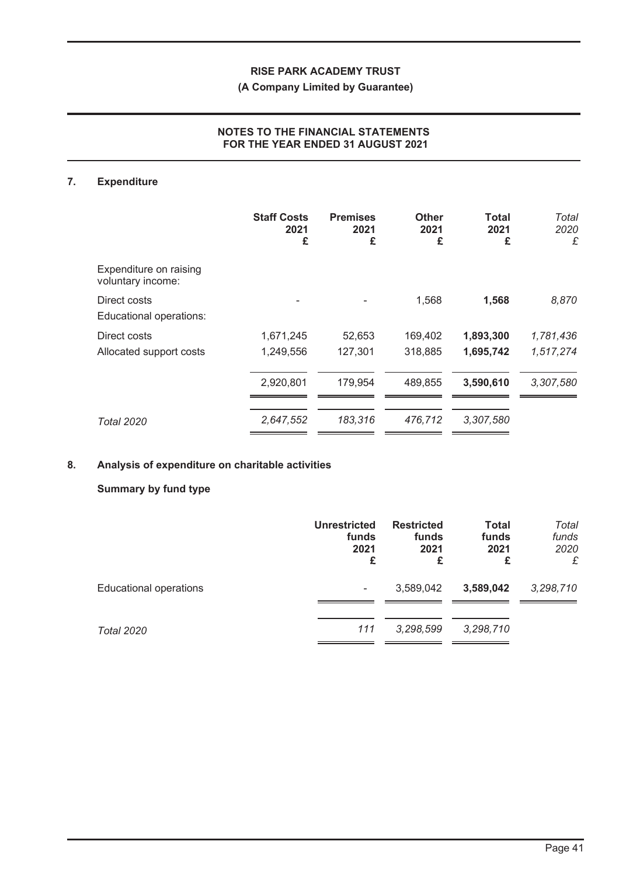## **(A Company Limited by Guarantee)**

## **NOTES TO THE FINANCIAL STATEMENTS FOR THE YEAR ENDED 31 AUGUST 2021**

## **7. Expenditure**

|                                             | <b>Staff Costs</b><br>2021<br>£ | <b>Premises</b><br>2021<br>£ | <b>Other</b><br>2021<br>£ | Total<br>2021<br>£ | Total<br>2020<br>£ |
|---------------------------------------------|---------------------------------|------------------------------|---------------------------|--------------------|--------------------|
| Expenditure on raising<br>voluntary income: |                                 |                              |                           |                    |                    |
| Direct costs<br>Educational operations:     |                                 |                              | 1,568                     | 1,568              | 8,870              |
| Direct costs                                | 1,671,245                       | 52,653                       | 169,402                   | 1,893,300          | 1,781,436          |
| Allocated support costs                     | 1,249,556                       | 127,301                      | 318,885                   | 1,695,742          | 1,517,274          |
|                                             | 2,920,801                       | 179,954                      | 489,855                   | 3,590,610          | 3,307,580          |
| <b>Total 2020</b>                           | 2,647,552                       | 183,316                      | 476,712                   | 3,307,580          |                    |

## **8. Analysis of expenditure on charitable activities**

## **Summary by fund type**

|                               | <b>Unrestricted</b><br>funds<br>2021<br>£ | <b>Restricted</b><br>funds<br>2021<br>£ | <b>Total</b><br>funds<br>2021<br>£ | Total<br>funds<br>2020<br>£ |
|-------------------------------|-------------------------------------------|-----------------------------------------|------------------------------------|-----------------------------|
| <b>Educational operations</b> | ۰                                         | 3,589,042                               | 3,589,042                          | 3,298,710                   |
| <b>Total 2020</b>             | 111                                       | 3,298,599                               | 3,298,710                          |                             |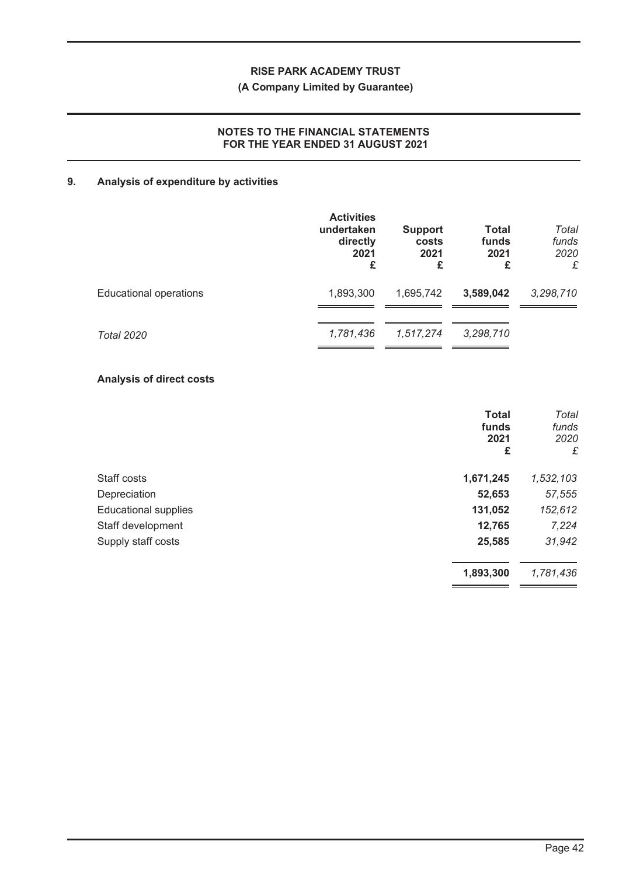## **(A Company Limited by Guarantee)**

## **NOTES TO THE FINANCIAL STATEMENTS FOR THE YEAR ENDED 31 AUGUST 2021**

# **9. Analysis of expenditure by activities**

|                               | <b>Activities</b><br>undertaken<br>directly<br>2021<br>£ | <b>Support</b><br>costs<br>2021<br>£ | <b>Total</b><br>funds<br>2021<br>£ | Total<br>funds<br>2020<br>£ |
|-------------------------------|----------------------------------------------------------|--------------------------------------|------------------------------------|-----------------------------|
| <b>Educational operations</b> | 1,893,300                                                | 1,695,742                            | 3,589,042                          | 3,298,710                   |
| <b>Total 2020</b>             | 1,781,436                                                | 1,517,274                            | 3,298,710                          |                             |

## **Analysis of direct costs**

|                             | <b>Total</b><br>funds<br>2021<br>£ | Total<br>funds<br>2020<br>£ |
|-----------------------------|------------------------------------|-----------------------------|
| Staff costs                 | 1,671,245                          | 1,532,103                   |
| Depreciation                | 52,653                             | 57,555                      |
| <b>Educational supplies</b> | 131,052                            | 152,612                     |
| Staff development           | 12,765                             | 7,224                       |
| Supply staff costs          | 25,585                             | 31,942                      |
|                             | 1,893,300                          | 1,781,436                   |
|                             |                                    |                             |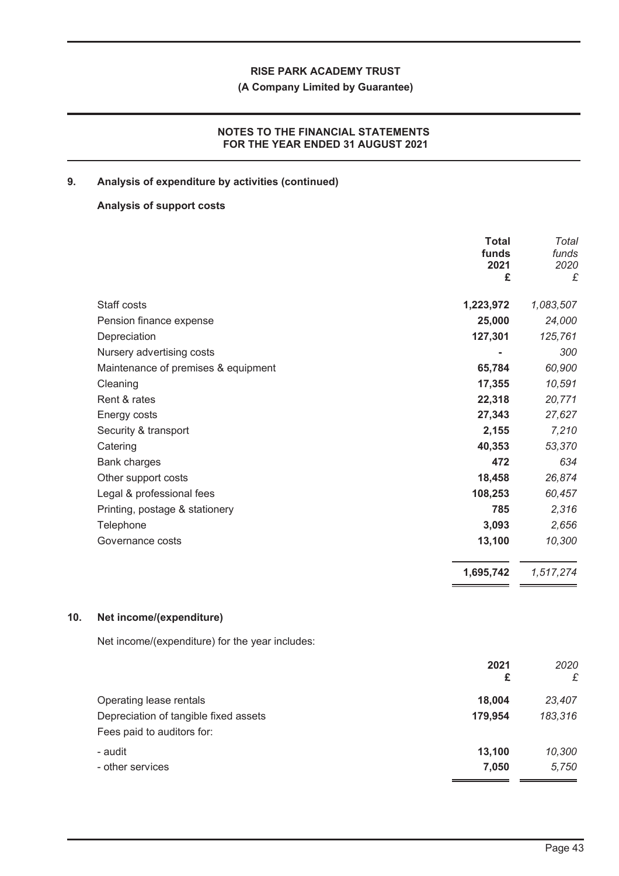## **(A Company Limited by Guarantee)**

## **NOTES TO THE FINANCIAL STATEMENTS FOR THE YEAR ENDED 31 AUGUST 2021**

## **9. Analysis of expenditure by activities (continued)**

## **Analysis of support costs**

|                                     | <b>Total</b><br>funds<br>2021 | Total<br>funds<br>2020 |
|-------------------------------------|-------------------------------|------------------------|
|                                     | £                             | £                      |
| Staff costs                         | 1,223,972                     | 1,083,507              |
| Pension finance expense             | 25,000                        | 24,000                 |
| Depreciation                        | 127,301                       | 125,761                |
| Nursery advertising costs           |                               | 300                    |
| Maintenance of premises & equipment | 65,784                        | 60,900                 |
| Cleaning                            | 17,355                        | 10,591                 |
| Rent & rates                        | 22,318                        | 20,771                 |
| Energy costs                        | 27,343                        | 27,627                 |
| Security & transport                | 2,155                         | 7,210                  |
| Catering                            | 40,353                        | 53,370                 |
| Bank charges                        | 472                           | 634                    |
| Other support costs                 | 18,458                        | 26,874                 |
| Legal & professional fees           | 108,253                       | 60,457                 |
| Printing, postage & stationery      | 785                           | 2,316                  |
| Telephone                           | 3,093                         | 2,656                  |
| Governance costs                    | 13,100                        | 10,300                 |
|                                     | 1,695,742                     | 1,517,274              |

#### **10. Net income/(expenditure)**

Net income/(expenditure) for the year includes:

|                                       | 2021<br>£ | 2020<br>£ |
|---------------------------------------|-----------|-----------|
| Operating lease rentals               | 18,004    | 23,407    |
| Depreciation of tangible fixed assets | 179,954   | 183,316   |
| Fees paid to auditors for:            |           |           |
| - audit                               | 13,100    | 10,300    |
| - other services                      | 7,050     | 5,750     |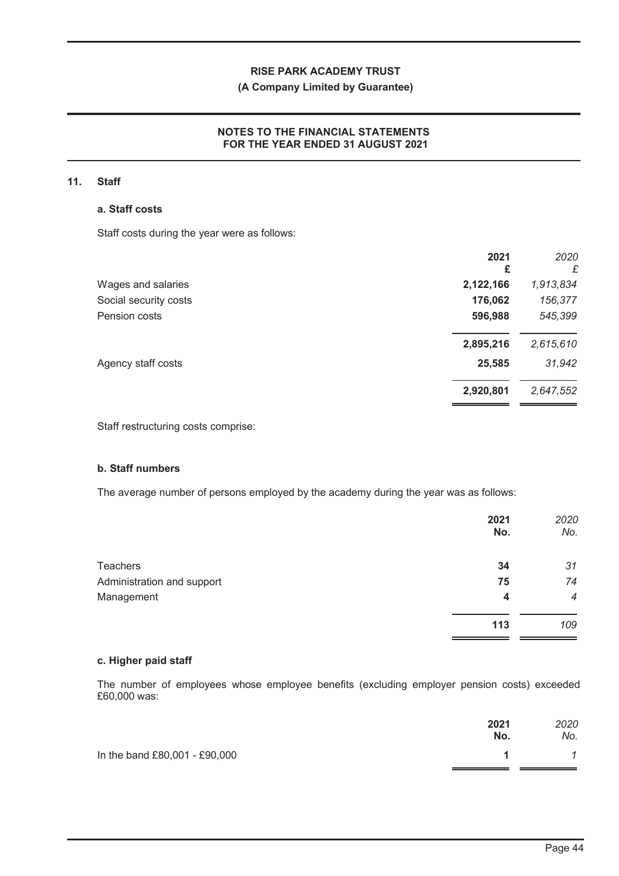## **(A Company Limited by Guarantee)**

## **NOTES TO THE FINANCIAL STATEMENTS FOR THE YEAR ENDED 31 AUGUST 2021**

#### **11. Staff**

#### **a. Staff costs**

Staff costs during the year were as follows:

|                       | 2021<br>£ | 2020<br>£ |
|-----------------------|-----------|-----------|
| Wages and salaries    | 2,122,166 | 1,913,834 |
| Social security costs | 176,062   | 156,377   |
| Pension costs         | 596,988   | 545,399   |
|                       | 2,895,216 | 2,615,610 |
| Agency staff costs    | 25,585    | 31,942    |
|                       | 2,920,801 | 2,647,552 |
|                       |           |           |

Staff restructuring costs comprise:

## **b. Staff numbers**

The average number of persons employed by the academy during the year was as follows:

|     | No. |
|-----|-----|
| 34  | 31  |
| 75  | 74  |
| 4   | 4   |
| 113 | 109 |
|     | No. |

#### **c. Higher paid staff**

The number of employees whose employee benefits (excluding employer pension costs) exceeded £60,000 was:

|                               | 2021<br>No. | 2020<br>No.  |
|-------------------------------|-------------|--------------|
| In the band £80,001 - £90,000 | 1           | $\mathcal I$ |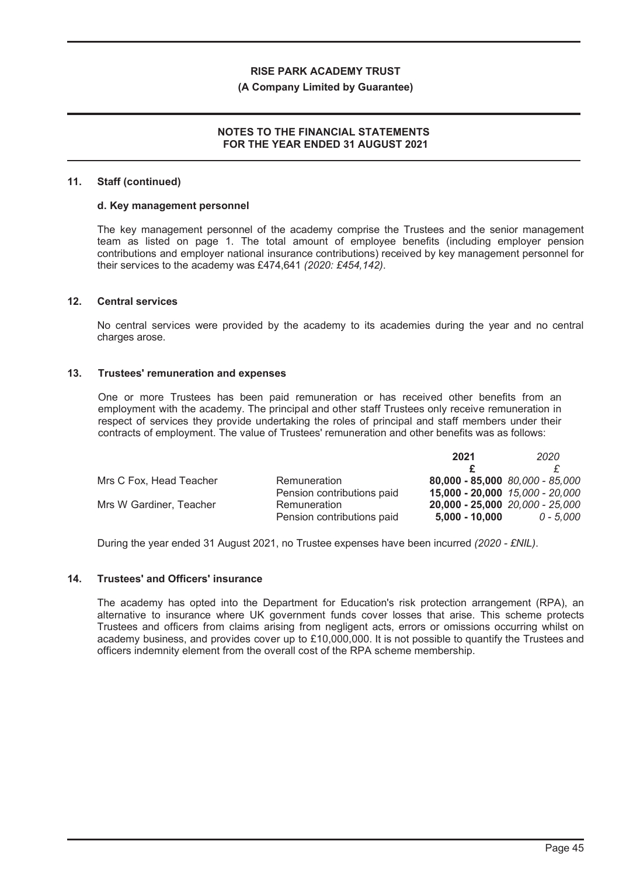#### **(A Company Limited by Guarantee)**

## **NOTES TO THE FINANCIAL STATEMENTS FOR THE YEAR ENDED 31 AUGUST 2021**

#### **11. Staff (continued)**

#### **d. Key management personnel**

The key management personnel of the academy comprise the Trustees and the senior management team as listed on page 1. The total amount of employee benefits (including employer pension contributions and employer national insurance contributions) received by key management personnel for their services to the academy was £474,641 *(2020: £454,142)*.

#### **12. Central services**

No central services were provided by the academy to its academies during the year and no central charges arose.

#### **13. Trustees' remuneration and expenses**

One or more Trustees has been paid remuneration or has received other benefits from an employment with the academy. The principal and other staff Trustees only receive remuneration in respect of services they provide undertaking the roles of principal and staff members under their contracts of employment. The value of Trustees' remuneration and other benefits was as follows:

|                         |                            | 2021                            | 2020      |
|-------------------------|----------------------------|---------------------------------|-----------|
|                         |                            |                                 |           |
| Mrs C Fox, Head Teacher | Remuneration               | 80,000 - 85,000 80,000 - 85,000 |           |
|                         | Pension contributions paid | 15,000 - 20,000 15,000 - 20,000 |           |
| Mrs W Gardiner, Teacher | Remuneration               | 20,000 - 25,000 20,000 - 25,000 |           |
|                         | Pension contributions paid | $5,000 - 10,000$                | 0 - 5.000 |

During the year ended 31 August 2021, no Trustee expenses have been incurred *(2020 - £NIL)*.

#### **14. Trustees' and Officers' insurance**

The academy has opted into the Department for Education's risk protection arrangement (RPA), an alternative to insurance where UK government funds cover losses that arise. This scheme protects Trustees and officers from claims arising from negligent acts, errors or omissions occurring whilst on academy business, and provides cover up to £10,000,000. It is not possible to quantify the Trustees and officers indemnity element from the overall cost of the RPA scheme membership.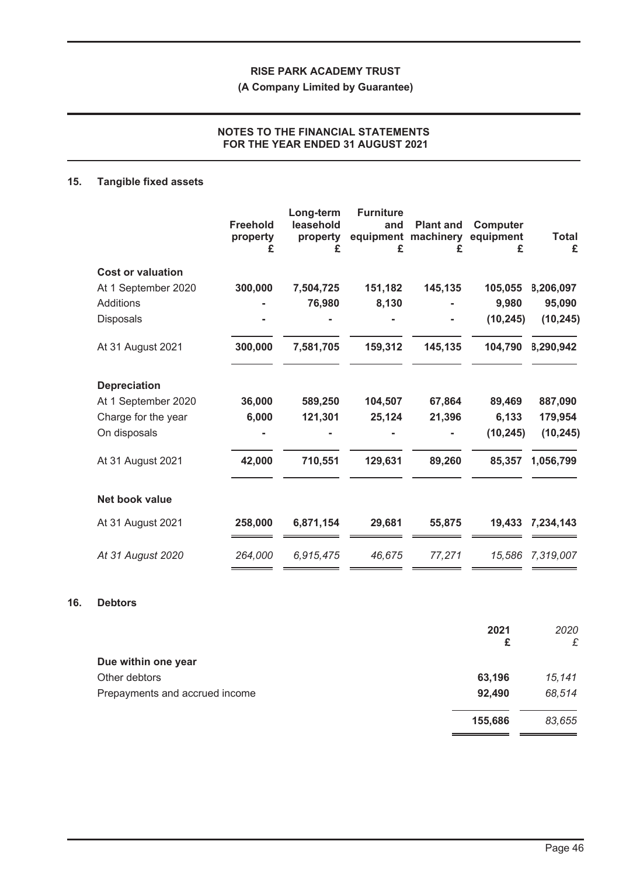**(A Company Limited by Guarantee)**

## **NOTES TO THE FINANCIAL STATEMENTS FOR THE YEAR ENDED 31 AUGUST 2021**

# **15. Tangible fixed assets**

| <b>Freehold</b><br>property<br>£ | Long-term<br>leasehold<br>property<br>£ | <b>Furniture</b><br>and<br>£ | <b>Plant and</b><br>machinery<br>£ | <b>Computer</b><br>equipment<br>£ | <b>Total</b><br>£             |
|----------------------------------|-----------------------------------------|------------------------------|------------------------------------|-----------------------------------|-------------------------------|
|                                  |                                         |                              |                                    |                                   |                               |
|                                  |                                         |                              |                                    |                                   | B,206,097                     |
|                                  |                                         |                              |                                    |                                   | 95,090                        |
|                                  |                                         |                              |                                    |                                   | (10, 245)                     |
| 300,000                          | 7,581,705                               | 159,312                      | 145,135                            | 104,790                           | 8,290,942                     |
|                                  |                                         |                              |                                    |                                   |                               |
| 36,000                           | 589,250                                 | 104,507                      | 67,864                             | 89,469                            | 887,090                       |
| 6,000                            | 121,301                                 | 25,124                       | 21,396                             | 6,133                             | 179,954                       |
|                                  |                                         |                              |                                    | (10, 245)                         | (10, 245)                     |
| 42,000                           | 710,551                                 | 129,631                      | 89,260                             | 85,357                            | 1,056,799                     |
|                                  |                                         |                              |                                    |                                   |                               |
| 258,000                          | 6,871,154                               | 29,681                       | 55,875                             | 19,433                            | 7,234,143                     |
| 264,000                          | 6,915,475                               | 46,675                       | 77,271                             |                                   | 15,586 7,319,007              |
|                                  | 300,000                                 | 7,504,725<br>76,980          | 151,182<br>8,130                   | equipment<br>145,135              | 105,055<br>9,980<br>(10, 245) |

## **16. Debtors**

|                                | 2021<br>£ | 2020<br>£ |
|--------------------------------|-----------|-----------|
| Due within one year            |           |           |
| Other debtors                  | 63,196    | 15,141    |
| Prepayments and accrued income | 92,490    | 68,514    |
|                                | 155,686   | 83,655    |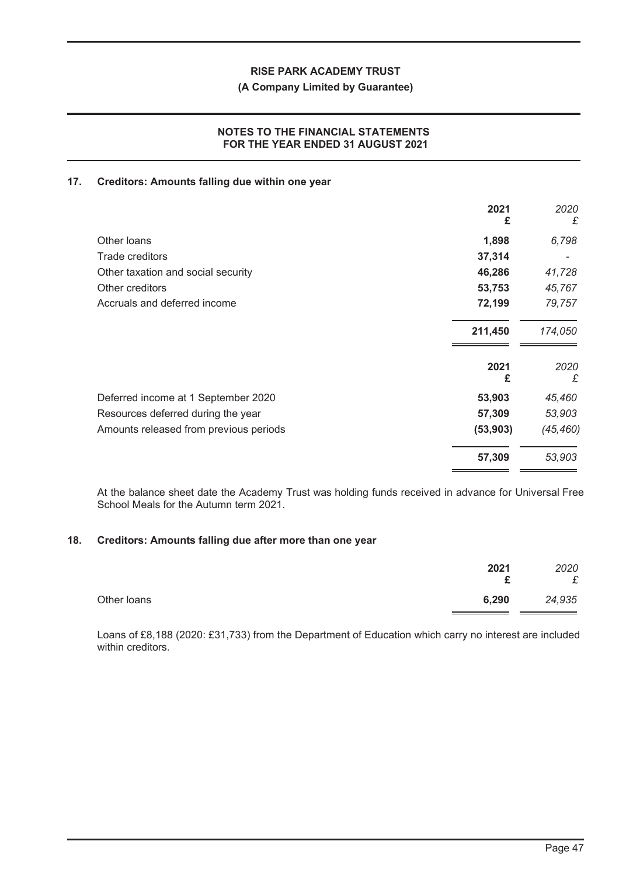#### **(A Company Limited by Guarantee)**

## **NOTES TO THE FINANCIAL STATEMENTS FOR THE YEAR ENDED 31 AUGUST 2021**

#### **17. Creditors: Amounts falling due within one year**

|                                        | 2021<br>£ | 2020<br>£ |
|----------------------------------------|-----------|-----------|
| Other loans                            | 1,898     | 6,798     |
| Trade creditors                        | 37,314    |           |
| Other taxation and social security     | 46,286    | 41,728    |
| Other creditors                        | 53,753    | 45,767    |
| Accruals and deferred income           | 72,199    | 79,757    |
|                                        | 211,450   | 174,050   |
|                                        | 2021      | 2020      |
|                                        | £         | £         |
| Deferred income at 1 September 2020    | 53,903    | 45,460    |
| Resources deferred during the year     | 57,309    | 53,903    |
| Amounts released from previous periods | (53, 903) | (45, 460) |
|                                        | 57,309    | 53,903    |

At the balance sheet date the Academy Trust was holding funds received in advance for Universal Free School Meals for the Autumn term 2021.

#### **18. Creditors: Amounts falling due after more than one year**

|             | 2021  | 2020<br>£ |
|-------------|-------|-----------|
| Other loans | 6,290 | 24,935    |

Loans of £8,188 (2020: £31,733) from the Department of Education which carry no interest are included within creditors.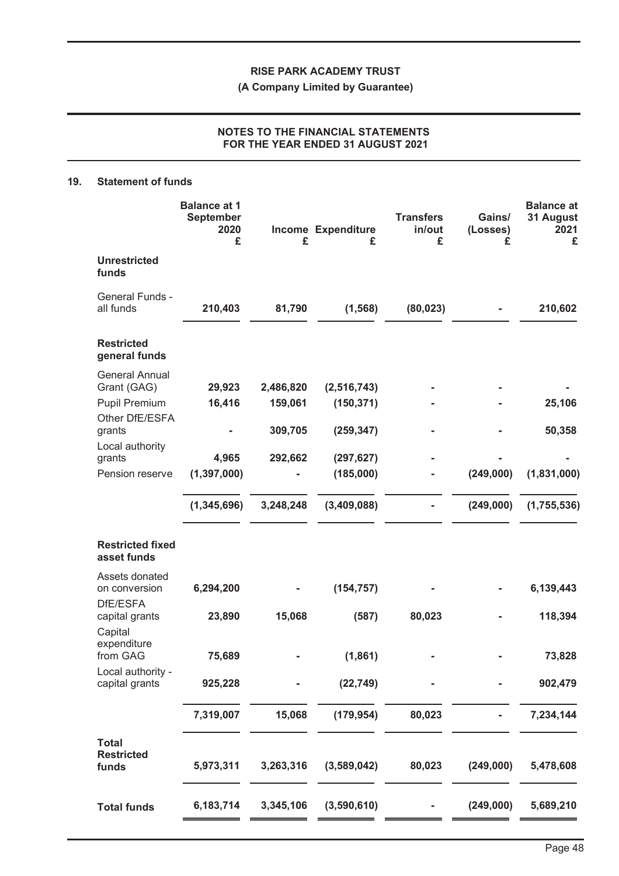**(A Company Limited by Guarantee)**

## **NOTES TO THE FINANCIAL STATEMENTS FOR THE YEAR ENDED 31 AUGUST 2021**

#### **19. Statement of funds**

|                                                       | <b>Balance at 1</b><br><b>September</b><br>2020<br>£ | £                    | <b>Income Expenditure</b><br>£ | <b>Transfers</b><br>in/out<br>£ | Gains/<br>(Losses)<br>£ | <b>Balance at</b><br>31 August<br>2021<br>£ |
|-------------------------------------------------------|------------------------------------------------------|----------------------|--------------------------------|---------------------------------|-------------------------|---------------------------------------------|
| <b>Unrestricted</b><br>funds                          |                                                      |                      |                                |                                 |                         |                                             |
| General Funds -<br>all funds                          | 210,403                                              | 81,790               | (1, 568)                       | (80, 023)                       |                         | 210,602                                     |
| <b>Restricted</b><br>general funds                    |                                                      |                      |                                |                                 |                         |                                             |
| <b>General Annual</b><br>Grant (GAG)<br>Pupil Premium | 29,923<br>16,416                                     | 2,486,820<br>159,061 | (2, 516, 743)<br>(150, 371)    |                                 |                         | 25,106                                      |
| Other DfE/ESFA<br>grants<br>Local authority           |                                                      | 309,705              | (259, 347)                     |                                 |                         | 50,358                                      |
| grants<br>Pension reserve                             | 4,965<br>(1, 397, 000)                               | 292,662              | (297, 627)<br>(185,000)        |                                 | (249,000)               | (1,831,000)                                 |
|                                                       | (1, 345, 696)                                        | 3,248,248            | (3,409,088)                    |                                 | (249,000)               | (1,755,536)                                 |
| <b>Restricted fixed</b><br>asset funds                |                                                      |                      |                                |                                 |                         |                                             |
| Assets donated<br>on conversion<br>DfE/ESFA           | 6,294,200                                            |                      | (154, 757)                     |                                 |                         | 6,139,443                                   |
| capital grants<br>Capital                             | 23,890                                               | 15,068               | (587)                          | 80,023                          |                         | 118,394                                     |
| expenditure<br>from GAG<br>Local authority -          | 75,689                                               |                      | (1,861)                        |                                 |                         | 73,828                                      |
| capital grants                                        | 925,228                                              |                      | (22, 749)                      |                                 |                         | 902,479                                     |
| <b>Total</b>                                          | 7,319,007                                            | 15,068               | (179, 954)                     | 80,023                          |                         | 7,234,144                                   |
| <b>Restricted</b><br>funds                            | 5,973,311                                            | 3,263,316            | (3,589,042)                    | 80,023                          | (249,000)               | 5,478,608                                   |
| <b>Total funds</b>                                    | 6,183,714                                            | 3,345,106            | (3,590,610)                    |                                 | (249,000)               | 5,689,210                                   |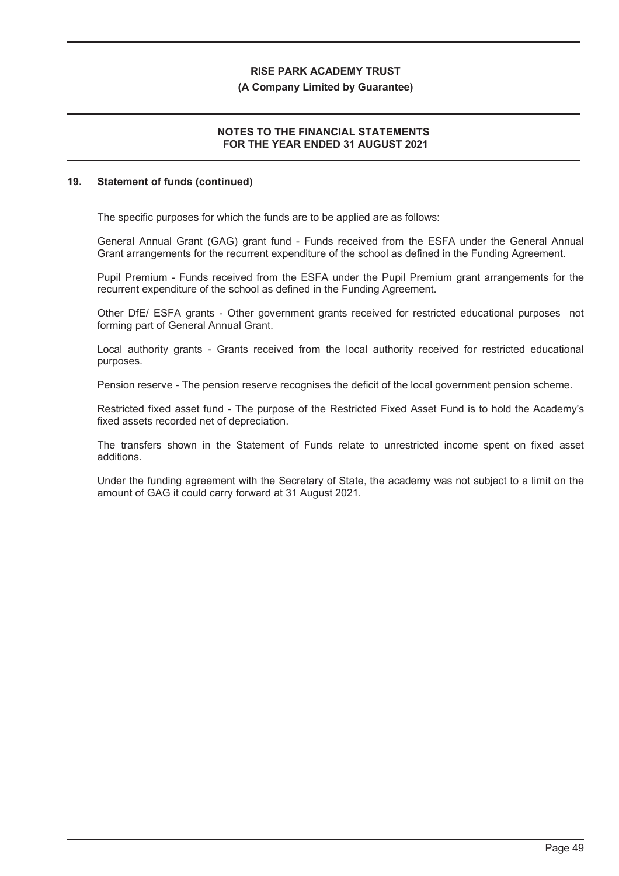#### **(A Company Limited by Guarantee)**

## **NOTES TO THE FINANCIAL STATEMENTS FOR THE YEAR ENDED 31 AUGUST 2021**

#### **19. Statement of funds (continued)**

The specific purposes for which the funds are to be applied are as follows:

General Annual Grant (GAG) grant fund - Funds received from the ESFA under the General Annual Grant arrangements for the recurrent expenditure of the school as defined in the Funding Agreement.

Pupil Premium - Funds received from the ESFA under the Pupil Premium grant arrangements for the recurrent expenditure of the school as defined in the Funding Agreement.

Other DfE/ ESFA grants - Other government grants received for restricted educational purposes not forming part of General Annual Grant.

Local authority grants - Grants received from the local authority received for restricted educational purposes.

Pension reserve - The pension reserve recognises the deficit of the local government pension scheme.

Restricted fixed asset fund - The purpose of the Restricted Fixed Asset Fund is to hold the Academy's fixed assets recorded net of depreciation.

The transfers shown in the Statement of Funds relate to unrestricted income spent on fixed asset additions.

Under the funding agreement with the Secretary of State, the academy was not subject to a limit on the amount of GAG it could carry forward at 31 August 2021.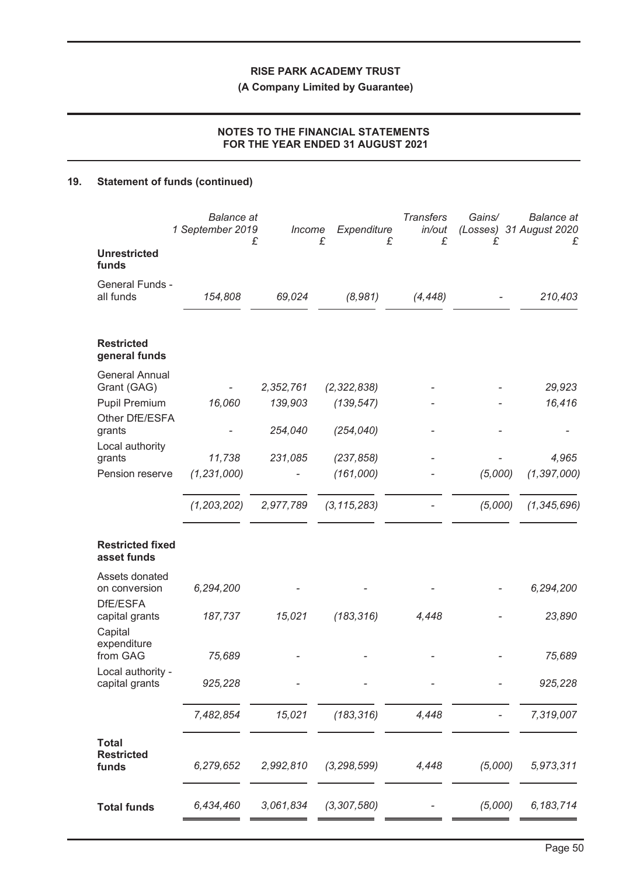**(A Company Limited by Guarantee)**

## **NOTES TO THE FINANCIAL STATEMENTS FOR THE YEAR ENDED 31 AUGUST 2021**

# **19. Statement of funds (continued)**

|                                                                                   | <b>Balance</b> at<br>1 September 2019 | Income<br>£                     | Expenditure<br>£                          | <b>Transfers</b><br>in/out<br>£<br>£ | Gains/<br>£ | <b>Balance</b> at<br>(Losses) 31 August 2020<br>£ |
|-----------------------------------------------------------------------------------|---------------------------------------|---------------------------------|-------------------------------------------|--------------------------------------|-------------|---------------------------------------------------|
| <b>Unrestricted</b><br>funds                                                      |                                       |                                 |                                           |                                      |             |                                                   |
| General Funds -<br>all funds                                                      | 154,808                               | 69,024                          | (8,981)                                   | (4, 448)                             |             | 210,403                                           |
| <b>Restricted</b><br>general funds                                                |                                       |                                 |                                           |                                      |             |                                                   |
| <b>General Annual</b><br>Grant (GAG)<br>Pupil Premium<br>Other DfE/ESFA<br>grants | 16,060                                | 2,352,761<br>139,903<br>254,040 | (2, 322, 838)<br>(139, 547)<br>(254, 040) |                                      |             | 29,923<br>16,416                                  |
| Local authority<br>grants<br>Pension reserve                                      | 11,738<br>(1, 231, 000)               | 231,085                         | (237, 858)<br>(161,000)                   |                                      | (5,000)     | 4,965<br>(1, 397, 000)                            |
|                                                                                   | (1, 203, 202)                         | 2,977,789                       | (3, 115, 283)                             |                                      | (5,000)     | (1, 345, 696)                                     |
| <b>Restricted fixed</b><br>asset funds                                            |                                       |                                 |                                           |                                      |             |                                                   |
| Assets donated<br>on conversion<br>DfE/ESFA                                       | 6,294,200                             |                                 |                                           |                                      |             | 6,294,200                                         |
| capital grants<br>Capital<br>expenditure                                          | 187,737                               | 15,021                          | (183, 316)                                | 4,448                                |             | 23,890                                            |
| from GAG<br>Local authority -                                                     | 75,689                                |                                 |                                           |                                      |             | 75,689                                            |
| capital grants                                                                    | 925,228                               |                                 |                                           |                                      |             | 925,228                                           |
|                                                                                   | 7,482,854                             | 15,021                          | (183, 316)                                | 4,448                                |             | 7,319,007                                         |
| <b>Total</b><br><b>Restricted</b><br>funds                                        | 6,279,652                             | 2,992,810                       | (3, 298, 599)                             | 4,448                                | (5,000)     | 5,973,311                                         |
| <b>Total funds</b>                                                                | 6,434,460                             | 3,061,834                       | (3, 307, 580)                             |                                      | (5,000)     | 6, 183, 714                                       |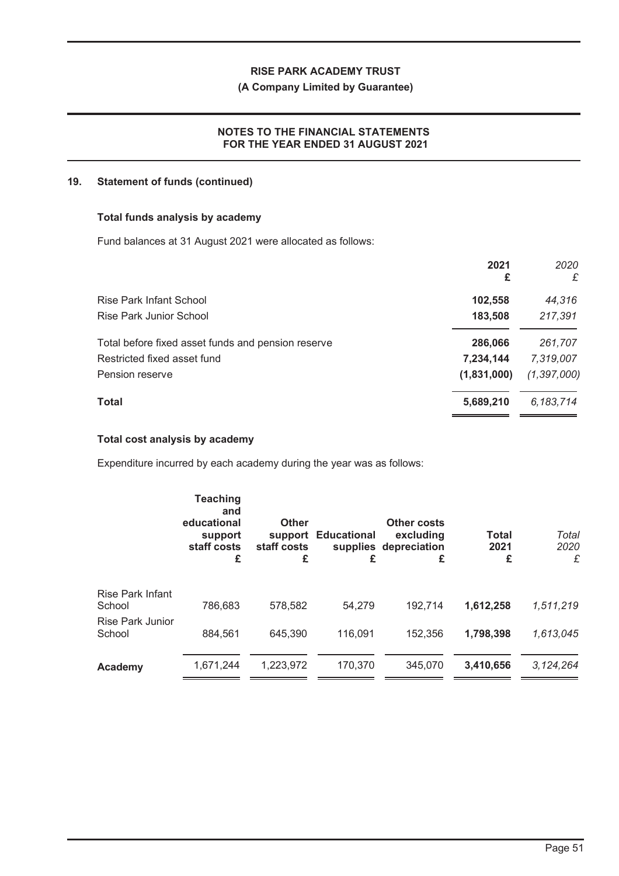## **(A Company Limited by Guarantee)**

## **NOTES TO THE FINANCIAL STATEMENTS FOR THE YEAR ENDED 31 AUGUST 2021**

#### **19. Statement of funds (continued)**

#### **Total funds analysis by academy**

Fund balances at 31 August 2021 were allocated as follows:

|                                                    | 2021<br>£   | 2020<br>£     |
|----------------------------------------------------|-------------|---------------|
| Rise Park Infant School                            | 102,558     | 44,316        |
| Rise Park Junior School                            | 183,508     | 217,391       |
| Total before fixed asset funds and pension reserve | 286,066     | 261,707       |
| Restricted fixed asset fund                        | 7,234,144   | 7,319,007     |
| Pension reserve                                    | (1,831,000) | (1, 397, 000) |
| <b>Total</b>                                       | 5,689,210   | 6,183,714     |
|                                                    |             |               |

## **Total cost analysis by academy**

Expenditure incurred by each academy during the year was as follows:

|                                   | <b>Teaching</b><br>and<br>educational<br>support<br>staff costs<br>£ | <b>Other</b><br>support<br>staff costs<br>£ | <b>Educational</b><br>£ | Other costs<br>excluding<br>supplies depreciation<br>£ | <b>Total</b><br>2021<br>£ | Total<br>2020<br>£ |
|-----------------------------------|----------------------------------------------------------------------|---------------------------------------------|-------------------------|--------------------------------------------------------|---------------------------|--------------------|
| Rise Park Infant<br>School        | 786,683                                                              | 578,582                                     | 54,279                  | 192,714                                                | 1,612,258                 | 1,511,219          |
| <b>Rise Park Junior</b><br>School | 884.561                                                              | 645,390                                     | 116,091                 | 152.356                                                | 1,798,398                 | 1,613,045          |
| Academy                           | 1,671,244                                                            | 1,223,972                                   | 170,370                 | 345,070                                                | 3,410,656                 | 3,124,264          |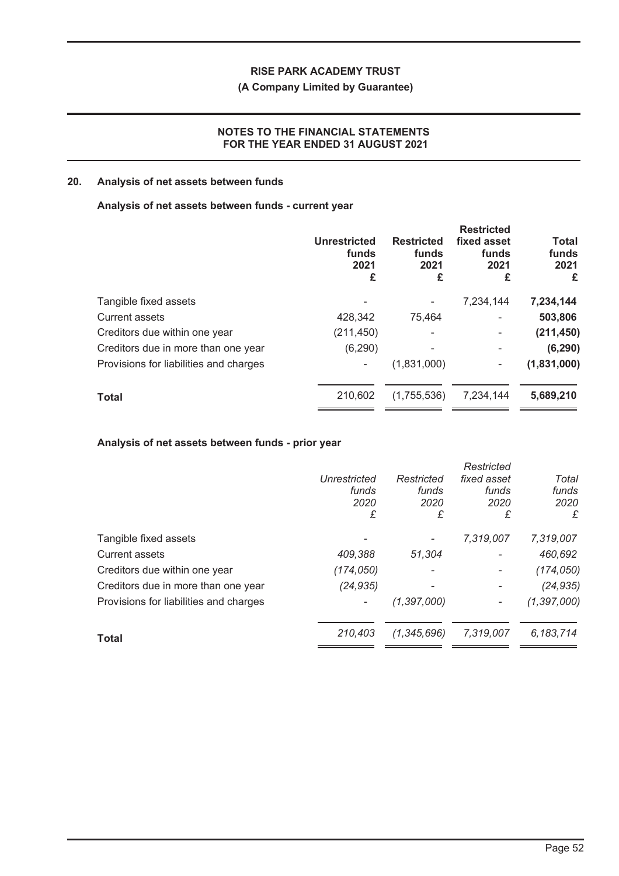## **(A Company Limited by Guarantee)**

## **NOTES TO THE FINANCIAL STATEMENTS FOR THE YEAR ENDED 31 AUGUST 2021**

## **20. Analysis of net assets between funds**

## **Analysis of net assets between funds - current year**

|                                        | <b>Unrestricted</b><br>funds<br>2021<br>£ | <b>Restricted</b><br>funds<br>2021<br>£ | <b>Restricted</b><br>fixed asset<br>funds<br>2021<br>£ | <b>Total</b><br>funds<br>2021<br>£ |
|----------------------------------------|-------------------------------------------|-----------------------------------------|--------------------------------------------------------|------------------------------------|
| Tangible fixed assets                  |                                           |                                         | 7,234,144                                              | 7,234,144                          |
| <b>Current assets</b>                  | 428,342                                   | 75,464                                  | ۰                                                      | 503,806                            |
| Creditors due within one year          | (211, 450)                                |                                         | ۰                                                      | (211, 450)                         |
| Creditors due in more than one year    | (6, 290)                                  |                                         | ۰                                                      | (6, 290)                           |
| Provisions for liabilities and charges |                                           | (1,831,000)                             | ۰                                                      | (1,831,000)                        |
| <b>Total</b>                           | 210,602                                   | (1,755,536)                             | 7,234,144                                              | 5,689,210                          |
|                                        |                                           |                                         |                                                        |                                    |

## **Analysis of net assets between funds - prior year**

|                                        |              |               | Restricted  |               |
|----------------------------------------|--------------|---------------|-------------|---------------|
|                                        | Unrestricted | Restricted    | fixed asset | Total         |
|                                        | funds        | funds         | funds       | funds         |
|                                        | 2020         | 2020          | 2020        | 2020          |
|                                        | £            | £             | £           | £             |
| Tangible fixed assets                  |              |               | 7,319,007   | 7,319,007     |
| Current assets                         | 409,388      | 51,304        | -           | 460,692       |
| Creditors due within one year          | (174,050)    |               |             | (174, 050)    |
| Creditors due in more than one year    | (24, 935)    |               |             | (24, 935)     |
| Provisions for liabilities and charges |              | (1, 397, 000) |             | (1, 397, 000) |
| <b>Total</b>                           | 210.403      | (1,345,696)   | 7,319,007   | 6, 183, 714   |
|                                        |              |               |             |               |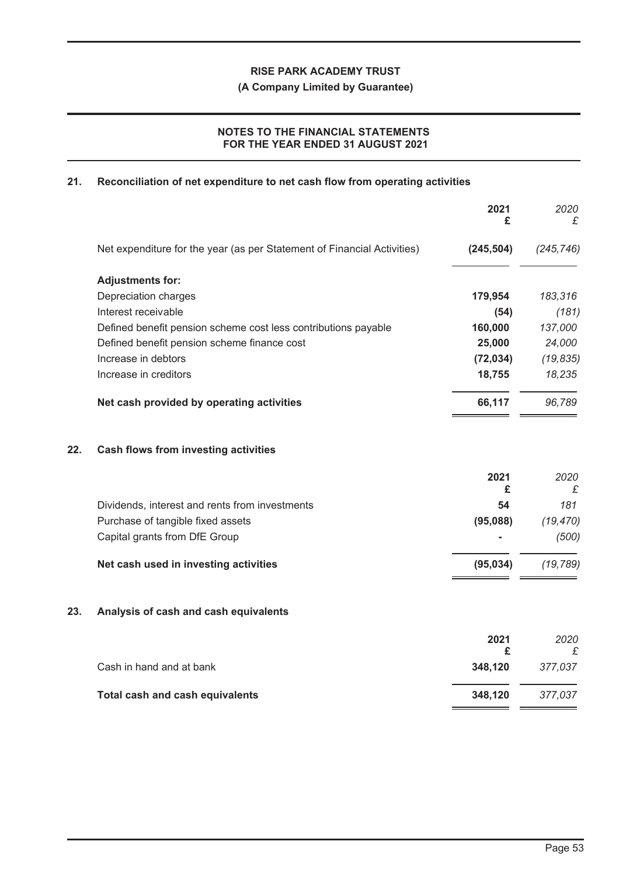**(A Company Limited by Guarantee)**

## **NOTES TO THE FINANCIAL STATEMENTS FOR THE YEAR ENDED 31 AUGUST 2021**

## **21. Reconciliation of net expenditure to net cash flow from operating activities**

|     |                                                                         | 2021<br>£  | 2020<br>£  |
|-----|-------------------------------------------------------------------------|------------|------------|
|     | Net expenditure for the year (as per Statement of Financial Activities) | (245, 504) | (245, 746) |
|     | <b>Adjustments for:</b>                                                 |            |            |
|     | Depreciation charges                                                    | 179,954    | 183,316    |
|     | Interest receivable                                                     | (54)       | (181)      |
|     | Defined benefit pension scheme cost less contributions payable          | 160,000    | 137,000    |
|     | Defined benefit pension scheme finance cost                             | 25,000     | 24,000     |
|     | Increase in debtors                                                     | (72, 034)  | (19, 835)  |
|     | Increase in creditors                                                   | 18,755     | 18,235     |
|     | Net cash provided by operating activities                               | 66,117     | 96,789     |
| 22. | Cash flows from investing activities                                    |            |            |
|     |                                                                         | 2021<br>£  | 2020<br>£  |
|     | Dividends, interest and rents from investments                          | 54         | 181        |
|     | Purchase of tangible fixed assets                                       | (95,088)   | (19, 470)  |
|     | Capital grants from DfE Group                                           |            | (500)      |
|     | Net cash used in investing activities                                   | (95, 034)  | (19, 789)  |
| 23. | Analysis of cash and cash equivalents                                   |            |            |
|     |                                                                         | 2021<br>£  | 2020<br>£  |
|     | Cash in hand and at bank                                                | 348,120    | 377,037    |
|     | <b>Total cash and cash equivalents</b>                                  | 348,120    | 377,037    |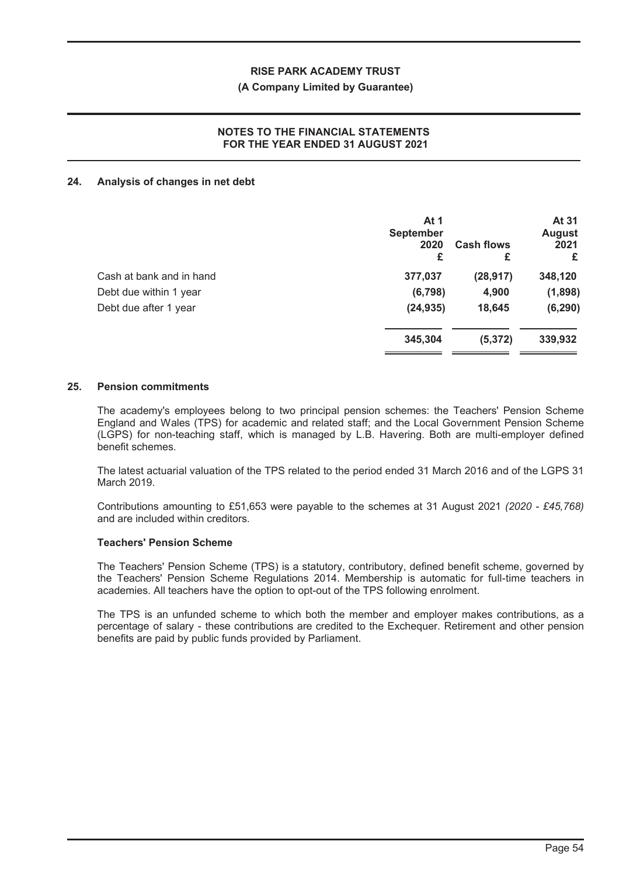#### **(A Company Limited by Guarantee)**

## **NOTES TO THE FINANCIAL STATEMENTS FOR THE YEAR ENDED 31 AUGUST 2021**

#### **24. Analysis of changes in net debt**

|                          | At 1<br><b>September</b><br>2020<br>£ | <b>Cash flows</b><br>£ | At 31<br><b>August</b><br>2021<br>£ |
|--------------------------|---------------------------------------|------------------------|-------------------------------------|
| Cash at bank and in hand | 377,037                               | (28, 917)              | 348,120                             |
| Debt due within 1 year   | (6, 798)                              | 4,900                  | (1,898)                             |
| Debt due after 1 year    | (24, 935)                             | 18,645                 | (6, 290)                            |
|                          | 345,304                               | (5, 372)               | 339,932                             |

#### **25. Pension commitments**

The academy's employees belong to two principal pension schemes: the Teachers' Pension Scheme England and Wales (TPS) for academic and related staff; and the Local Government Pension Scheme (LGPS) for non-teaching staff, which is managed by L.B. Havering. Both are multi-employer defined benefit schemes.

The latest actuarial valuation of the TPS related to the period ended 31 March 2016 and of the LGPS 31 March 2019.

Contributions amounting to £51,653 were payable to the schemes at 31 August 2021 *(2020 - £45,768)* and are included within creditors.

#### **Teachers' Pension Scheme**

The Teachers' Pension Scheme (TPS) is a statutory, contributory, defined benefit scheme, governed by the Teachers' Pension Scheme Regulations 2014. Membership is automatic for full-time teachers in academies. All teachers have the option to opt-out of the TPS following enrolment.

The TPS is an unfunded scheme to which both the member and employer makes contributions, as a percentage of salary - these contributions are credited to the Exchequer. Retirement and other pension benefits are paid by public funds provided by Parliament.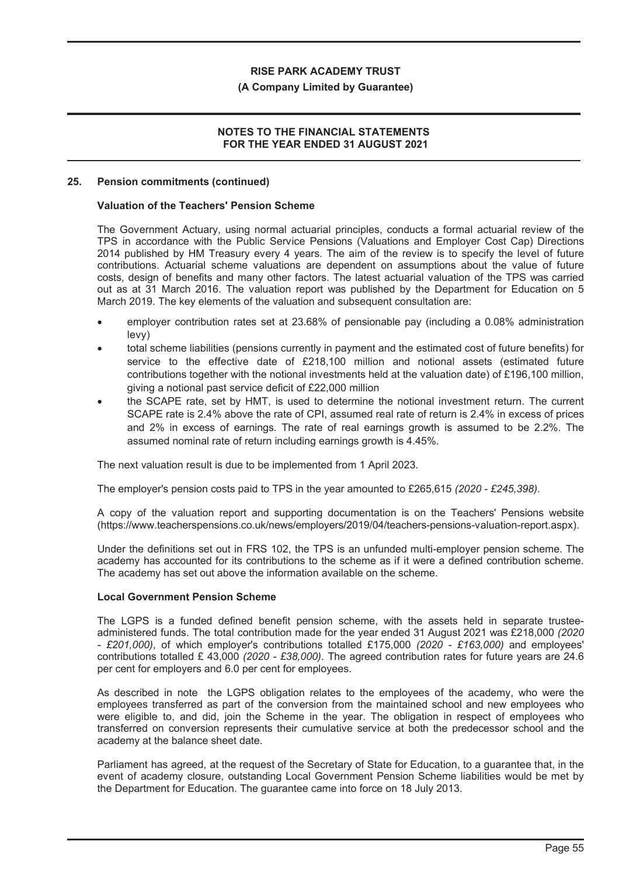#### **(A Company Limited by Guarantee)**

## **NOTES TO THE FINANCIAL STATEMENTS FOR THE YEAR ENDED 31 AUGUST 2021**

#### **25. Pension commitments (continued)**

#### **Valuation of the Teachers' Pension Scheme**

The Government Actuary, using normal actuarial principles, conducts a formal actuarial review of the TPS in accordance with the Public Service Pensions (Valuations and Employer Cost Cap) Directions 2014 published by HM Treasury every 4 years. The aim of the review is to specify the level of future contributions. Actuarial scheme valuations are dependent on assumptions about the value of future costs, design of benefits and many other factors. The latest actuarial valuation of the TPS was carried out as at 31 March 2016. The valuation report was published by the Department for Education on 5 March 2019. The key elements of the valuation and subsequent consultation are:

- ! employer contribution rates set at 23.68% of pensionable pay (including a 0.08% administration levy)
- total scheme liabilities (pensions currently in payment and the estimated cost of future benefits) for service to the effective date of £218,100 million and notional assets (estimated future contributions together with the notional investments held at the valuation date) of £196,100 million, giving a notional past service deficit of £22,000 million
- the SCAPE rate, set by HMT, is used to determine the notional investment return. The current SCAPE rate is 2.4% above the rate of CPI, assumed real rate of return is 2.4% in excess of prices and 2% in excess of earnings. The rate of real earnings growth is assumed to be 2.2%. The assumed nominal rate of return including earnings growth is 4.45%.

The next valuation result is due to be implemented from 1 April 2023.

The employer's pension costs paid to TPS in the year amounted to £265,615 *(2020 - £245,398)*.

A copy of the valuation report and supporting documentation is on the Teachers' Pensions website (https://www.teacherspensions.co.uk/news/employers/2019/04/teachers-pensions-valuation-report.aspx).

Under the definitions set out in FRS 102, the TPS is an unfunded multi-employer pension scheme. The academy has accounted for its contributions to the scheme as if it were a defined contribution scheme. The academy has set out above the information available on the scheme.

#### **Local Government Pension Scheme**

The LGPS is a funded defined benefit pension scheme, with the assets held in separate trusteeadministered funds. The total contribution made for the year ended 31 August 2021 was £218,000 *(2020 - £201,000)*, of which employer's contributions totalled £175,000 *(2020 - £163,000)* and employees' contributions totalled £ 43,000 *(2020 - £38,000)*. The agreed contribution rates for future years are 24.6 per cent for employers and 6.0 per cent for employees.

As described in note the LGPS obligation relates to the employees of the academy, who were the employees transferred as part of the conversion from the maintained school and new employees who were eligible to, and did, join the Scheme in the year. The obligation in respect of employees who transferred on conversion represents their cumulative service at both the predecessor school and the academy at the balance sheet date.

Parliament has agreed, at the request of the Secretary of State for Education, to a guarantee that, in the event of academy closure, outstanding Local Government Pension Scheme liabilities would be met by the Department for Education. The guarantee came into force on 18 July 2013.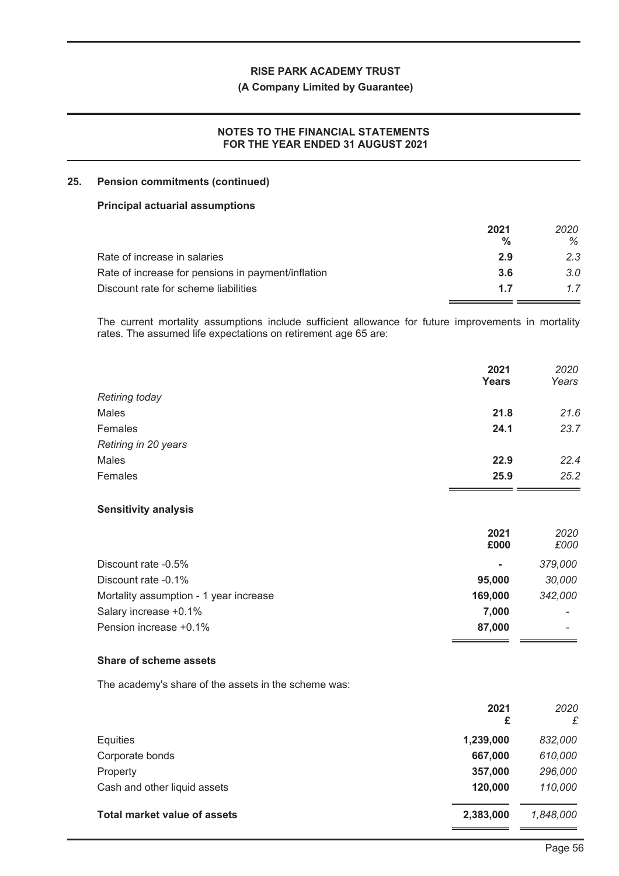## **(A Company Limited by Guarantee)**

## **NOTES TO THE FINANCIAL STATEMENTS FOR THE YEAR ENDED 31 AUGUST 2021**

## **25. Pension commitments (continued)**

#### **Principal actuarial assumptions**

|                                                    | 2021 | 2020 |
|----------------------------------------------------|------|------|
|                                                    | %    | ℅    |
| Rate of increase in salaries                       | 2.9  | 2.3  |
| Rate of increase for pensions in payment/inflation | 3.6  | 3.0  |
| Discount rate for scheme liabilities               | 17   | 17   |
|                                                    |      |      |

The current mortality assumptions include sufficient allowance for future improvements in mortality rates. The assumed life expectations on retirement age 65 are:

|                             | 2021<br>Years | 2020<br>Years |
|-----------------------------|---------------|---------------|
| <b>Retiring today</b>       |               |               |
| Males                       | 21.8          | 21.6          |
| Females                     | 24.1          | 23.7          |
| Retiring in 20 years        |               |               |
| Males                       | 22.9          | 22.4          |
| Females                     | 25.9          | 25.2          |
| <b>Sensitivity analysis</b> |               |               |
|                             | 2021<br>£000  | 2020<br>£000  |
|                             |               |               |
| Discount rate -0.5%         | ۰             | 379,000       |
| Discount rate -0.1%         | 95,000        | 30,000        |

| Mortality assumption - 1 year increase | 169.000 | 342.000                  |
|----------------------------------------|---------|--------------------------|
| Salary increase +0.1%                  | 7.000   | $\sim$                   |
| Pension increase +0.1%                 | 87.000  | $\overline{\phantom{a}}$ |

#### **Share of scheme assets**

The academy's share of the assets in the scheme was:

|                                     | 2021<br>£ | 2020<br>£ |
|-------------------------------------|-----------|-----------|
| Equities                            | 1,239,000 | 832,000   |
| Corporate bonds                     | 667,000   | 610,000   |
| Property                            | 357,000   | 296,000   |
| Cash and other liquid assets        | 120,000   | 110,000   |
| <b>Total market value of assets</b> | 2,383,000 | 1,848,000 |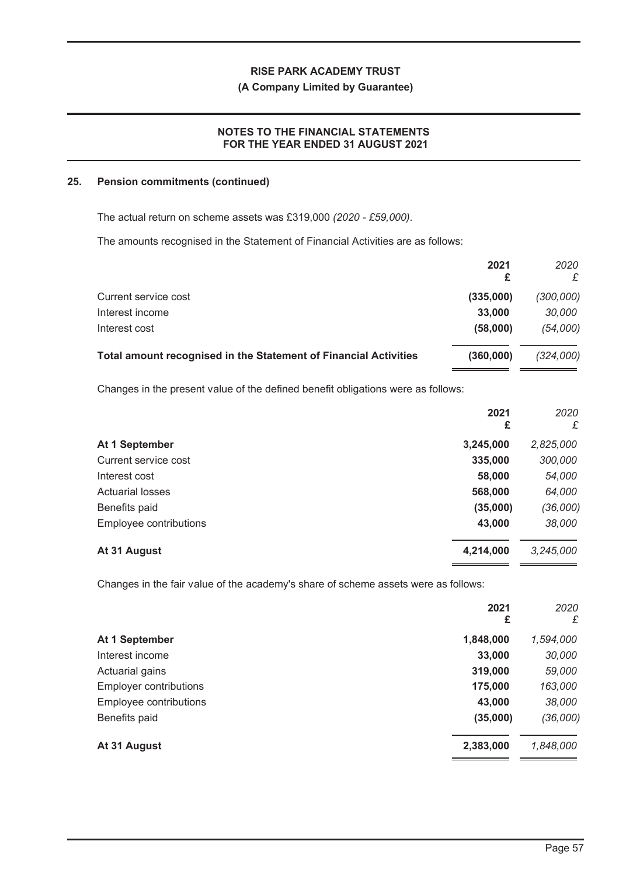#### **(A Company Limited by Guarantee)**

## **NOTES TO THE FINANCIAL STATEMENTS FOR THE YEAR ENDED 31 AUGUST 2021**

#### **25. Pension commitments (continued)**

The actual return on scheme assets was £319,000 *(2020 - £59,000)*.

The amounts recognised in the Statement of Financial Activities are as follows:

|                                                                  | 2021<br>£ | 2020<br>£ |
|------------------------------------------------------------------|-----------|-----------|
| Current service cost                                             | (335,000) | (300,000) |
| Interest income                                                  | 33,000    | 30,000    |
| Interest cost                                                    | (58,000)  | (54,000)  |
| Total amount recognised in the Statement of Financial Activities | (360,000) | (324,000) |

Changes in the present value of the defined benefit obligations were as follows:

|                         | 2021<br>£ | 2020<br>£ |
|-------------------------|-----------|-----------|
| At 1 September          | 3,245,000 | 2,825,000 |
| Current service cost    | 335,000   | 300,000   |
| Interest cost           | 58,000    | 54,000    |
| <b>Actuarial losses</b> | 568,000   | 64,000    |
| Benefits paid           | (35,000)  | (36,000)  |
| Employee contributions  | 43,000    | 38,000    |
| At 31 August            | 4,214,000 | 3,245,000 |

Changes in the fair value of the academy's share of scheme assets were as follows:

|                               | 2021<br>£ | 2020<br>£ |
|-------------------------------|-----------|-----------|
| At 1 September                | 1,848,000 | 1,594,000 |
| Interest income               | 33,000    | 30,000    |
| Actuarial gains               | 319,000   | 59,000    |
| <b>Employer contributions</b> | 175,000   | 163,000   |
| Employee contributions        | 43,000    | 38,000    |
| Benefits paid                 | (35,000)  | (36,000)  |
| At 31 August                  | 2,383,000 | 1,848,000 |